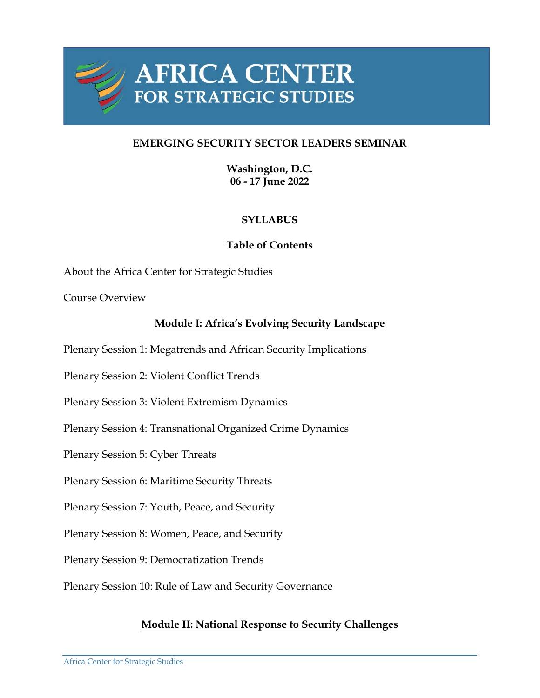

# **EMERGING SECURITY SECTOR LEADERS SEMINAR**

**Washington, D.C. 06 - 17 June 2022**

# **SYLLABUS**

# **Table of Contents**

About the Africa Center for Strategic Studies

Course Overview

# **Module I: Africa's Evolving Security Landscape**

Plenary Session 1: Megatrends and African Security Implications

Plenary Session 2: Violent Conflict Trends

Plenary Session 3: Violent Extremism Dynamics

Plenary Session 4: Transnational Organized Crime Dynamics

Plenary Session 5: Cyber Threats

Plenary Session 6: Maritime Security Threats

Plenary Session 7: Youth, Peace, and Security

Plenary Session 8: Women, Peace, and Security

Plenary Session 9: Democratization Trends

Plenary Session 10: Rule of Law and Security Governance

## **Module II: National Response to Security Challenges**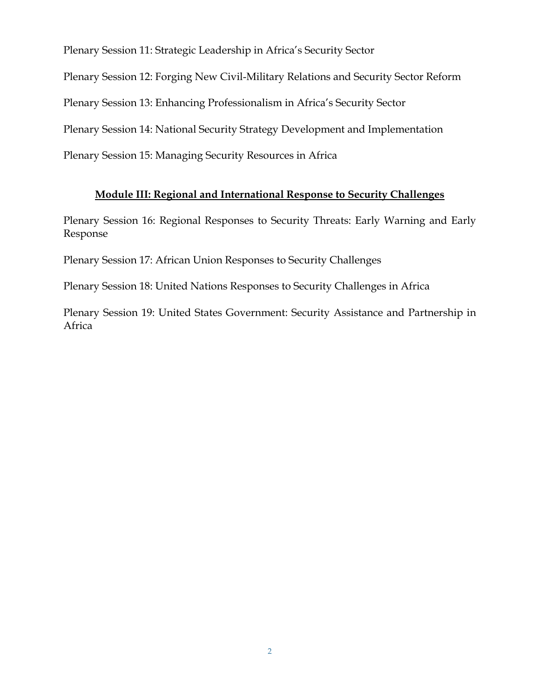Plenary Session 11: Strategic Leadership in Africa's Security Sector

Plenary Session 12: Forging New Civil-Military Relations and Security Sector Reform

Plenary Session 13: Enhancing Professionalism in Africa's Security Sector

Plenary Session 14: National Security Strategy Development and Implementation

Plenary Session 15: Managing Security Resources in Africa

# **Module III: Regional and International Response to Security Challenges**

Plenary Session 16: Regional Responses to Security Threats: Early Warning and Early Response

Plenary Session 17: African Union Responses to Security Challenges

Plenary Session 18: United Nations Responses to Security Challenges in Africa

Plenary Session 19: United States Government: Security Assistance and Partnership in Africa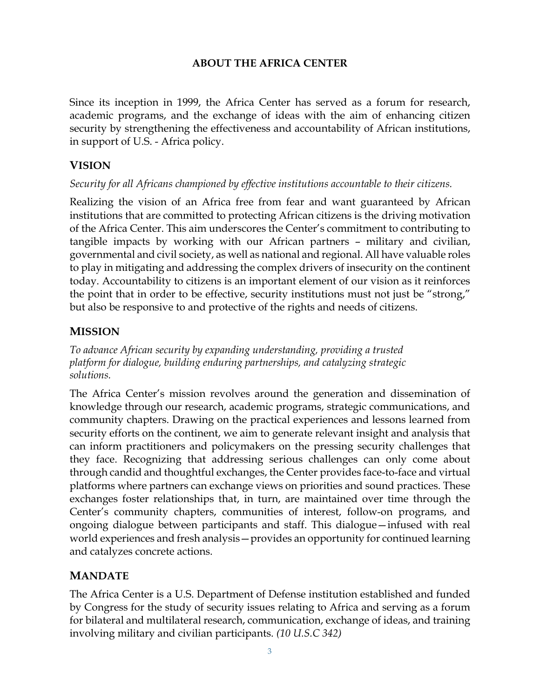# **ABOUT THE AFRICA CENTER**

Since its inception in 1999, the Africa Center has served as a forum for research, academic programs, and the exchange of ideas with the aim of enhancing citizen security by strengthening the effectiveness and accountability of African institutions, in support of U.S. - Africa policy.

# **VISION**

## *Security for all Africans championed by effective institutions accountable to their citizens.*

Realizing the vision of an Africa free from fear and want guaranteed by African institutions that are committed to protecting African citizens is the driving motivation of the Africa Center. This aim underscores the Center's commitment to contributing to tangible impacts by working with our African partners – military and civilian, governmental and civil society, as well as national and regional. All have valuable roles to play in mitigating and addressing the complex drivers of insecurity on the continent today. Accountability to citizens is an important element of our vision as it reinforces the point that in order to be effective, security institutions must not just be "strong," but also be responsive to and protective of the rights and needs of citizens.

# **MISSION**

*To advance African security by expanding understanding, providing a trusted platform for dialogue, building enduring partnerships, and catalyzing strategic solutions.*

The Africa Center's mission revolves around the generation and dissemination of knowledge through our research, academic programs, strategic communications, and community chapters. Drawing on the practical experiences and lessons learned from security efforts on the continent, we aim to generate relevant insight and analysis that can inform practitioners and policymakers on the pressing security challenges that they face. Recognizing that addressing serious challenges can only come about through candid and thoughtful exchanges, the Center provides face-to-face and virtual platforms where partners can exchange views on priorities and sound practices. These exchanges foster relationships that, in turn, are maintained over time through the Center's community chapters, communities of interest, follow-on programs, and ongoing dialogue between participants and staff. This dialogue—infused with real world experiences and fresh analysis—provides an opportunity for continued learning and catalyzes concrete actions.

# **MANDATE**

The Africa Center is a U.S. Department of Defense institution established and funded by Congress for the study of security issues relating to Africa and serving as a forum for bilateral and multilateral research, communication, exchange of ideas, and training involving military and civilian participants. *(10 U.S.C 342)*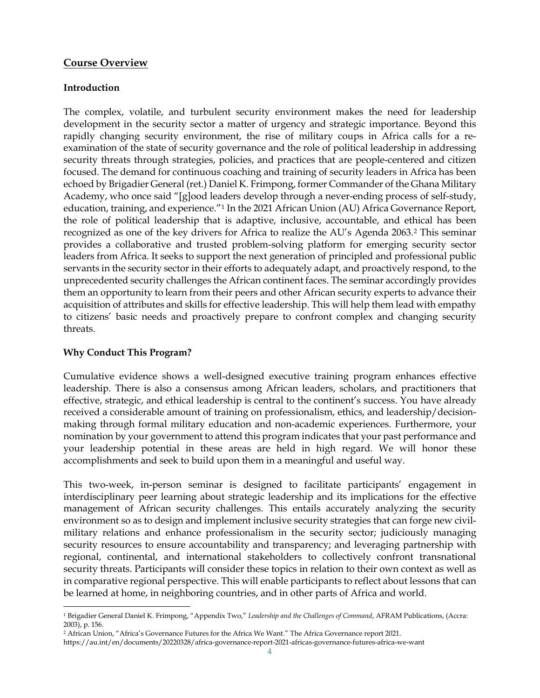### **Course Overview**

#### **Introduction**

The complex, volatile, and turbulent security environment makes the need for leadership development in the security sector a matter of urgency and strategic importance. Beyond this rapidly changing security environment, the rise of military coups in Africa calls for a reexamination of the state of security governance and the role of political leadership in addressing security threats through strategies, policies, and practices that are people-centered and citizen focused. The demand for continuous coaching and training of security leaders in Africa has been echoed by Brigadier General (ret.) Daniel K. Frimpong, former Commander of the Ghana Military Academy, who once said "[g]ood leaders develop through a never-ending process of self-study, education, training, and experience."[1](#page-3-0) In the 2021 African Union (AU) Africa Governance Report, the role of political leadership that is adaptive, inclusive, accountable, and ethical has been recognized as one of the key drivers for Africa to realize the AU's Agenda 2063[.2](#page-3-1) This seminar provides a collaborative and trusted problem-solving platform for emerging security sector leaders from Africa. It seeks to support the next generation of principled and professional public servants in the security sector in their efforts to adequately adapt, and proactively respond, to the unprecedented security challenges the African continent faces. The seminar accordingly provides them an opportunity to learn from their peers and other African security experts to advance their acquisition of attributes and skills for effective leadership. This will help them lead with empathy to citizens' basic needs and proactively prepare to confront complex and changing security threats.

### **Why Conduct This Program?**

Cumulative evidence shows a well-designed executive training program enhances effective leadership. There is also a consensus among African leaders, scholars, and practitioners that effective, strategic, and ethical leadership is central to the continent's success. You have already received a considerable amount of training on professionalism, ethics, and leadership/decisionmaking through formal military education and non-academic experiences. Furthermore, your nomination by your government to attend this program indicates that your past performance and your leadership potential in these areas are held in high regard. We will honor these accomplishments and seek to build upon them in a meaningful and useful way.

This two-week, in-person seminar is designed to facilitate participants' engagement in interdisciplinary peer learning about strategic leadership and its implications for the effective management of African security challenges. This entails accurately analyzing the security environment so as to design and implement inclusive security strategies that can forge new civilmilitary relations and enhance professionalism in the security sector; judiciously managing security resources to ensure accountability and transparency; and leveraging partnership with regional, continental, and international stakeholders to collectively confront transnational security threats. Participants will consider these topics in relation to their own context as well as in comparative regional perspective. This will enable participants to reflect about lessons that can be learned at home, in neighboring countries, and in other parts of Africa and world.

<span id="page-3-0"></span><sup>1</sup> Brigadier General Daniel K. Frimpong, "Appendix Two," *Leadership and the Challenges of Command*, AFRAM Publications, (Accra: 2003), p. 156.

<span id="page-3-1"></span><sup>2</sup> African Union, "Africa's Governance Futures for the Africa We Want." The Africa Governance report 2021.

https://au.int/en/documents/20220328/africa-governance-report-2021-africas-governance-futures-africa-we-want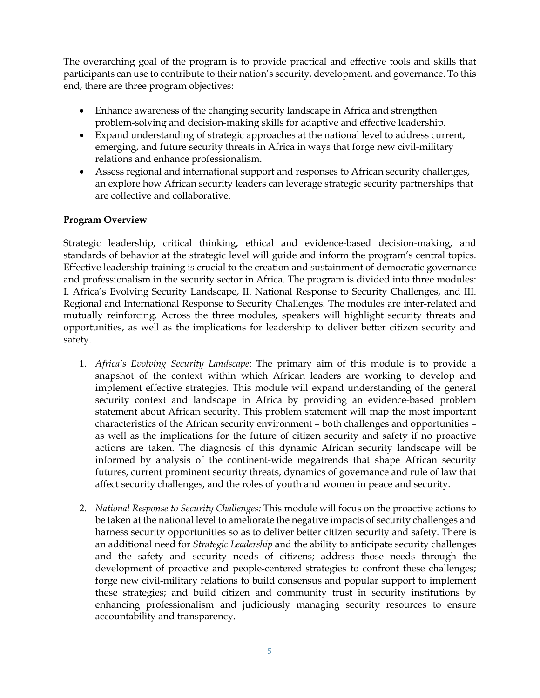The overarching goal of the program is to provide practical and effective tools and skills that participants can use to contribute to their nation's security, development, and governance. To this end, there are three program objectives:

- Enhance awareness of the changing security landscape in Africa and strengthen problem-solving and decision-making skills for adaptive and effective leadership.
- Expand understanding of strategic approaches at the national level to address current, emerging, and future security threats in Africa in ways that forge new civil-military relations and enhance professionalism.
- Assess regional and international support and responses to African security challenges, an explore how African security leaders can leverage strategic security partnerships that are collective and collaborative.

## **Program Overview**

Strategic leadership, critical thinking, ethical and evidence-based decision-making, and standards of behavior at the strategic level will guide and inform the program's central topics. Effective leadership training is crucial to the creation and sustainment of democratic governance and professionalism in the security sector in Africa. The program is divided into three modules: I. Africa's Evolving Security Landscape, II. National Response to Security Challenges, and III. Regional and International Response to Security Challenges. The modules are inter-related and mutually reinforcing. Across the three modules, speakers will highlight security threats and opportunities, as well as the implications for leadership to deliver better citizen security and safety.

- 1. *Africa's Evolving Security Landscape*: The primary aim of this module is to provide a snapshot of the context within which African leaders are working to develop and implement effective strategies. This module will expand understanding of the general security context and landscape in Africa by providing an evidence-based problem statement about African security. This problem statement will map the most important characteristics of the African security environment – both challenges and opportunities – as well as the implications for the future of citizen security and safety if no proactive actions are taken. The diagnosis of this dynamic African security landscape will be informed by analysis of the continent-wide megatrends that shape African security futures, current prominent security threats, dynamics of governance and rule of law that affect security challenges, and the roles of youth and women in peace and security.
- 2. *National Response to Security Challenges:* This module will focus on the proactive actions to be taken at the national level to ameliorate the negative impacts of security challenges and harness security opportunities so as to deliver better citizen security and safety. There is an additional need for *Strategic Leadership* and the ability to anticipate security challenges and the safety and security needs of citizens; address those needs through the development of proactive and people-centered strategies to confront these challenges; forge new civil-military relations to build consensus and popular support to implement these strategies; and build citizen and community trust in security institutions by enhancing professionalism and judiciously managing security resources to ensure accountability and transparency.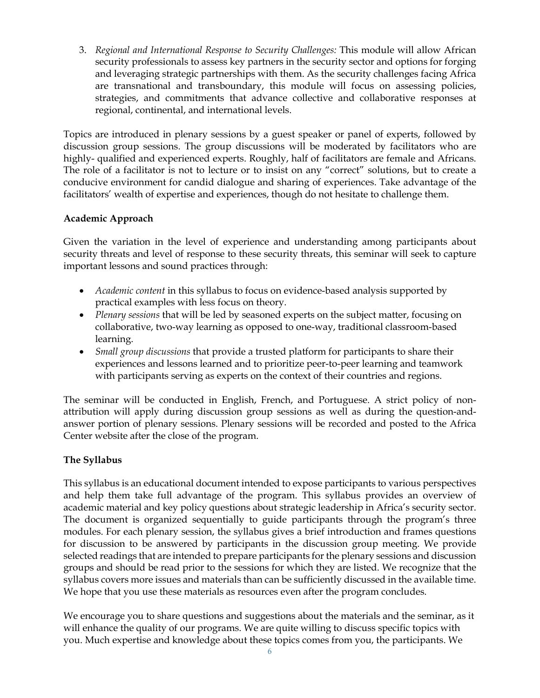3. *Regional and International Response to Security Challenges:* This module will allow African security professionals to assess key partners in the security sector and options for forging and leveraging strategic partnerships with them. As the security challenges facing Africa are transnational and transboundary, this module will focus on assessing policies, strategies, and commitments that advance collective and collaborative responses at regional, continental, and international levels.

Topics are introduced in plenary sessions by a guest speaker or panel of experts, followed by discussion group sessions. The group discussions will be moderated by facilitators who are highly- qualified and experienced experts. Roughly, half of facilitators are female and Africans. The role of a facilitator is not to lecture or to insist on any "correct" solutions, but to create a conducive environment for candid dialogue and sharing of experiences. Take advantage of the facilitators' wealth of expertise and experiences, though do not hesitate to challenge them.

### **Academic Approach**

Given the variation in the level of experience and understanding among participants about security threats and level of response to these security threats, this seminar will seek to capture important lessons and sound practices through:

- *Academic content* in this syllabus to focus on evidence-based analysis supported by practical examples with less focus on theory.
- *Plenary sessions* that will be led by seasoned experts on the subject matter, focusing on collaborative, two-way learning as opposed to one-way, traditional classroom-based learning.
- *Small group discussions* that provide a trusted platform for participants to share their experiences and lessons learned and to prioritize peer-to-peer learning and teamwork with participants serving as experts on the context of their countries and regions.

The seminar will be conducted in English, French, and Portuguese. A strict policy of nonattribution will apply during discussion group sessions as well as during the question-andanswer portion of plenary sessions. Plenary sessions will be recorded and posted to the Africa Center website after the close of the program.

## **The Syllabus**

This syllabus is an educational document intended to expose participants to various perspectives and help them take full advantage of the program. This syllabus provides an overview of academic material and key policy questions about strategic leadership in Africa's security sector. The document is organized sequentially to guide participants through the program's three modules. For each plenary session, the syllabus gives a brief introduction and frames questions for discussion to be answered by participants in the discussion group meeting. We provide selected readings that are intended to prepare participants for the plenary sessions and discussion groups and should be read prior to the sessions for which they are listed. We recognize that the syllabus covers more issues and materials than can be sufficiently discussed in the available time. We hope that you use these materials as resources even after the program concludes.

We encourage you to share questions and suggestions about the materials and the seminar, as it will enhance the quality of our programs. We are quite willing to discuss specific topics with you. Much expertise and knowledge about these topics comes from you, the participants. We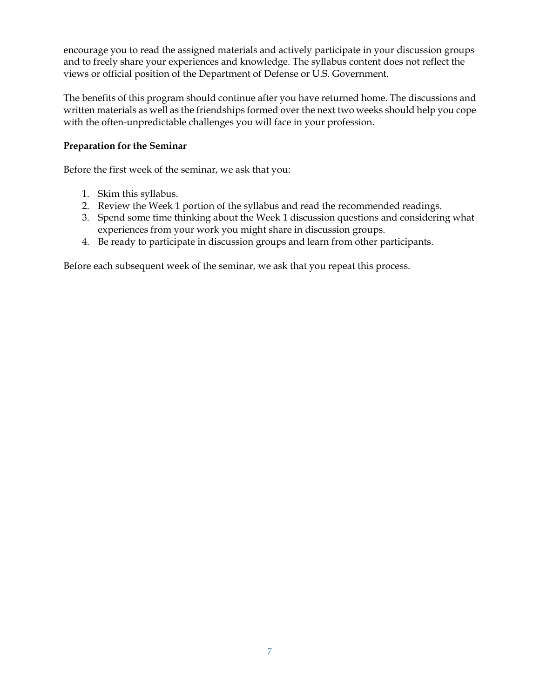encourage you to read the assigned materials and actively participate in your discussion groups and to freely share your experiences and knowledge. The syllabus content does not reflect the views or official position of the Department of Defense or U.S. Government.

The benefits of this program should continue after you have returned home. The discussions and written materials as well as the friendships formed over the next two weeks should help you cope with the often-unpredictable challenges you will face in your profession.

### **Preparation for the Seminar**

Before the first week of the seminar, we ask that you:

- 1. Skim this syllabus.
- 2. Review the Week 1 portion of the syllabus and read the recommended readings.
- 3. Spend some time thinking about the Week 1 discussion questions and considering what experiences from your work you might share in discussion groups.
- 4. Be ready to participate in discussion groups and learn from other participants.

Before each subsequent week of the seminar, we ask that you repeat this process.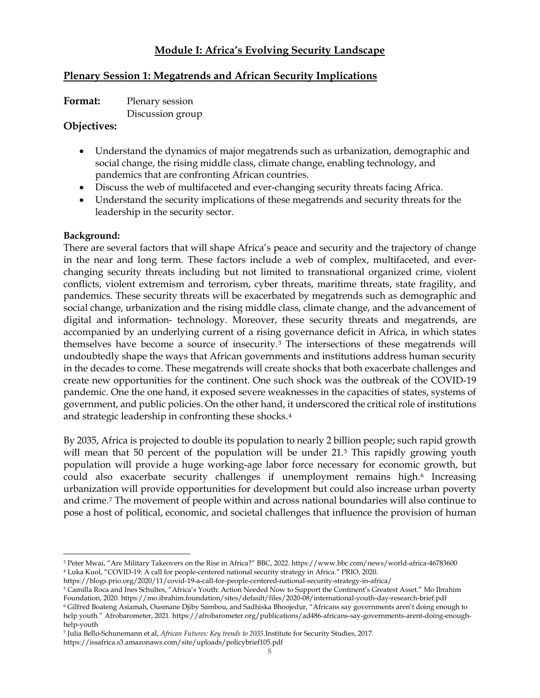## **Module I: Africa's Evolving Security Landscape**

## **Plenary Session 1: Megatrends and African Security Implications**

| Format: | Plenary session  |
|---------|------------------|
|         | Discussion group |

#### **Objectives:**

- Understand the dynamics of major megatrends such as urbanization, demographic and social change, the rising middle class, climate change, enabling technology, and pandemics that are confronting African countries.
- Discuss the web of multifaceted and ever-changing security threats facing Africa.
- Understand the security implications of these megatrends and security threats for the leadership in the security sector.

### **Background:**

There are several factors that will shape Africa's peace and security and the trajectory of change in the near and long term. These factors include a web of complex, multifaceted, and everchanging security threats including but not limited to transnational organized crime, violent conflicts, violent extremism and terrorism, cyber threats, maritime threats, state fragility, and pandemics. These security threats will be exacerbated by megatrends such as demographic and social change, urbanization and the rising middle class, climate change, and the advancement of digital and information- technology. Moreover, these security threats and megatrends, are accompanied by an underlying current of a rising governance deficit in Africa, in which states themselves have become a source of insecurity[.3](#page-7-0) The intersections of these megatrends will undoubtedly shape the ways that African governments and institutions address human security in the decades to come. These megatrends will create shocks that both exacerbate challenges and create new opportunities for the continent. One such shock was the outbreak of the COVID-19 pandemic. One the one hand, it exposed severe weaknesses in the capacities of states, systems of government, and public policies. On the other hand, it underscored the critical role of institutions and strategic leadership in confronting these shocks.[4](#page-7-1)

By 2035, Africa is projected to double its population to nearly 2 billion people; such rapid growth will mean that [5](#page-7-2)0 percent of the population will be under 21.<sup>5</sup> This rapidly growing youth population will provide a huge working-age labor force necessary for economic growth, but could also exacerbate security challenges if unemployment remains high.<sup>[6](#page-7-3)</sup> Increasing urbanization will provide opportunities for development but could also increase urban poverty and crime.[7](#page-7-4) The movement of people within and across national boundaries will also continue to pose a host of political, economic, and societal challenges that influence the provision of human

<span id="page-7-2"></span><sup>5</sup> Camilla Roca and Ines Schultes, "Africa's Youth: Action Needed Now to Support the Continent's Greatest Asset." Mo Ibrahim Foundation, 2020. https://mo.ibrahim.foundation/sites/default/files/2020-08/international-youth-day-research-brief.pdf

<span id="page-7-0"></span><sup>3</sup> Peter Mwai, "Are Military Takeovers on the Rise in Africa?" BBC, 2022. https://www.bbc.com/news/world-africa-46783600 <sup>4</sup> Luka Kuol, "COVID-19: A call for people-centered national security strategy in Africa." PRIO, 2020.

<span id="page-7-1"></span>https://blogs.prio.org/2020/11/covid-19-a-call-for-people-centered-national-security-strategy-in-africa/

<span id="page-7-3"></span><sup>6</sup> Gilfred Boateng Asiamah, Ousmane Djiby Sambou, and Sadhiska Bhoojedur, "Africans say governments aren't doing enough to help youth." Afrobarometer, 2021. https://afrobarometer.org/publications/ad486-africans-say-governments-arent-doing-enoughhelp-youth

<span id="page-7-4"></span><sup>7</sup> Julia Bello-Schunemann et al, *African Futures: Key trends to 2035.*Institute for Security Studies, 2017.

https://issafrica.s3.amazonaws.com/site/uploads/policybrief105.pdf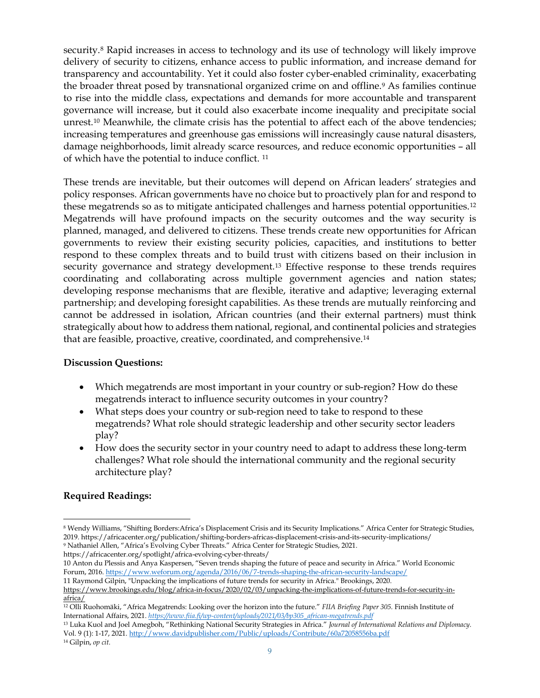security.<sup>[8](#page-8-0)</sup> Rapid increases in access to technology and its use of technology will likely improve delivery of security to citizens, enhance access to public information, and increase demand for transparency and accountability. Yet it could also foster cyber-enabled criminality, exacerbating the broader threat posed by transnational organized crime on and offline.[9](#page-8-1) As families continue to rise into the middle class, expectations and demands for more accountable and transparent governance will increase, but it could also exacerbate income inequality and precipitate social unrest.[10](#page-8-2) Meanwhile, the climate crisis has the potential to affect each of the above tendencies; increasing temperatures and greenhouse gas emissions will increasingly cause natural disasters, damage neighborhoods, limit already scarce resources, and reduce economic opportunities – all of which have the potential to induce conflict. [11](#page-8-3)

These trends are inevitable, but their outcomes will depend on African leaders' strategies and policy responses. African governments have no choice but to proactively plan for and respond to these megatrends so as to mitigate anticipated challenges and harness potential opportunities.[12](#page-8-4) Megatrends will have profound impacts on the security outcomes and the way security is planned, managed, and delivered to citizens. These trends create new opportunities for African governments to review their existing security policies, capacities, and institutions to better respond to these complex threats and to build trust with citizens based on their inclusion in security governance and strategy development.<sup>[13](#page-8-5)</sup> Effective response to these trends requires coordinating and collaborating across multiple government agencies and nation states; developing response mechanisms that are flexible, iterative and adaptive; leveraging external partnership; and developing foresight capabilities. As these trends are mutually reinforcing and cannot be addressed in isolation, African countries (and their external partners) must think strategically about how to address them national, regional, and continental policies and strategies that are feasible, proactive, creative, coordinated, and comprehensive.[14](#page-8-6)

#### **Discussion Questions:**

- Which megatrends are most important in your country or sub-region? How do these megatrends interact to influence security outcomes in your country?
- What steps does your country or sub-region need to take to respond to these megatrends? What role should strategic leadership and other security sector leaders play?
- How does the security sector in your country need to adapt to address these long-term challenges? What role should the international community and the regional security architecture play?

## **Required Readings:**

<span id="page-8-1"></span>https://africacenter.org/spotlight/africa-evolving-cyber-threats/

<span id="page-8-0"></span><sup>8</sup> Wendy Williams, "Shifting Borders:Africa's Displacement Crisis and its Security Implications." Africa Center for Strategic Studies, 2019. https://africacenter.org/publication/shifting-borders-africas-displacement-crisis-and-its-security-implications/ <sup>9</sup> Nathaniel Allen, "Africa's Evolving Cyber Threats." Africa Center for Strategic Studies, 2021.

<span id="page-8-2"></span><sup>10</sup> Anton du Plessis and Anya Kaspersen, "Seven trends shaping the future of peace and security in Africa." World Economic Forum, 2016.<https://www.weforum.org/agenda/2016/06/7-trends-shaping-the-african-security-landscape/>

<span id="page-8-3"></span><sup>11</sup> Raymond Gilpin, "Unpacking the implications of future trends for security in Africa." Brookings, 2020. [https://www.brookings.edu/blog/africa-in-focus/2020/02/03/unpacking-the-implications-of-future-trends-for-security-in](https://www.brookings.edu/blog/africa-in-focus/2020/02/03/unpacking-the-implications-of-future-trends-for-security-in-africa/)[africa/](https://www.brookings.edu/blog/africa-in-focus/2020/02/03/unpacking-the-implications-of-future-trends-for-security-in-africa/)

<span id="page-8-4"></span><sup>12</sup> Olli Ruohomäki, "Africa Megatrends: Looking over the horizon into the future." *FIIA Briefing Paper 305.* Finnish Institute of International Affairs, 2021. *[https://www.fiia.fi/wp-content/uploads/2021/03/bp305\\_african-megatrends.pdf](https://www.fiia.fi/wp-content/uploads/2021/03/bp305_african-megatrends.pdf)*

<span id="page-8-5"></span><sup>13</sup> Luka Kuol and Joel Amegboh, "Rethinking National Security Strategies in Africa." *Journal of International Relations and Diplomacy.*  Vol. 9 (1): 1-17, 2021[. http://www.davidpublisher.com/Public/uploads/Contribute/60a72058556ba.pdf](http://www.davidpublisher.com/Public/uploads/Contribute/60a72058556ba.pdf)

<span id="page-8-6"></span><sup>14</sup> Gilpin, *op cit*.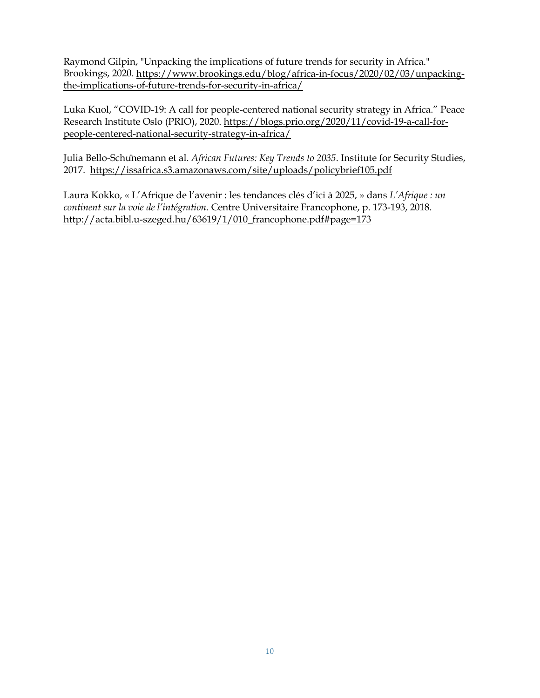Raymond Gilpin, "Unpacking the implications of future trends for security in Africa." Brookings, 2020. [https://www.brookings.edu/blog/africa-in-focus/2020/02/03/unpacking](https://www.brookings.edu/blog/africa-in-focus/2020/02/03/unpacking-the-implications-of-future-trends-for-security-in-africa/)[the-implications-of-future-trends-for-security-in-africa/](https://www.brookings.edu/blog/africa-in-focus/2020/02/03/unpacking-the-implications-of-future-trends-for-security-in-africa/)

Luka Kuol, "COVID-19: A call for people-centered national security strategy in Africa." Peace Research Institute Oslo (PRIO), 2020. [https://blogs.prio.org/2020/11/covid-19-a-call-for](https://blogs.prio.org/2020/11/covid-19-a-call-for-people-centered-national-security-strategy-in-africa/)[people-centered-national-security-strategy-in-africa/](https://blogs.prio.org/2020/11/covid-19-a-call-for-people-centered-national-security-strategy-in-africa/)

Julia Bello-Schünemann et al. *African Futures: Key Trends to 2035*. Institute for Security Studies, 2017. <https://issafrica.s3.amazonaws.com/site/uploads/policybrief105.pdf>

Laura Kokko, « L'Afrique de l'avenir : les tendances clés d'ici à 2025, » dans *L'Afrique : un continent sur la voie de l'intégration.* Centre Universitaire Francophone, p. 173-193, 2018. [http://acta.bibl.u-szeged.hu/63619/1/010\\_francophone.pdf#page=173](http://acta.bibl.u-szeged.hu/63619/1/010_francophone.pdf#page=173)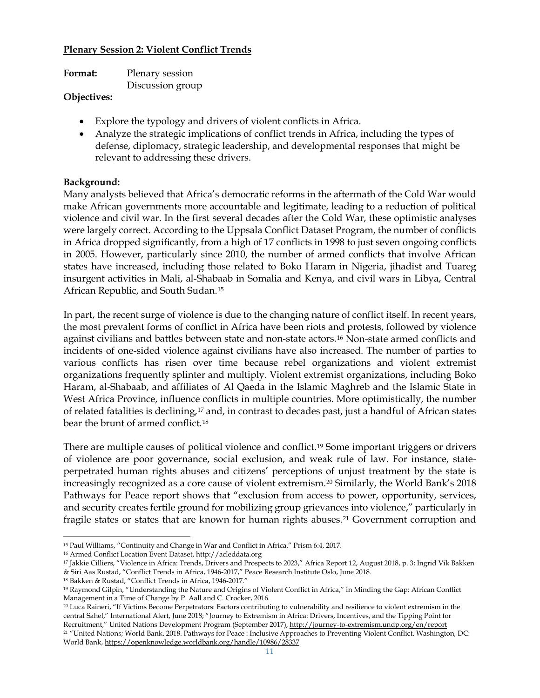### **Plenary Session 2: Violent Conflict Trends**

| Format:              | Plenary session  |
|----------------------|------------------|
|                      | Discussion group |
| $\sim$ $\sim$ $\sim$ |                  |

#### **Objectives:**

- Explore the typology and drivers of violent conflicts in Africa.
- Analyze the strategic implications of conflict trends in Africa, including the types of defense, diplomacy, strategic leadership, and developmental responses that might be relevant to addressing these drivers.

### **Background:**

Many analysts believed that Africa's democratic reforms in the aftermath of the Cold War would make African governments more accountable and legitimate, leading to a reduction of political violence and civil war. In the first several decades after the Cold War, these optimistic analyses were largely correct. According to the Uppsala Conflict Dataset Program, the number of conflicts in Africa dropped significantly, from a high of 17 conflicts in 1998 to just seven ongoing conflicts in 2005. However, particularly since 2010, the number of armed conflicts that involve African states have increased, including those related to Boko Haram in Nigeria, jihadist and Tuareg insurgent activities in Mali, al-Shabaab in Somalia and Kenya, and civil wars in Libya, Central African Republic, and South Sudan.[15](#page-10-0)

In part, the recent surge of violence is due to the changing nature of conflict itself. In recent years, the most prevalent forms of conflict in Africa have been riots and protests, followed by violence against civilians and battles between state and non-state actors.[16](#page-10-1) Non-state armed conflicts and incidents of one-sided violence against civilians have also increased. The number of parties to various conflicts has risen over time because rebel organizations and violent extremist organizations frequently splinter and multiply. Violent extremist organizations, including Boko Haram, al-Shabaab, and affiliates of Al Qaeda in the Islamic Maghreb and the Islamic State in West Africa Province, influence conflicts in multiple countries. More optimistically, the number of related fatalities is declining,[17](#page-10-2) and, in contrast to decades past, just a handful of African states bear the brunt of armed conflict.[18](#page-10-3)

There are multiple causes of political violence and conflict.[19](#page-10-4) Some important triggers or drivers of violence are poor governance, social exclusion, and weak rule of law. For instance, stateperpetrated human rights abuses and citizens' perceptions of unjust treatment by the state is increasingly recognized as a core cause of violent extremism.[20](#page-10-5) Similarly, the World Bank's 2018 Pathways for Peace report shows that "exclusion from access to power, opportunity, services, and security creates fertile ground for mobilizing group grievances into violence," particularly in fragile states or states that are known for human rights abuses.<sup>[21](#page-10-6)</sup> Government corruption and

<span id="page-10-0"></span><sup>15</sup> Paul Williams, "Continuity and Change in War and Conflict in Africa." Prism 6:4, 2017.

<span id="page-10-1"></span><sup>16</sup> Armed Conflict Location Event Dataset, http://acleddata.org

<span id="page-10-2"></span><sup>&</sup>lt;sup>17</sup> Jakkie Cilliers, "Violence in Africa: Trends, Drivers and Prospects to 2023," Africa Report 12, August 2018, p. 3; Ingrid Vik Bakken & Siri Aas Rustad, "Conflict Trends in Africa, 1946-2017," Peace Research Institute Oslo, June 2018.

<span id="page-10-3"></span><sup>18</sup> Bakken & Rustad, "Conflict Trends in Africa, 1946-2017."

<span id="page-10-4"></span><sup>19</sup> Raymond Gilpin, "Understanding the Nature and Origins of Violent Conflict in Africa," in Minding the Gap: African Conflict Management in a Time of Change by P. Aall and C. Crocker, 2016.

<span id="page-10-6"></span><span id="page-10-5"></span><sup>20</sup> Luca Raineri, "If Victims Become Perpetrators: Factors contributing to vulnerability and resilience to violent extremism in the central Sahel," International Alert, June 2018; "Journey to Extremism in Africa: Drivers, Incentives, and the Tipping Point for Recruitment," United Nations Development Program (September 2017)[, http://journey-to-extremism.undp.org/en/report](http://journey-to-extremism.undp.org/en/report) <sup>21</sup> "United Nations; World Bank. 2018. Pathways for Peace : Inclusive Approaches to Preventing Violent Conflict. Washington, DC: World Bank[, https://openknowledge.worldbank.org/handle/10986/28337](https://openknowledge.worldbank.org/handle/10986/28337)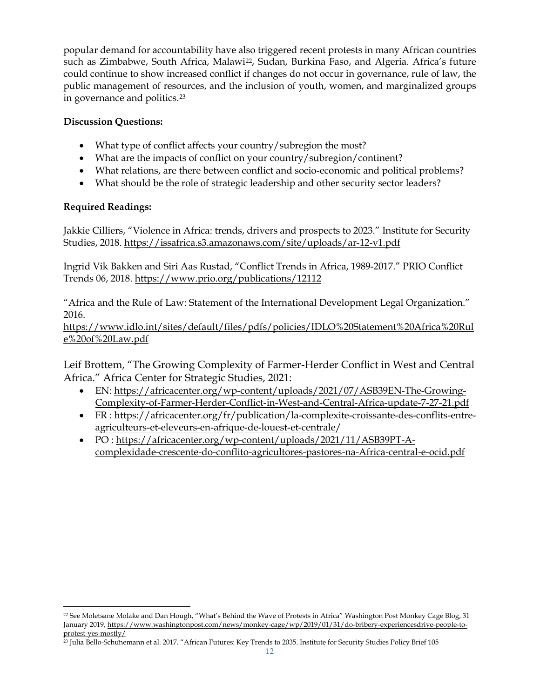popular demand for accountability have also triggered recent protests in many African countries such as Zimbabwe, South Africa, Malawi<sup>22</sup>, Sudan, Burkina Faso, and Algeria. Africa's future could continue to show increased conflict if changes do not occur in governance, rule of law, the public management of resources, and the inclusion of youth, women, and marginalized groups in governance and politics.[23](#page-11-1)

### **Discussion Questions:**

- What type of conflict affects your country/subregion the most?
- What are the impacts of conflict on your country/subregion/continent?
- What relations, are there between conflict and socio-economic and political problems?
- What should be the role of strategic leadership and other security sector leaders?

### **Required Readings:**

Jakkie Cilliers, "Violence in Africa: trends, drivers and prospects to 2023." Institute for Security Studies, 2018.<https://issafrica.s3.amazonaws.com/site/uploads/ar-12-v1.pdf>

Ingrid Vik Bakken and Siri Aas Rustad, "Conflict Trends in Africa, 1989-2017." PRIO Conflict Trends 06, 2018. <https://www.prio.org/publications/12112>

"Africa and the Rule of Law: Statement of the International Development Legal Organization." 2016.

[https://www.idlo.int/sites/default/files/pdfs/policies/IDLO%20Statement%20Africa%20Rul](https://www.idlo.int/sites/default/files/pdfs/policies/IDLO%20Statement%20Africa%20Rule%20of%20Law.pdf) [e%20of%20Law.pdf](https://www.idlo.int/sites/default/files/pdfs/policies/IDLO%20Statement%20Africa%20Rule%20of%20Law.pdf)

Leif Brottem, "The Growing Complexity of Farmer-Herder Conflict in West and Central Africa." Africa Center for Strategic Studies, 2021:

- EN: [https://africacenter.org/wp-content/uploads/2021/07/ASB39EN-The-Growing-](https://africacenter.org/wp-content/uploads/2021/07/ASB39EN-The-Growing-Complexity-of-Farmer-Herder-Conflict-in-West-and-Central-Africa-update-7-27-21.pdf)[Complexity-of-Farmer-Herder-Conflict-in-West-and-Central-Africa-update-7-27-21.pdf](https://africacenter.org/wp-content/uploads/2021/07/ASB39EN-The-Growing-Complexity-of-Farmer-Herder-Conflict-in-West-and-Central-Africa-update-7-27-21.pdf)
- FR : [https://africacenter.org/fr/publication/la-complexite-croissante-des-conflits-entre](https://africacenter.org/fr/publication/la-complexite-croissante-des-conflits-entre-agriculteurs-et-eleveurs-en-afrique-de-louest-et-centrale/)[agriculteurs-et-eleveurs-en-afrique-de-louest-et-centrale/](https://africacenter.org/fr/publication/la-complexite-croissante-des-conflits-entre-agriculteurs-et-eleveurs-en-afrique-de-louest-et-centrale/)
- PO : [https://africacenter.org/wp-content/uploads/2021/11/ASB39PT-A](https://africacenter.org/wp-content/uploads/2021/11/ASB39PT-A-complexidade-crescente-do-conflito-agricultores-pastores-na-Africa-central-e-ocid.pdf)[complexidade-crescente-do-conflito-agricultores-pastores-na-Africa-central-e-ocid.pdf](https://africacenter.org/wp-content/uploads/2021/11/ASB39PT-A-complexidade-crescente-do-conflito-agricultores-pastores-na-Africa-central-e-ocid.pdf)

<span id="page-11-0"></span><sup>&</sup>lt;sup>22</sup> See Moletsane Molake and Dan Hough, "What's Behind the Wave of Protests in Africa" Washington Post Monkey Cage Blog, 31 January 2019, [https://www.washingtonpost.com/news/monkey-cage/wp/2019/01/31/do-bribery-experiencesdrive-people-to](https://www.washingtonpost.com/news/monkey-cage/wp/2019/01/31/do-bribery-experiencesdrive-people-to-protest-yes-mostly/)[protest-yes-mostly/](https://www.washingtonpost.com/news/monkey-cage/wp/2019/01/31/do-bribery-experiencesdrive-people-to-protest-yes-mostly/)

<span id="page-11-1"></span><sup>23</sup> Julia Bello-Schünemann et al. 2017. "African Futures: Key Trends to 2035. Institute for Security Studies Policy Brief 105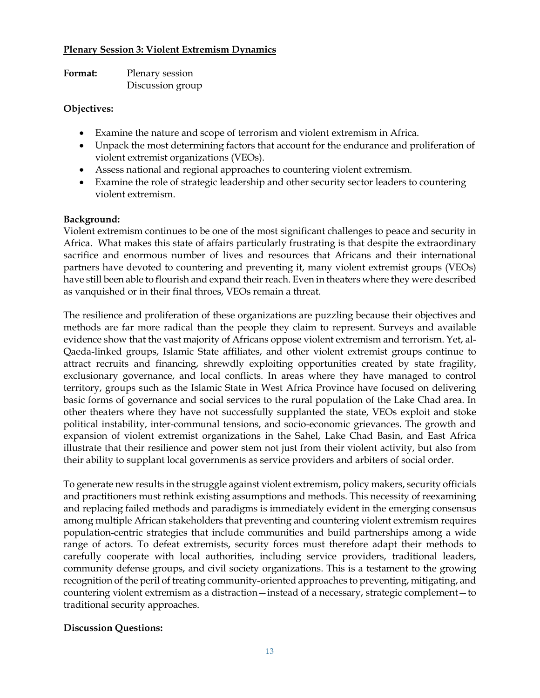#### **Plenary Session 3: Violent Extremism Dynamics**

| Format: | Plenary session  |
|---------|------------------|
|         | Discussion group |

### **Objectives:**

- Examine the nature and scope of terrorism and violent extremism in Africa.
- Unpack the most determining factors that account for the endurance and proliferation of violent extremist organizations (VEOs).
- Assess national and regional approaches to countering violent extremism.
- Examine the role of strategic leadership and other security sector leaders to countering violent extremism.

#### **Background:**

Violent extremism continues to be one of the most significant challenges to peace and security in Africa. What makes this state of affairs particularly frustrating is that despite the extraordinary sacrifice and enormous number of lives and resources that Africans and their international partners have devoted to countering and preventing it, many violent extremist groups (VEOs) have still been able to flourish and expand their reach. Even in theaters where they were described as vanquished or in their final throes, VEOs remain a threat.

The resilience and proliferation of these organizations are puzzling because their objectives and methods are far more radical than the people they claim to represent. Surveys and available evidence show that the vast majority of Africans oppose violent extremism and terrorism. Yet, al-Qaeda-linked groups, Islamic State affiliates, and other violent extremist groups continue to attract recruits and financing, shrewdly exploiting opportunities created by state fragility, exclusionary governance, and local conflicts. In areas where they have managed to control territory, groups such as the Islamic State in West Africa Province have focused on delivering basic forms of governance and social services to the rural population of the Lake Chad area. In other theaters where they have not successfully supplanted the state, VEOs exploit and stoke political instability, inter-communal tensions, and socio-economic grievances. The growth and expansion of violent extremist organizations in the Sahel, Lake Chad Basin, and East Africa illustrate that their resilience and power stem not just from their violent activity, but also from their ability to supplant local governments as service providers and arbiters of social order.

To generate new results in the struggle against violent extremism, policy makers, security officials and practitioners must rethink existing assumptions and methods. This necessity of reexamining and replacing failed methods and paradigms is immediately evident in the emerging consensus among multiple African stakeholders that preventing and countering violent extremism requires population-centric strategies that include communities and build partnerships among a wide range of actors. To defeat extremists, security forces must therefore adapt their methods to carefully cooperate with local authorities, including service providers, traditional leaders, community defense groups, and civil society organizations. This is a testament to the growing recognition of the peril of treating community-oriented approaches to preventing, mitigating, and countering violent extremism as a distraction—instead of a necessary, strategic complement—to traditional security approaches.

## **Discussion Questions:**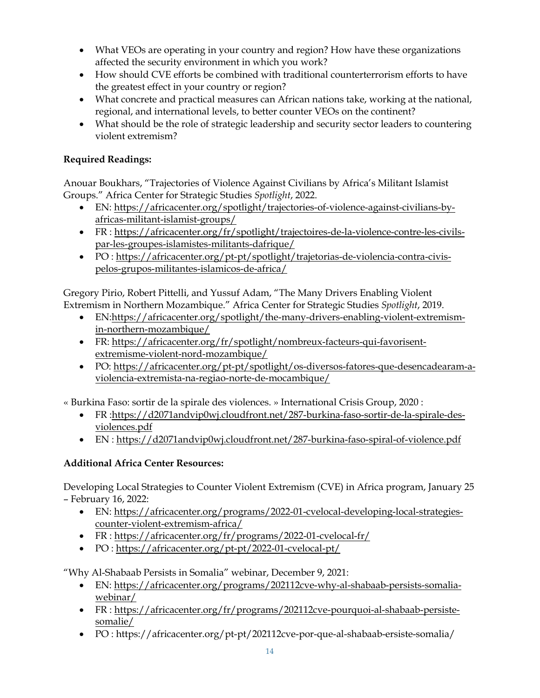- What VEOs are operating in your country and region? How have these organizations affected the security environment in which you work?
- How should CVE efforts be combined with traditional counterterrorism efforts to have the greatest effect in your country or region?
- What concrete and practical measures can African nations take, working at the national, regional, and international levels, to better counter VEOs on the continent?
- What should be the role of strategic leadership and security sector leaders to countering violent extremism?

# **Required Readings:**

Anouar Boukhars, "Trajectories of Violence Against Civilians by Africa's Militant Islamist Groups." Africa Center for Strategic Studies *Spotlight*, 2022.

- EN: [https://africacenter.org/spotlight/trajectories-of-violence-against-civilians-by](https://africacenter.org/spotlight/trajectories-of-violence-against-civilians-by-africas-militant-islamist-groups/)[africas-militant-islamist-groups/](https://africacenter.org/spotlight/trajectories-of-violence-against-civilians-by-africas-militant-islamist-groups/)
- FR : [https://africacenter.org/fr/spotlight/trajectoires-de-la-violence-contre-les-civils](https://africacenter.org/fr/spotlight/trajectoires-de-la-violence-contre-les-civils-par-les-groupes-islamistes-militants-dafrique/)[par-les-groupes-islamistes-militants-dafrique/](https://africacenter.org/fr/spotlight/trajectoires-de-la-violence-contre-les-civils-par-les-groupes-islamistes-militants-dafrique/)
- PO : [https://africacenter.org/pt-pt/spotlight/trajetorias-de-violencia-contra-civis](https://africacenter.org/pt-pt/spotlight/trajetorias-de-violencia-contra-civis-pelos-grupos-militantes-islamicos-de-africa/)[pelos-grupos-militantes-islamicos-de-africa/](https://africacenter.org/pt-pt/spotlight/trajetorias-de-violencia-contra-civis-pelos-grupos-militantes-islamicos-de-africa/)

Gregory Pirio, Robert Pittelli, and Yussuf Adam, "The Many Drivers Enabling Violent Extremism in Northern Mozambique." Africa Center for Strategic Studies *Spotlight*, 2019.

- EN[:https://africacenter.org/spotlight/the-many-drivers-enabling-violent-extremism](https://africacenter.org/spotlight/the-many-drivers-enabling-violent-extremism-in-northern-mozambique/)[in-northern-mozambique/](https://africacenter.org/spotlight/the-many-drivers-enabling-violent-extremism-in-northern-mozambique/)
- FR: [https://africacenter.org/fr/spotlight/nombreux-facteurs-qui-favorisent](https://africacenter.org/fr/spotlight/nombreux-facteurs-qui-favorisent-extremisme-violent-nord-mozambique/)[extremisme-violent-nord-mozambique/](https://africacenter.org/fr/spotlight/nombreux-facteurs-qui-favorisent-extremisme-violent-nord-mozambique/)
- PO: [https://africacenter.org/pt-pt/spotlight/os-diversos-fatores-que-desencadearam-a](https://africacenter.org/pt-pt/spotlight/os-diversos-fatores-que-desencadearam-a-violencia-extremista-na-regiao-norte-de-mocambique/)[violencia-extremista-na-regiao-norte-de-mocambique/](https://africacenter.org/pt-pt/spotlight/os-diversos-fatores-que-desencadearam-a-violencia-extremista-na-regiao-norte-de-mocambique/)

« Burkina Faso: sortir de la spirale des violences. » International Crisis Group, 2020 :

- FR [:https://d2071andvip0wj.cloudfront.net/287-burkina-faso-sortir-de-la-spirale-des](https://d2071andvip0wj.cloudfront.net/287-burkina-faso-sortir-de-la-spirale-des-violences.pdf)[violences.pdf](https://d2071andvip0wj.cloudfront.net/287-burkina-faso-sortir-de-la-spirale-des-violences.pdf)
- EN :<https://d2071andvip0wj.cloudfront.net/287-burkina-faso-spiral-of-violence.pdf>

# **Additional Africa Center Resources:**

Developing Local Strategies to Counter Violent Extremism (CVE) in Africa program, January 25 – February 16, 2022:

- EN: [https://africacenter.org/programs/2022-01-cvelocal-developing-local-strategies](https://africacenter.org/programs/2022-01-cvelocal-developing-local-strategies-counter-violent-extremism-africa/)[counter-violent-extremism-africa/](https://africacenter.org/programs/2022-01-cvelocal-developing-local-strategies-counter-violent-extremism-africa/)
- FR :<https://africacenter.org/fr/programs/2022-01-cvelocal-fr/>
- PO :<https://africacenter.org/pt-pt/2022-01-cvelocal-pt/>

"Why Al-Shabaab Persists in Somalia" webinar, December 9, 2021:

- EN: [https://africacenter.org/programs/202112cve-why-al-shabaab-persists-somalia](https://africacenter.org/programs/202112cve-why-al-shabaab-persists-somalia-webinar/)[webinar/](https://africacenter.org/programs/202112cve-why-al-shabaab-persists-somalia-webinar/)
- FR : [https://africacenter.org/fr/programs/202112cve-pourquoi-al-shabaab-persiste](https://africacenter.org/fr/programs/202112cve-pourquoi-al-shabaab-persiste-somalie/)[somalie/](https://africacenter.org/fr/programs/202112cve-pourquoi-al-shabaab-persiste-somalie/)
- PO : https://africacenter.org/pt-pt/202112cve-por-que-al-shabaab-ersiste-somalia/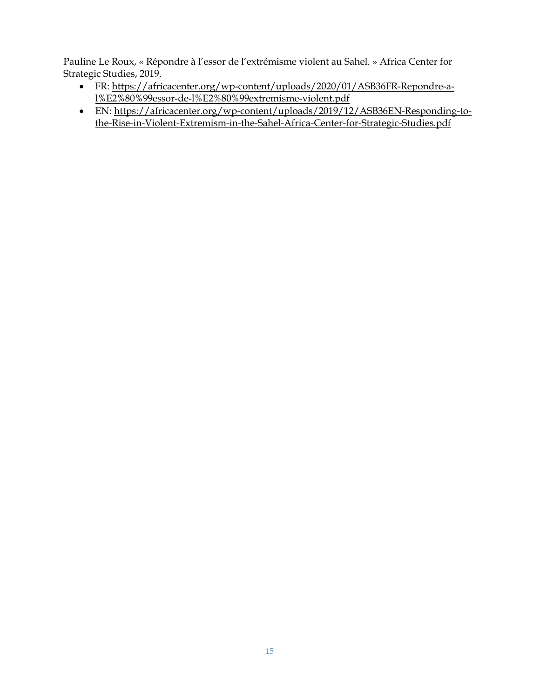Pauline Le Roux, « Répondre à l'essor de l'extrémisme violent au Sahel. » Africa Center for Strategic Studies, 2019.

- FR: [https://africacenter.org/wp-content/uploads/2020/01/ASB36FR-Repondre-a](https://africacenter.org/wp-content/uploads/2020/01/ASB36FR-Repondre-a-l%E2%80%99essor-de-l%E2%80%99extremisme-violent.pdf)[l%E2%80%99essor-de-l%E2%80%99extremisme-violent.pdf](https://africacenter.org/wp-content/uploads/2020/01/ASB36FR-Repondre-a-l%E2%80%99essor-de-l%E2%80%99extremisme-violent.pdf)
- EN: [https://africacenter.org/wp-content/uploads/2019/12/ASB36EN-Responding-to](https://africacenter.org/wp-content/uploads/2019/12/ASB36EN-Responding-to-the-Rise-in-Violent-Extremism-in-the-Sahel-Africa-Center-for-Strategic-Studies.pdf)[the-Rise-in-Violent-Extremism-in-the-Sahel-Africa-Center-for-Strategic-Studies.pdf](https://africacenter.org/wp-content/uploads/2019/12/ASB36EN-Responding-to-the-Rise-in-Violent-Extremism-in-the-Sahel-Africa-Center-for-Strategic-Studies.pdf)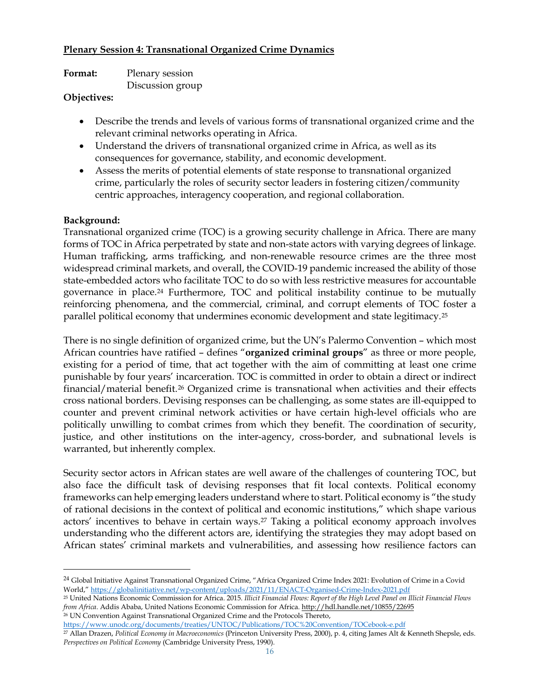### **Plenary Session 4: Transnational Organized Crime Dynamics**

| Format:       | Plenary session  |
|---------------|------------------|
| $\sim$ $\sim$ | Discussion group |

#### **Objectives:**

- Describe the trends and levels of various forms of transnational organized crime and the relevant criminal networks operating in Africa.
- Understand the drivers of transnational organized crime in Africa, as well as its consequences for governance, stability, and economic development.
- Assess the merits of potential elements of state response to transnational organized crime, particularly the roles of security sector leaders in fostering citizen/community centric approaches, interagency cooperation, and regional collaboration.

### **Background:**

Transnational organized crime (TOC) is a growing security challenge in Africa. There are many forms of TOC in Africa perpetrated by state and non-state actors with varying degrees of linkage. Human trafficking, arms trafficking, and non-renewable resource crimes are the three most widespread criminal markets, and overall, the COVID-19 pandemic increased the ability of those state-embedded actors who facilitate TOC to do so with less restrictive measures for accountable governance in place.[24](#page-15-0) Furthermore, TOC and political instability continue to be mutually reinforcing phenomena, and the commercial, criminal, and corrupt elements of TOC foster a parallel political economy that undermines economic development and state legitimacy.[25](#page-15-1)

There is no single definition of organized crime, but the UN's Palermo Convention – which most African countries have ratified – defines "**organized criminal groups**" as three or more people, existing for a period of time, that act together with the aim of committing at least one crime punishable by four years' incarceration. TOC is committed in order to obtain a direct or indirect financial/material benefit.[26](#page-15-2) Organized crime is transnational when activities and their effects cross national borders. Devising responses can be challenging, as some states are ill-equipped to counter and prevent criminal network activities or have certain high-level officials who are politically unwilling to combat crimes from which they benefit. The coordination of security, justice, and other institutions on the inter-agency, cross-border, and subnational levels is warranted, but inherently complex.

Security sector actors in African states are well aware of the challenges of countering TOC, but also face the difficult task of devising responses that fit local contexts. Political economy frameworks can help emerging leaders understand where to start. Political economy is "the study of rational decisions in the context of political and economic institutions," which shape various actors' incentives to behave in certain ways.[27](#page-15-3) Taking a political economy approach involves understanding who the different actors are, identifying the strategies they may adopt based on African states' criminal markets and vulnerabilities, and assessing how resilience factors can

<span id="page-15-3"></span><span id="page-15-2"></span><https://www.unodc.org/documents/treaties/UNTOC/Publications/TOC%20Convention/TOCebook-e.pdf>

<span id="page-15-0"></span><sup>24</sup> Global Initiative Against Transnational Organized Crime, "Africa Organized Crime Index 2021: Evolution of Crime in a Covid World,[" https://globalinitiative.net/wp-content/uploads/2021/11/ENACT-Organised-Crime-Index-2021.pdf](https://globalinitiative.net/wp-content/uploads/2021/11/ENACT-Organised-Crime-Index-2021.pdf)

<span id="page-15-1"></span><sup>25</sup> United Nations Economic Commission for Africa. 2015. *Illicit Financial Flows: Report of the High Level Panel on Illicit Financial Flows from Africa*. Addis Ababa, United Nations Economic Commission for Africa[. http://hdl.handle.net/10855/22695](http://hdl.handle.net/10855/22695) <sup>26</sup> UN Convention Against Transnational Organized Crime and the Protocols Thereto,

<sup>27</sup> Allan Drazen, *Political Economy in Macroeconomics* (Princeton University Press, 2000), p. 4, citing James Alt & Kenneth Shepsle, eds. *Perspectives on Political Economy* (Cambridge University Press, 1990).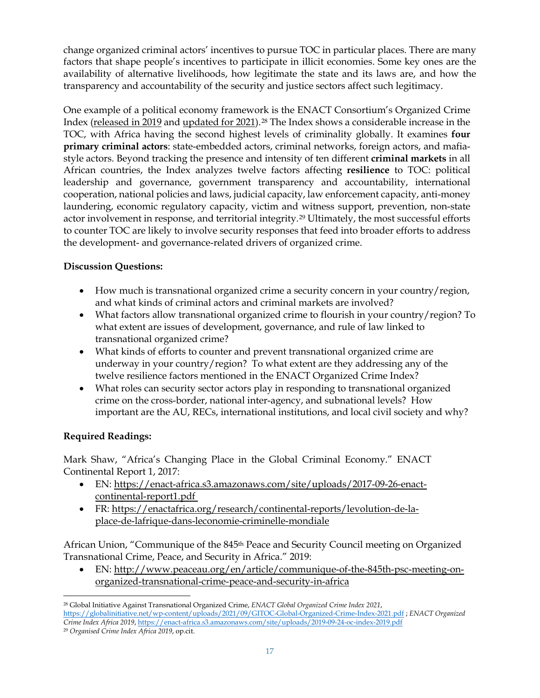change organized criminal actors' incentives to pursue TOC in particular places. There are many factors that shape people's incentives to participate in illicit economies. Some key ones are the availability of alternative livelihoods, how legitimate the state and its laws are, and how the transparency and accountability of the security and justice sectors affect such legitimacy.

One example of a political economy framework is the ENACT Consortium's Organized Crime Index [\(released in 2019](https://enact-africa.s3.amazonaws.com/site/uploads/2019-09-24-oc-index-2019.pdf) and [updated for 2021\)](https://globalinitiative.net/wp-content/uploads/2021/09/GITOC-Global-Organized-Crime-Index-2021.pdf).[28](#page-16-0) The Index shows a considerable increase in the TOC, with Africa having the second highest levels of criminality globally. It examines **four primary criminal actors**: state-embedded actors, criminal networks, foreign actors, and mafiastyle actors. Beyond tracking the presence and intensity of ten different **criminal markets** in all African countries, the Index analyzes twelve factors affecting **resilience** to TOC: political leadership and governance, government transparency and accountability, international cooperation, national policies and laws, judicial capacity, law enforcement capacity, anti-money laundering, economic regulatory capacity, victim and witness support, prevention, non-state actor involvement in response, and territorial integrity.[29](#page-16-1) Ultimately, the most successful efforts to counter TOC are likely to involve security responses that feed into broader efforts to address the development- and governance-related drivers of organized crime.

# **Discussion Questions:**

- How much is transnational organized crime a security concern in your country/region, and what kinds of criminal actors and criminal markets are involved?
- What factors allow transnational organized crime to flourish in your country/region? To what extent are issues of development, governance, and rule of law linked to transnational organized crime?
- What kinds of efforts to counter and prevent transnational organized crime are underway in your country/region? To what extent are they addressing any of the twelve resilience factors mentioned in the ENACT Organized Crime Index?
- What roles can security sector actors play in responding to transnational organized crime on the cross-border, national inter-agency, and subnational levels? How important are the AU, RECs, international institutions, and local civil society and why?

# **Required Readings:**

Mark Shaw, "Africa's Changing Place in the Global Criminal Economy." ENACT Continental Report 1, 2017:

- EN: [https://enact-africa.s3.amazonaws.com/site/uploads/2017-09-26-enact](https://enact-africa.s3.amazonaws.com/site/uploads/2017-09-26-enact-continental-report1.pdf)[continental-report1.pdf](https://enact-africa.s3.amazonaws.com/site/uploads/2017-09-26-enact-continental-report1.pdf)
- FR: [https://enactafrica.org/research/continental-reports/levolution-de-la](https://enactafrica.org/research/continental-reports/levolution-de-la-place-de-lafrique-dans-leconomie-criminelle-mondiale)[place-de-lafrique-dans-leconomie-criminelle-mondiale](https://enactafrica.org/research/continental-reports/levolution-de-la-place-de-lafrique-dans-leconomie-criminelle-mondiale)

African Union, "Communique of the 845<sup>th</sup> Peace and Security Council meeting on Organized Transnational Crime, Peace, and Security in Africa." 2019:

• EN: [http://www.peaceau.org/en/article/communique-of-the-845th-psc-meeting-on](http://www.peaceau.org/en/article/communique-of-the-845th-psc-meeting-on-organized-transnational-crime-peace-and-security-in-africa)[organized-transnational-crime-peace-and-security-in-africa](http://www.peaceau.org/en/article/communique-of-the-845th-psc-meeting-on-organized-transnational-crime-peace-and-security-in-africa)

<span id="page-16-0"></span><sup>28</sup> Global Initiative Against Transnational Organized Crime, *ENACT Global Organized Crime Index 2021*, <https://globalinitiative.net/wp-content/uploads/2021/09/GITOC-Global-Organized-Crime-Index-2021.pdf> ; *ENACT Organized Crime Index Africa 2019*, <https://enact-africa.s3.amazonaws.com/site/uploads/2019-09-24-oc-index-2019.pdf>

<span id="page-16-1"></span><sup>29</sup> *Organised Crime Index Africa 2019*, op.cit.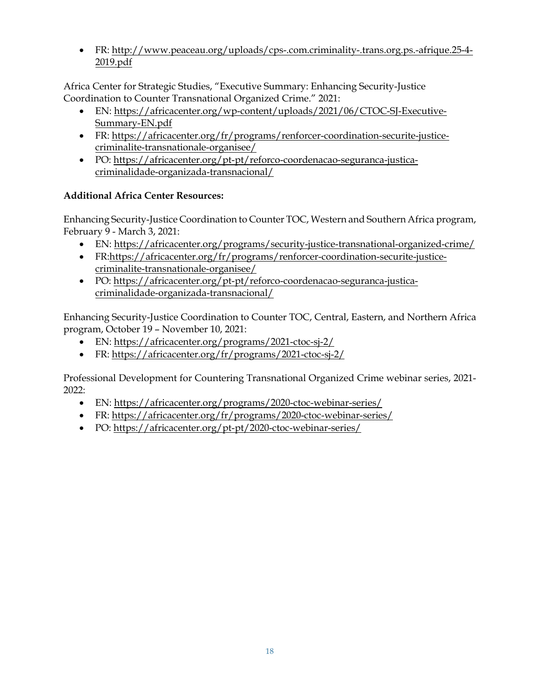• FR: [http://www.peaceau.org/uploads/cps-.com.criminality-.trans.org.ps.-afrique.25-4-](http://www.peaceau.org/uploads/cps-.com.criminality-.trans.org.ps.-afrique.25-4-2019.pdf) [2019.pdf](http://www.peaceau.org/uploads/cps-.com.criminality-.trans.org.ps.-afrique.25-4-2019.pdf)

Africa Center for Strategic Studies, "Executive Summary: Enhancing Security-Justice Coordination to Counter Transnational Organized Crime." 2021:

- EN: [https://africacenter.org/wp-content/uploads/2021/06/CTOC-SJ-Executive-](https://africacenter.org/wp-content/uploads/2021/06/CTOC-SJ-Executive-Summary-EN.pdf)[Summary-EN.pdf](https://africacenter.org/wp-content/uploads/2021/06/CTOC-SJ-Executive-Summary-EN.pdf)
- FR: [https://africacenter.org/fr/programs/renforcer-coordination-securite-justice](https://africacenter.org/fr/programs/renforcer-coordination-securite-justice-criminalite-transnationale-organisee/)[criminalite-transnationale-organisee/](https://africacenter.org/fr/programs/renforcer-coordination-securite-justice-criminalite-transnationale-organisee/)
- PO: [https://africacenter.org/pt-pt/reforco-coordenacao-seguranca-justica](https://africacenter.org/pt-pt/reforco-coordenacao-seguranca-justica-criminalidade-organizada-transnacional/)[criminalidade-organizada-transnacional/](https://africacenter.org/pt-pt/reforco-coordenacao-seguranca-justica-criminalidade-organizada-transnacional/)

# **Additional Africa Center Resources:**

Enhancing Security-Justice Coordination to Counter TOC, Western and Southern Africa program, February 9 - March 3, 2021:

- EN:<https://africacenter.org/programs/security-justice-transnational-organized-crime/>
- FR[:https://africacenter.org/fr/programs/renforcer-coordination-securite-justice](https://africacenter.org/fr/programs/renforcer-coordination-securite-justice-criminalite-transnationale-organisee/)[criminalite-transnationale-organisee/](https://africacenter.org/fr/programs/renforcer-coordination-securite-justice-criminalite-transnationale-organisee/)
- PO: [https://africacenter.org/pt-pt/reforco-coordenacao-seguranca-justica](https://africacenter.org/pt-pt/reforco-coordenacao-seguranca-justica-criminalidade-organizada-transnacional/)[criminalidade-organizada-transnacional/](https://africacenter.org/pt-pt/reforco-coordenacao-seguranca-justica-criminalidade-organizada-transnacional/)

Enhancing Security-Justice Coordination to Counter TOC, Central, Eastern, and Northern Africa program, October 19 – November 10, 2021:

- EN:<https://africacenter.org/programs/2021-ctoc-sj-2/>
- FR:<https://africacenter.org/fr/programs/2021-ctoc-sj-2/>

Professional Development for Countering Transnational Organized Crime webinar series, 2021- 2022:

- EN:<https://africacenter.org/programs/2020-ctoc-webinar-series/>
- FR:<https://africacenter.org/fr/programs/2020-ctoc-webinar-series/>
- PO:<https://africacenter.org/pt-pt/2020-ctoc-webinar-series/>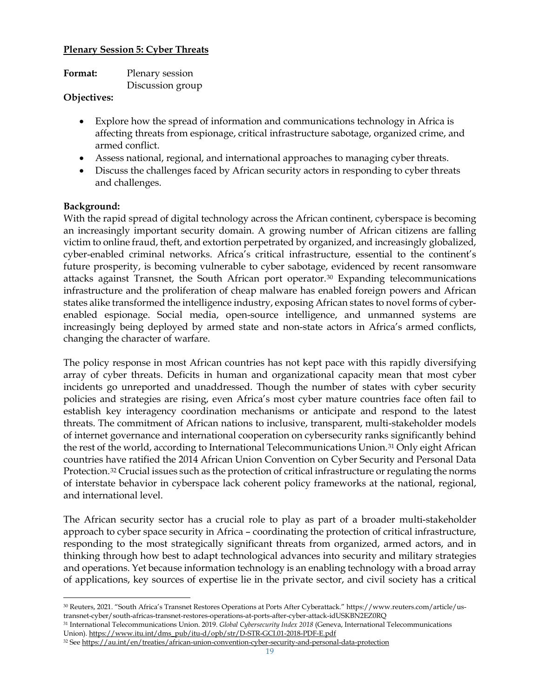#### **Plenary Session 5: Cyber Threats**

| Format: | Plenary session  |
|---------|------------------|
|         | Discussion group |

### **Objectives:**

- Explore how the spread of information and communications technology in Africa is affecting threats from espionage, critical infrastructure sabotage, organized crime, and armed conflict.
- Assess national, regional, and international approaches to managing cyber threats.
- Discuss the challenges faced by African security actors in responding to cyber threats and challenges.

### **Background:**

With the rapid spread of digital technology across the African continent, cyberspace is becoming an increasingly important security domain. A growing number of African citizens are falling victim to online fraud, theft, and extortion perpetrated by organized, and increasingly globalized, cyber-enabled criminal networks. Africa's critical infrastructure, essential to the continent's future prosperity, is becoming vulnerable to cyber sabotage, evidenced by recent ransomware attacks against Transnet, the South African port operator.[30](#page-18-0) Expanding telecommunications infrastructure and the proliferation of cheap malware has enabled foreign powers and African states alike transformed the intelligence industry, exposing African states to novel forms of cyberenabled espionage. Social media, open-source intelligence, and unmanned systems are increasingly being deployed by armed state and non-state actors in Africa's armed conflicts, changing the character of warfare.

The policy response in most African countries has not kept pace with this rapidly diversifying array of cyber threats. Deficits in human and organizational capacity mean that most cyber incidents go unreported and unaddressed. Though the number of states with cyber security policies and strategies are rising, even Africa's most cyber mature countries face often fail to establish key interagency coordination mechanisms or anticipate and respond to the latest threats. The commitment of African nations to inclusive, transparent, multi-stakeholder models of internet governance and international cooperation on cybersecurity ranks significantly behind the rest of the world, according to International Telecommunications Union.[31](#page-18-1) Only eight African countries have ratified the 2014 African Union Convention on Cyber Security and Personal Data Protection.[32](#page-18-2) Crucial issues such as the protection of critical infrastructure or regulating the norms of interstate behavior in cyberspace lack coherent policy frameworks at the national, regional, and international level.

The African security sector has a crucial role to play as part of a broader multi-stakeholder approach to cyber space security in Africa – coordinating the protection of critical infrastructure, responding to the most strategically significant threats from organized, armed actors, and in thinking through how best to adapt technological advances into security and military strategies and operations. Yet because information technology is an enabling technology with a broad array of applications, key sources of expertise lie in the private sector, and civil society has a critical

<span id="page-18-0"></span><sup>30</sup> Reuters, 2021. "South Africa's Transnet Restores Operations at Ports After Cyberattack." https://www.reuters.com/article/ustransnet-cyber/south-africas-transnet-restores-operations-at-ports-after-cyber-attack-idUSKBN2EZ0RQ

<span id="page-18-1"></span><sup>31</sup> International Telecommunications Union. 2019. *Global Cybersecurity Index 2018* (Geneva, International Telecommunications Union). [https://www.itu.int/dms\\_pub/itu-d/opb/str/D-STR-GCI.01-2018-PDF-E.pdf](https://www.itu.int/dms_pub/itu-d/opb/str/D-STR-GCI.01-2018-PDF-E.pdf)

<span id="page-18-2"></span><sup>32</sup> See<https://au.int/en/treaties/african-union-convention-cyber-security-and-personal-data-protection>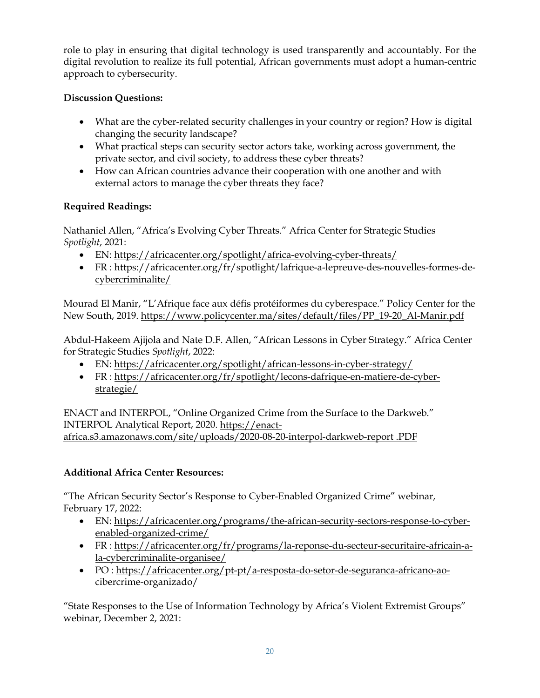role to play in ensuring that digital technology is used transparently and accountably. For the digital revolution to realize its full potential, African governments must adopt a human-centric approach to cybersecurity.

# **Discussion Questions:**

- What are the cyber-related security challenges in your country or region? How is digital changing the security landscape?
- What practical steps can security sector actors take, working across government, the private sector, and civil society, to address these cyber threats?
- How can African countries advance their cooperation with one another and with external actors to manage the cyber threats they face?

# **Required Readings:**

Nathaniel Allen, "Africa's Evolving Cyber Threats." Africa Center for Strategic Studies *Spotlight*, 2021:

- EN:<https://africacenter.org/spotlight/africa-evolving-cyber-threats/>
- FR : [https://africacenter.org/fr/spotlight/lafrique-a-lepreuve-des-nouvelles-formes-de](https://africacenter.org/fr/spotlight/lafrique-a-lepreuve-des-nouvelles-formes-de-cybercriminalite/)[cybercriminalite/](https://africacenter.org/fr/spotlight/lafrique-a-lepreuve-des-nouvelles-formes-de-cybercriminalite/)

Mourad El Manir, "L'Afrique face aux défis protéiformes du cyberespace." Policy Center for the New South, 2019[. https://www.policycenter.ma/sites/default/files/PP\\_19-20\\_Al-Manir.pdf](https://www.policycenter.ma/sites/default/files/PP_19-20_Al-Manir.pdf)

Abdul-Hakeem Ajijola and Nate D.F. Allen, "African Lessons in Cyber Strategy." Africa Center for Strategic Studies *Spotlight*, 2022:

- EN:<https://africacenter.org/spotlight/african-lessons-in-cyber-strategy/>
- FR : [https://africacenter.org/fr/spotlight/lecons-dafrique-en-matiere-de-cyber](https://africacenter.org/fr/spotlight/lecons-dafrique-en-matiere-de-cyber-strategie/)[strategie/](https://africacenter.org/fr/spotlight/lecons-dafrique-en-matiere-de-cyber-strategie/)

ENACT and INTERPOL, "Online Organized Crime from the Surface to the Darkweb." INTERPOL Analytical Report, 2020. [https://enact](https://enact-africa.s3.amazonaws.com/site/uploads/2020-08-20-interpol-darkweb-report%20.PDF)[africa.s3.amazonaws.com/site/uploads/2020-08-20-interpol-darkweb-report .PDF](https://enact-africa.s3.amazonaws.com/site/uploads/2020-08-20-interpol-darkweb-report%20.PDF) 

# **Additional Africa Center Resources:**

"The African Security Sector's Response to Cyber-Enabled Organized Crime" webinar, February 17, 2022:

- EN: [https://africacenter.org/programs/the-african-security-sectors-response-to-cyber](https://africacenter.org/programs/the-african-security-sectors-response-to-cyber-enabled-organized-crime/)[enabled-organized-crime/](https://africacenter.org/programs/the-african-security-sectors-response-to-cyber-enabled-organized-crime/)
- FR : [https://africacenter.org/fr/programs/la-reponse-du-secteur-securitaire-africain-a](https://africacenter.org/fr/programs/la-reponse-du-secteur-securitaire-africain-a-la-cybercriminalite-organisee/)[la-cybercriminalite-organisee/](https://africacenter.org/fr/programs/la-reponse-du-secteur-securitaire-africain-a-la-cybercriminalite-organisee/)
- PO : [https://africacenter.org/pt-pt/a-resposta-do-setor-de-seguranca-africano-ao](https://africacenter.org/pt-pt/a-resposta-do-setor-de-seguranca-africano-ao-cibercrime-organizado/)[cibercrime-organizado/](https://africacenter.org/pt-pt/a-resposta-do-setor-de-seguranca-africano-ao-cibercrime-organizado/)

"State Responses to the Use of Information Technology by Africa's Violent Extremist Groups" webinar, December 2, 2021: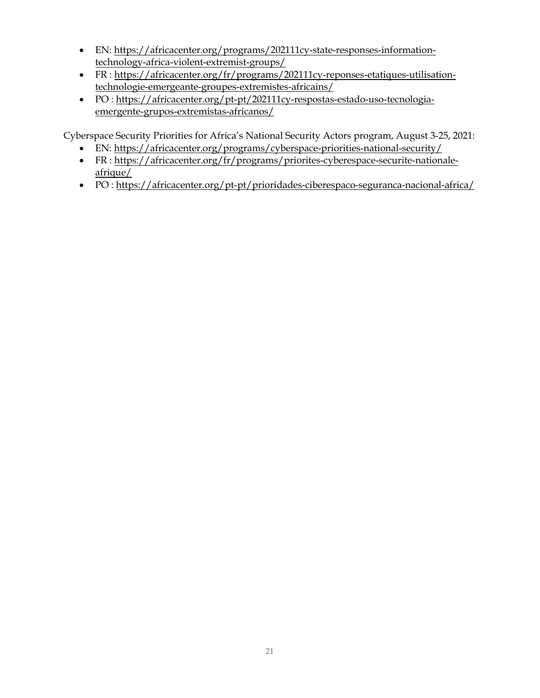- EN: [https://africacenter.org/programs/202111cy-state-responses-information](https://africacenter.org/programs/202111cy-state-responses-information-technology-africa-violent-extremist-groups/)[technology-africa-violent-extremist-groups/](https://africacenter.org/programs/202111cy-state-responses-information-technology-africa-violent-extremist-groups/)
- FR : [https://africacenter.org/fr/programs/202111cy-reponses-etatiques-utilisation](https://africacenter.org/fr/programs/202111cy-reponses-etatiques-utilisation-technologie-emergeante-groupes-extremistes-africains/)[technologie-emergeante-groupes-extremistes-africains/](https://africacenter.org/fr/programs/202111cy-reponses-etatiques-utilisation-technologie-emergeante-groupes-extremistes-africains/)
- PO : [https://africacenter.org/pt-pt/202111cy-respostas-estado-uso-tecnologia](https://africacenter.org/pt-pt/202111cy-respostas-estado-uso-tecnologia-emergente-grupos-extremistas-africanos/)[emergente-grupos-extremistas-africanos/](https://africacenter.org/pt-pt/202111cy-respostas-estado-uso-tecnologia-emergente-grupos-extremistas-africanos/)

Cyberspace Security Priorities for Africa's National Security Actors program, August 3-25, 2021:

- EN: <https://africacenter.org/programs/cyberspace-priorities-national-security/>
- FR : [https://africacenter.org/fr/programs/priorites-cyberespace-securite-nationale](https://africacenter.org/fr/programs/priorites-cyberespace-securite-nationale-afrique/)[afrique/](https://africacenter.org/fr/programs/priorites-cyberespace-securite-nationale-afrique/)
- PO :<https://africacenter.org/pt-pt/prioridades-ciberespaco-seguranca-nacional-africa/>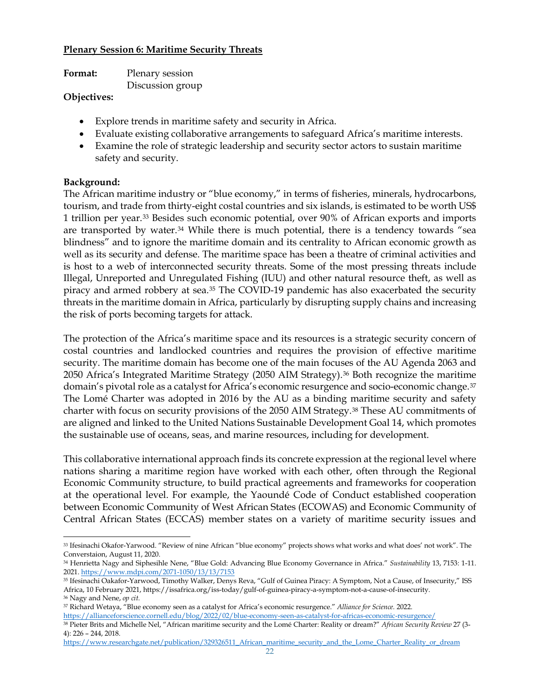#### **Plenary Session 6: Maritime Security Threats**

| Format:       | Plenary session  |
|---------------|------------------|
|               | Discussion group |
| $\sim$ $\sim$ |                  |

#### **Objectives:**

- Explore trends in maritime safety and security in Africa.
- Evaluate existing collaborative arrangements to safeguard Africa's maritime interests.
- Examine the role of strategic leadership and security sector actors to sustain maritime safety and security.

#### **Background:**

The African maritime industry or "blue economy," in terms of fisheries, minerals, hydrocarbons, tourism, and trade from thirty-eight costal countries and six islands, is estimated to be worth US\$ 1 trillion per year.[33](#page-21-0) Besides such economic potential, over 90% of African exports and imports are transported by water.<sup>[34](#page-21-1)</sup> While there is much potential, there is a tendency towards "sea blindness" and to ignore the maritime domain and its centrality to African economic growth as well as its security and defense. The maritime space has been a theatre of criminal activities and is host to a web of interconnected security threats. Some of the most pressing threats include Illegal, Unreported and Unregulated Fishing (IUU) and other natural resource theft, as well as piracy and armed robbery at sea[.35](#page-21-2) The COVID-19 pandemic has also exacerbated the security threats in the maritime domain in Africa, particularly by disrupting supply chains and increasing the risk of ports becoming targets for attack.

The protection of the Africa's maritime space and its resources is a strategic security concern of costal countries and landlocked countries and requires the provision of effective maritime security. The maritime domain has become one of the main focuses of the AU Agenda 2063 and 2050 Africa's Integrated Maritime Strategy (2050 AIM Strategy).[36](#page-21-3) Both recognize the maritime domain's pivotal role as a catalyst for Africa's economic resurgence and socio-economic change.[37](#page-21-4) The Lomé Charter was adopted in 2016 by the AU as a binding maritime security and safety charter with focus on security provisions of the 2050 AIM Strategy[.38](#page-21-5) These AU commitments of are aligned and linked to the United Nations Sustainable Development Goal 14, which promotes the sustainable use of oceans, seas, and marine resources, including for development.

This collaborative international approach finds its concrete expression at the regional level where nations sharing a maritime region have worked with each other, often through the Regional Economic Community structure, to build practical agreements and frameworks for cooperation at the operational level. For example, the Yaoundé Code of Conduct established cooperation between Economic Community of West African States (ECOWAS) and Economic Community of Central African States (ECCAS) member states on a variety of maritime security issues and

<span id="page-21-4"></span><span id="page-21-3"></span><sup>37</sup> Richard Wetaya, "Blue economy seen as a catalyst for Africa's economic resurgence." *Alliance for Science.* 2022. <https://allianceforscience.cornell.edu/blog/2022/02/blue-economy-seen-as-catalyst-for-africas-economic-resurgence/>

[https://www.researchgate.net/publication/329326511\\_African\\_maritime\\_security\\_and\\_the\\_Lome\\_Charter\\_Reality\\_or\\_dream](https://www.researchgate.net/publication/329326511_African_maritime_security_and_the_Lome_Charter_Reality_or_dream)

<span id="page-21-0"></span><sup>33</sup> Ifesinachi Okafor-Yarwood. "Review of nine African "blue economy" projects shows what works and what does' not work". The Converstaion, August 11, 2020.

<span id="page-21-1"></span><sup>34</sup> Henrietta Nagy and Siphesihle Nene, "Blue Gold: Advancing Blue Economy Governance in Africa." *Sustainability* 13, 7153: 1-11. 2021[. https://www.mdpi.com/2071-1050/13/13/7153](https://www.mdpi.com/2071-1050/13/13/7153)

<span id="page-21-2"></span><sup>35</sup> Ifesinachi Oakafor-Yarwood, Timothy Walker, Denys Reva, "Gulf of Guinea Piracy: A Symptom, Not a Cause, of Insecurity," ISS Africa, 10 February 2021, https://issafrica.org/iss-today/gulf-of-guinea-piracy-a-symptom-not-a-cause-of-insecurity. <sup>36</sup> Nagy and Nene, *op cit.*

<span id="page-21-5"></span><sup>38</sup> Pieter Brits and Michelle Nel, "African maritime security and the Lomé Charter: Reality or dream?" *African Security Review* 27 (3- 4): 226 – 244, 2018.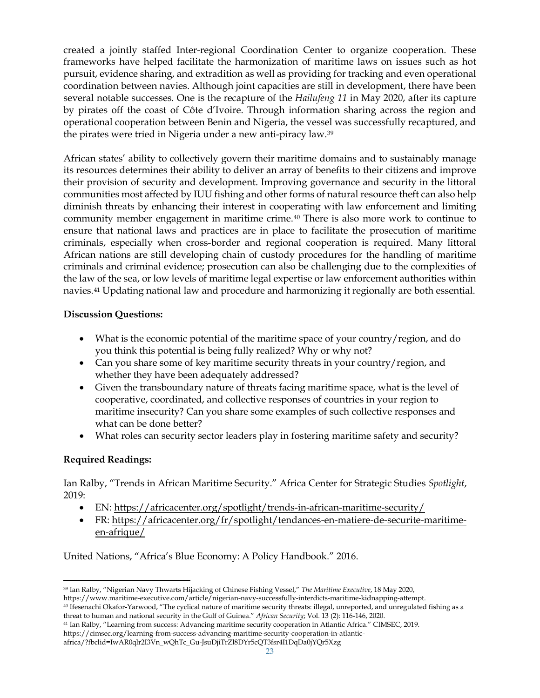created a jointly staffed Inter-regional Coordination Center to organize cooperation. These frameworks have helped facilitate the harmonization of maritime laws on issues such as hot pursuit, evidence sharing, and extradition as well as providing for tracking and even operational coordination between navies. Although joint capacities are still in development, there have been several notable successes. One is the recapture of the *Hailufeng 11* in May 2020, after its capture by pirates off the coast of Côte d'Ivoire. Through information sharing across the region and operational cooperation between Benin and Nigeria, the vessel was successfully recaptured, and the pirates were tried in Nigeria under a new anti-piracy law.[39](#page-22-0)

African states' ability to collectively govern their maritime domains and to sustainably manage its resources determines their ability to deliver an array of benefits to their citizens and improve their provision of security and development. Improving governance and security in the littoral communities most affected by IUU fishing and other forms of natural resource theft can also help diminish threats by enhancing their interest in cooperating with law enforcement and limiting community member engagement in maritime crime.[40](#page-22-1) There is also more work to continue to ensure that national laws and practices are in place to facilitate the prosecution of maritime criminals, especially when cross-border and regional cooperation is required. Many littoral African nations are still developing chain of custody procedures for the handling of maritime criminals and criminal evidence; prosecution can also be challenging due to the complexities of the law of the sea, or low levels of maritime legal expertise or law enforcement authorities within navies.[41](#page-22-2) Updating national law and procedure and harmonizing it regionally are both essential.

### **Discussion Questions:**

- What is the economic potential of the maritime space of your country/region, and do you think this potential is being fully realized? Why or why not?
- Can you share some of key maritime security threats in your country/region, and whether they have been adequately addressed?
- Given the transboundary nature of threats facing maritime space, what is the level of cooperative, coordinated, and collective responses of countries in your region to maritime insecurity? Can you share some examples of such collective responses and what can be done better?
- What roles can security sector leaders play in fostering maritime safety and security?

## **Required Readings:**

Ian Ralby, "Trends in African Maritime Security." Africa Center for Strategic Studies *Spotlight*, 2019:

- EN:<https://africacenter.org/spotlight/trends-in-african-maritime-security/>
- FR: [https://africacenter.org/fr/spotlight/tendances-en-matiere-de-securite-maritime](https://africacenter.org/fr/spotlight/tendances-en-matiere-de-securite-maritime-en-afrique/)[en-afrique/](https://africacenter.org/fr/spotlight/tendances-en-matiere-de-securite-maritime-en-afrique/)

United Nations, "Africa's Blue Economy: A Policy Handbook." 2016.

<span id="page-22-0"></span><sup>39</sup> Ian Ralby, "Nigerian Navy Thwarts Hijacking of Chinese Fishing Vessel," *The Maritime Executive*, 18 May 2020,

https://www.maritime-executive.com/article/nigerian-navy-successfully-interdicts-maritime-kidnapping-attempt.

<span id="page-22-1"></span><sup>40</sup> Ifesenachi Okafor-Yarwood, "The cyclical nature of maritime security threats: illegal, unreported, and unregulated fishing as a threat to human and national security in the Gulf of Guinea." *African Security*; Vol. 13 (2): 116-146, 2020.

<span id="page-22-2"></span><sup>41</sup> Ian Ralby, "Learning from success: Advancing maritime security cooperation in Atlantic Africa." CIMSEC, 2019.

https://cimsec.org/learning-from-success-advancing-maritime-security-cooperation-in-atlantic-

africa/?fbclid=IwAR0qlr2I3Vn\_wQhTc\_Gu-JsuDjiTrZl8DYr5cQT3fsr4I1DqDa0jYQr5Xzg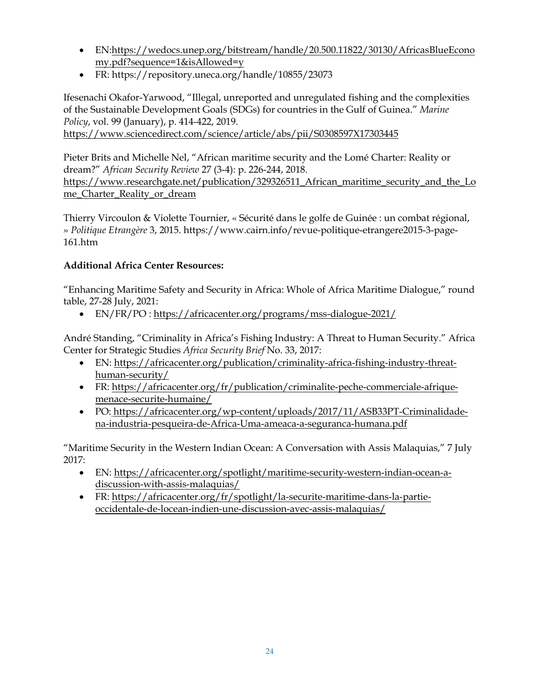- EN[:https://wedocs.unep.org/bitstream/handle/20.500.11822/30130/AfricasBlueEcono](https://wedocs.unep.org/bitstream/handle/20.500.11822/30130/AfricasBlueEconomy.pdf?sequence=1&isAllowed=y) [my.pdf?sequence=1&isAllowed=y](https://wedocs.unep.org/bitstream/handle/20.500.11822/30130/AfricasBlueEconomy.pdf?sequence=1&isAllowed=y)
- FR: https://repository.uneca.org/handle/10855/23073

Ifesenachi Okafor-Yarwood, "Illegal, unreported and unregulated fishing and the complexities of the Sustainable Development Goals (SDGs) for countries in the Gulf of Guinea." *Marine Policy*, vol. 99 (January), p. 414-422, 2019.

<https://www.sciencedirect.com/science/article/abs/pii/S0308597X17303445>

Pieter Brits and Michelle Nel, "African maritime security and the Lomé Charter: Reality or dream?" *African Security Review* 27 (3-4): p. 226-244, 2018. [https://www.researchgate.net/publication/329326511\\_African\\_maritime\\_security\\_and\\_the\\_Lo](https://www.researchgate.net/publication/329326511_African_maritime_security_and_the_Lome_Charter_Reality_or_dream) [me\\_Charter\\_Reality\\_or\\_dream](https://www.researchgate.net/publication/329326511_African_maritime_security_and_the_Lome_Charter_Reality_or_dream)

Thierry Vircoulon & Violette Tournier, « Sécurité dans le golfe de Guinée : un combat régional, » *Politique Etrangère* 3, 2015. https://www.cairn.info/revue-politique-etrangere2015-3-page-161.htm

# **Additional Africa Center Resources:**

"Enhancing Maritime Safety and Security in Africa: Whole of Africa Maritime Dialogue," round table, 27-28 July, 2021:

• EN/FR/PO :<https://africacenter.org/programs/mss-dialogue-2021/>

André Standing, "Criminality in Africa's Fishing Industry: A Threat to Human Security." Africa Center for Strategic Studies *Africa Security Brief* No. 33, 2017:

- EN: [https://africacenter.org/publication/criminality-africa-fishing-industry-threat](https://africacenter.org/publication/criminality-africa-fishing-industry-threat-human-security/)[human-security/](https://africacenter.org/publication/criminality-africa-fishing-industry-threat-human-security/)
- FR: [https://africacenter.org/fr/publication/criminalite-peche-commerciale-afrique](https://africacenter.org/fr/publication/criminalite-peche-commerciale-afrique-menace-securite-humaine/)[menace-securite-humaine/](https://africacenter.org/fr/publication/criminalite-peche-commerciale-afrique-menace-securite-humaine/)
- PO: [https://africacenter.org/wp-content/uploads/2017/11/ASB33PT-Criminalidade](https://africacenter.org/wp-content/uploads/2017/11/ASB33PT-Criminalidade-na-industria-pesqueira-de-Africa-Uma-ameaca-a-seguranca-humana.pdf)[na-industria-pesqueira-de-Africa-Uma-ameaca-a-seguranca-humana.pdf](https://africacenter.org/wp-content/uploads/2017/11/ASB33PT-Criminalidade-na-industria-pesqueira-de-Africa-Uma-ameaca-a-seguranca-humana.pdf)

"Maritime Security in the Western Indian Ocean: A Conversation with Assis Malaquias," 7 July 2017:

- EN: [https://africacenter.org/spotlight/maritime-security-western-indian-ocean-a](https://africacenter.org/spotlight/maritime-security-western-indian-ocean-a-discussion-with-assis-malaquias/)[discussion-with-assis-malaquias/](https://africacenter.org/spotlight/maritime-security-western-indian-ocean-a-discussion-with-assis-malaquias/)
- FR: [https://africacenter.org/fr/spotlight/la-securite-maritime-dans-la-partie](https://africacenter.org/fr/spotlight/la-securite-maritime-dans-la-partie-occidentale-de-locean-indien-une-discussion-avec-assis-malaquias/)[occidentale-de-locean-indien-une-discussion-avec-assis-malaquias/](https://africacenter.org/fr/spotlight/la-securite-maritime-dans-la-partie-occidentale-de-locean-indien-une-discussion-avec-assis-malaquias/)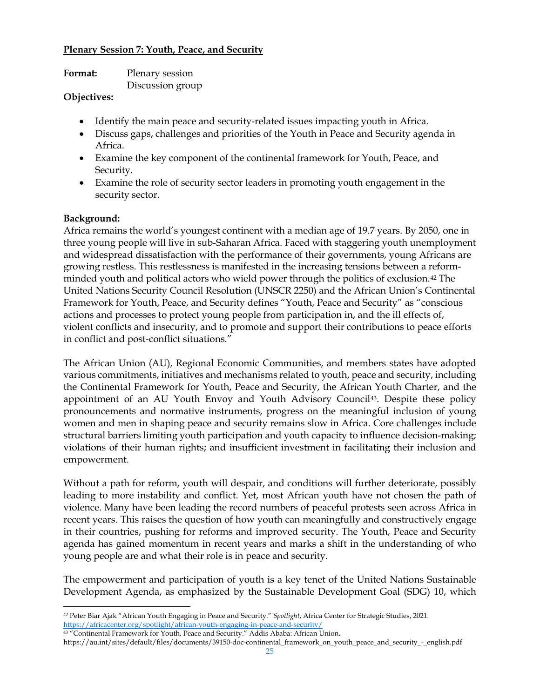### **Plenary Session 7: Youth, Peace, and Security**

| Format: | Plenary session  |
|---------|------------------|
|         | Discussion group |

#### **Objectives:**

- Identify the main peace and security-related issues impacting youth in Africa.
- Discuss gaps, challenges and priorities of the Youth in Peace and Security agenda in Africa.
- Examine the key component of the continental framework for Youth, Peace, and Security.
- Examine the role of security sector leaders in promoting youth engagement in the security sector.

### **Background:**

Africa remains the world's youngest continent with a median age of 19.7 years. By 2050, one in three young people will live in sub-Saharan Africa. Faced with staggering youth unemployment and widespread dissatisfaction with the performance of their governments, young Africans are growing restless. This restlessness is manifested in the increasing tensions between a reformminded youth and political actors who wield power through the politics of exclusion.[42](#page-24-0) The United Nations Security Council Resolution (UNSCR 2250) and the African Union's Continental Framework for Youth, Peace, and Security defines "Youth, Peace and Security" as "conscious actions and processes to protect young people from participation in, and the ill effects of, violent conflicts and insecurity, and to promote and support their contributions to peace efforts in conflict and post-conflict situations."

The African Union (AU), Regional Economic Communities, and members states have adopted various commitments, initiatives and mechanisms related to youth, peace and security, including the Continental Framework for Youth, Peace and Security, the African Youth Charter, and the appointment of an AU Youth Envoy and Youth Advisory Council<sup>43</sup>. Despite these policy pronouncements and normative instruments, progress on the meaningful inclusion of young women and men in shaping peace and security remains slow in Africa. Core challenges include structural barriers limiting youth participation and youth capacity to influence decision-making; violations of their human rights; and insufficient investment in facilitating their inclusion and empowerment.

Without a path for reform, youth will despair, and conditions will further deteriorate, possibly leading to more instability and conflict. Yet, most African youth have not chosen the path of violence. Many have been leading the record numbers of peaceful protests seen across Africa in recent years. This raises the question of how youth can meaningfully and constructively engage in their countries, pushing for reforms and improved security. The Youth, Peace and Security agenda has gained momentum in recent years and marks a shift in the understanding of who young people are and what their role is in peace and security.

The empowerment and participation of youth is a key tenet of the United Nations Sustainable Development Agenda, as emphasized by the Sustainable Development Goal (SDG) 10, which

<span id="page-24-1"></span><sup>43</sup> "Continental Framework for Youth, Peace and Security." Addis Ababa: African Union.

<span id="page-24-0"></span><sup>42</sup> Peter Biar Ajak "African Youth Engaging in Peace and Security." *Spotlight*, Africa Center for Strategic Studies, 2021. <https://africacenter.org/spotlight/african-youth-engaging-in-peace-and-security/>

https://au.int/sites/default/files/documents/39150-doc-continental\_framework\_on\_youth\_peace\_and\_security\_-\_english.pdf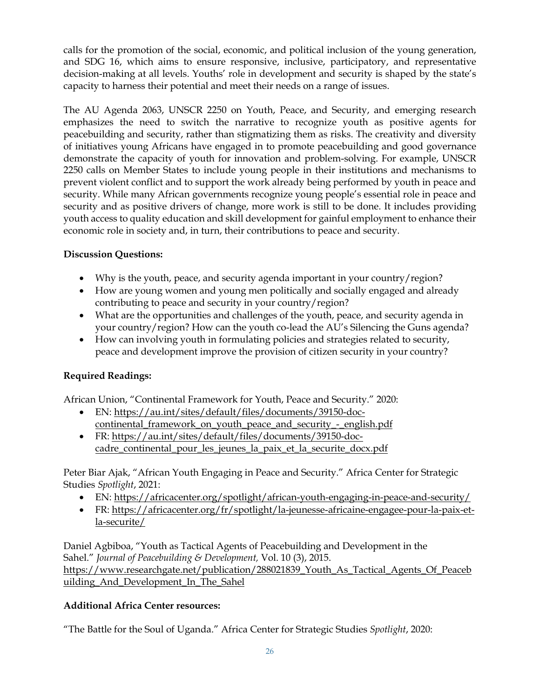calls for the promotion of the social, economic, and political inclusion of the young generation, and SDG 16, which aims to ensure responsive, inclusive, participatory, and representative decision-making at all levels. Youths' role in development and security is shaped by the state's capacity to harness their potential and meet their needs on a range of issues.

The AU Agenda 2063, UNSCR 2250 on Youth, Peace, and Security, and emerging research emphasizes the need to switch the narrative to recognize youth as positive agents for peacebuilding and security, rather than stigmatizing them as risks. The creativity and diversity of initiatives young Africans have engaged in to promote peacebuilding and good governance demonstrate the capacity of youth for innovation and problem-solving. For example, UNSCR 2250 calls on Member States to include young people in their institutions and mechanisms to prevent violent conflict and to support the work already being performed by youth in peace and security. While many African governments recognize young people's essential role in peace and security and as positive drivers of change, more work is still to be done. It includes providing youth access to quality education and skill development for gainful employment to enhance their economic role in society and, in turn, their contributions to peace and security.

# **Discussion Questions:**

- Why is the youth, peace, and security agenda important in your country/region?
- How are young women and young men politically and socially engaged and already contributing to peace and security in your country/region?
- What are the opportunities and challenges of the youth, peace, and security agenda in your country/region? How can the youth co-lead the AU's Silencing the Guns agenda?
- How can involving youth in formulating policies and strategies related to security, peace and development improve the provision of citizen security in your country?

# **Required Readings:**

African Union, "Continental Framework for Youth, Peace and Security." 2020:

- EN: [https://au.int/sites/default/files/documents/39150-doc](https://au.int/sites/default/files/documents/39150-doc-continental_framework_on_youth_peace_and_security_-_english.pdf)[continental\\_framework\\_on\\_youth\\_peace\\_and\\_security\\_-\\_english.pdf](https://au.int/sites/default/files/documents/39150-doc-continental_framework_on_youth_peace_and_security_-_english.pdf)
- FR: [https://au.int/sites/default/files/documents/39150-doc](https://au.int/sites/default/files/documents/39150-doc-cadre_continental_pour_les_jeunes_la_paix_et_la_securite_docx.pdf)[cadre\\_continental\\_pour\\_les\\_jeunes\\_la\\_paix\\_et\\_la\\_securite\\_docx.pdf](https://au.int/sites/default/files/documents/39150-doc-cadre_continental_pour_les_jeunes_la_paix_et_la_securite_docx.pdf)

Peter Biar Ajak, "African Youth Engaging in Peace and Security." Africa Center for Strategic Studies *Spotlight*, 2021:

- EN:<https://africacenter.org/spotlight/african-youth-engaging-in-peace-and-security/>
- FR: [https://africacenter.org/fr/spotlight/la-jeunesse-africaine-engagee-pour-la-paix-et](https://africacenter.org/fr/spotlight/la-jeunesse-africaine-engagee-pour-la-paix-et-la-securite/)[la-securite/](https://africacenter.org/fr/spotlight/la-jeunesse-africaine-engagee-pour-la-paix-et-la-securite/)

Daniel Agbiboa, "Youth as Tactical Agents of Peacebuilding and Development in the Sahel." *Journal of Peacebuilding & Development,* Vol. 10 (3), 2015. [https://www.researchgate.net/publication/288021839\\_Youth\\_As\\_Tactical\\_Agents\\_Of\\_Peaceb](https://www.researchgate.net/publication/288021839_Youth_As_Tactical_Agents_Of_Peacebuilding_And_Development_In_The_Sahel) [uilding\\_And\\_Development\\_In\\_The\\_Sahel](https://www.researchgate.net/publication/288021839_Youth_As_Tactical_Agents_Of_Peacebuilding_And_Development_In_The_Sahel)

## **Additional Africa Center resources:**

"The Battle for the Soul of Uganda." Africa Center for Strategic Studies *Spotlight*, 2020: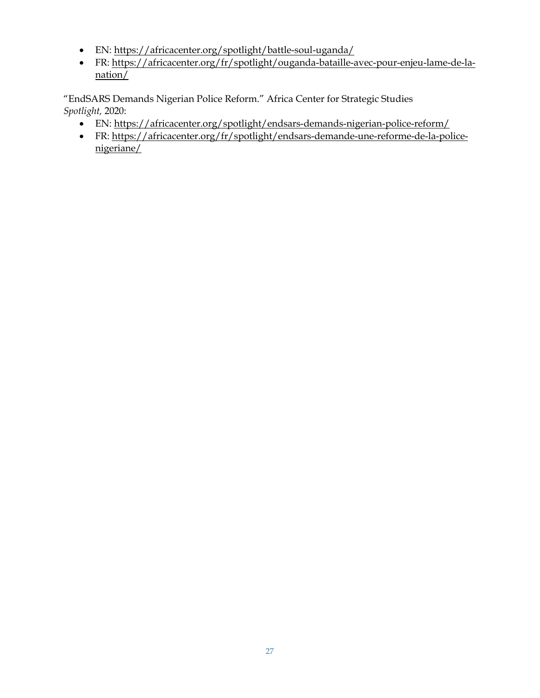- EN:<https://africacenter.org/spotlight/battle-soul-uganda/>
- FR: [https://africacenter.org/fr/spotlight/ouganda-bataille-avec-pour-enjeu-lame-de-la-](https://africacenter.org/fr/spotlight/ouganda-bataille-avec-pour-enjeu-lame-de-la-nation/) $\frac{\text{nation}}{\text{}}$

"EndSARS Demands Nigerian Police Reform." Africa Center for Strategic Studies *Spotlight,* 2020:

- EN:<https://africacenter.org/spotlight/endsars-demands-nigerian-police-reform/>
- FR: [https://africacenter.org/fr/spotlight/endsars-demande-une-reforme-de-la-police](https://africacenter.org/fr/spotlight/endsars-demande-une-reforme-de-la-police-nigeriane/)[nigeriane/](https://africacenter.org/fr/spotlight/endsars-demande-une-reforme-de-la-police-nigeriane/)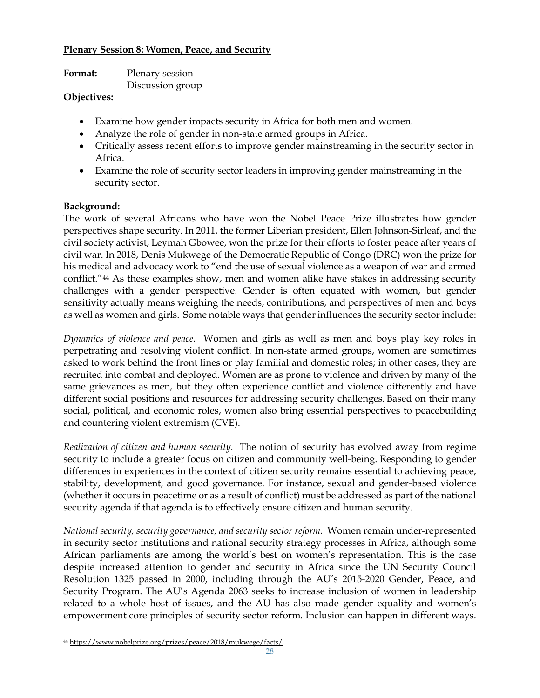### **Plenary Session 8: Women, Peace, and Security**

| Format: | Plenary session  |
|---------|------------------|
|         | Discussion group |

### **Objectives:**

- Examine how gender impacts security in Africa for both men and women.
- Analyze the role of gender in non-state armed groups in Africa.
- Critically assess recent efforts to improve gender mainstreaming in the security sector in Africa.
- Examine the role of security sector leaders in improving gender mainstreaming in the security sector.

## **Background:**

The work of several Africans who have won the Nobel Peace Prize illustrates how gender perspectives shape security. In 2011, the former Liberian president, Ellen Johnson-Sirleaf, and the civil society activist, Leymah Gbowee, won the prize for their efforts to foster peace after years of civil war. In 2018, Denis Mukwege of the Democratic Republic of Congo (DRC) won the prize for his medical and advocacy work to "end the use of sexual violence as a weapon of war and armed conflict."[44](#page-27-0) As these examples show, men and women alike have stakes in addressing security challenges with a gender perspective. Gender is often equated with women, but gender sensitivity actually means weighing the needs, contributions, and perspectives of men and boys as well as women and girls. Some notable ways that gender influences the security sector include:

*Dynamics of violence and peace.* Women and girls as well as men and boys play key roles in perpetrating and resolving violent conflict. In non-state armed groups, women are sometimes asked to work behind the front lines or play familial and domestic roles; in other cases, they are recruited into combat and deployed. Women are as prone to violence and driven by many of the same grievances as men, but they often experience conflict and violence differently and have different social positions and resources for addressing security challenges. Based on their many social, political, and economic roles, women also bring essential perspectives to peacebuilding and countering violent extremism (CVE).

*Realization of citizen and human security.* The notion of security has evolved away from regime security to include a greater focus on citizen and community well-being. Responding to gender differences in experiences in the context of citizen security remains essential to achieving peace, stability, development, and good governance. For instance, sexual and gender-based violence (whether it occurs in peacetime or as a result of conflict) must be addressed as part of the national security agenda if that agenda is to effectively ensure citizen and human security.

*National security, security governance, and security sector reform.* Women remain under-represented in security sector institutions and national security strategy processes in Africa, although some African parliaments are among the world's best on women's representation. This is the case despite increased attention to gender and security in Africa since the UN Security Council Resolution 1325 passed in 2000, including through the AU's 2015-2020 Gender, Peace, and Security Program. The AU's Agenda 2063 seeks to increase inclusion of women in leadership related to a whole host of issues, and the AU has also made gender equality and women's empowerment core principles of security sector reform. Inclusion can happen in different ways.

<span id="page-27-0"></span><sup>44</sup> <https://www.nobelprize.org/prizes/peace/2018/mukwege/facts/>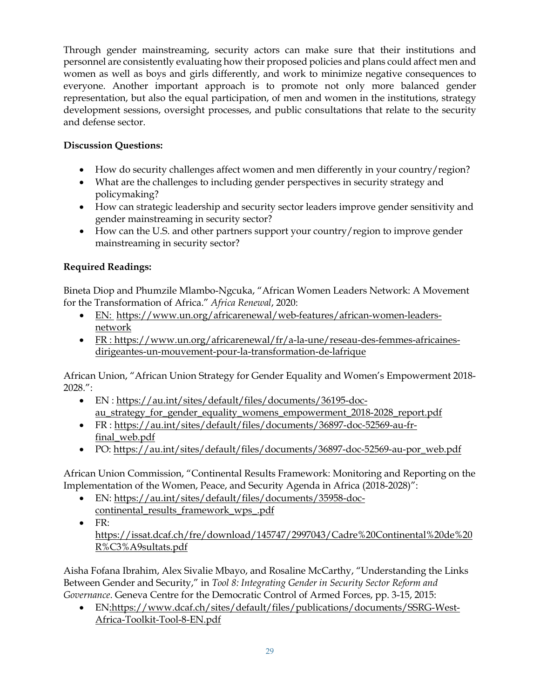Through gender mainstreaming, security actors can make sure that their institutions and personnel are consistently evaluating how their proposed policies and plans could affect men and women as well as boys and girls differently, and work to minimize negative consequences to everyone. Another important approach is to promote not only more balanced gender representation, but also the equal participation, of men and women in the institutions, strategy development sessions, oversight processes, and public consultations that relate to the security and defense sector.

# **Discussion Questions:**

- How do security challenges affect women and men differently in your country/region?
- What are the challenges to including gender perspectives in security strategy and policymaking?
- How can strategic leadership and security sector leaders improve gender sensitivity and gender mainstreaming in security sector?
- How can the U.S. and other partners support your country/region to improve gender mainstreaming in security sector?

## **Required Readings:**

Bineta Diop and Phumzile Mlambo-Ngcuka, "African Women Leaders Network: A Movement for the Transformation of Africa." *Africa Renewal*, 2020:

- EN: [https://www.un.org/africarenewal/web-features/african-women-leaders](https://www.un.org/africarenewal/web-features/african-women-leaders-network)[network](https://www.un.org/africarenewal/web-features/african-women-leaders-network)
- FR : [https://www.un.org/africarenewal/fr/a-la-une/reseau-des-femmes-africaines](https://www.un.org/africarenewal/fr/a-la-une/reseau-des-femmes-africaines-dirigeantes-un-mouvement-pour-la-transformation-de-lafrique)[dirigeantes-un-mouvement-pour-la-transformation-de-lafrique](https://www.un.org/africarenewal/fr/a-la-une/reseau-des-femmes-africaines-dirigeantes-un-mouvement-pour-la-transformation-de-lafrique)

African Union, "African Union Strategy for Gender Equality and Women's Empowerment 2018- 2028.":

- EN : [https://au.int/sites/default/files/documents/36195-doc](https://au.int/sites/default/files/documents/36195-doc-au_strategy_for_gender_equality_womens_empowerment_2018-2028_report.pdf)[au\\_strategy\\_for\\_gender\\_equality\\_womens\\_empowerment\\_2018-2028\\_report.pdf](https://au.int/sites/default/files/documents/36195-doc-au_strategy_for_gender_equality_womens_empowerment_2018-2028_report.pdf)
- FR : [https://au.int/sites/default/files/documents/36897-doc-52569-au-fr](https://au.int/sites/default/files/documents/36897-doc-52569-au-fr-final_web.pdf)[final\\_web.pdf](https://au.int/sites/default/files/documents/36897-doc-52569-au-fr-final_web.pdf)
- PO: [https://au.int/sites/default/files/documents/36897-doc-52569-au-por\\_web.pdf](https://au.int/sites/default/files/documents/36897-doc-52569-au-por_web.pdf)

African Union Commission, "Continental Results Framework: Monitoring and Reporting on the Implementation of the Women, Peace, and Security Agenda in Africa (2018-2028)":

- EN: [https://au.int/sites/default/files/documents/35958-doc](https://au.int/sites/default/files/documents/35958-doc-continental_results_framework_wps_.pdf)[continental\\_results\\_framework\\_wps\\_.pdf](https://au.int/sites/default/files/documents/35958-doc-continental_results_framework_wps_.pdf)
- FR: [https://issat.dcaf.ch/fre/download/145747/2997043/Cadre%20Continental%20de%20](https://issat.dcaf.ch/fre/download/145747/2997043/Cadre%20Continental%20de%20R%C3%A9sultats.pdf) [R%C3%A9sultats.pdf](https://issat.dcaf.ch/fre/download/145747/2997043/Cadre%20Continental%20de%20R%C3%A9sultats.pdf)

Aisha Fofana Ibrahim, Alex Sivalie Mbayo, and Rosaline McCarthy, "Understanding the Links Between Gender and Security," in *Tool 8: Integrating Gender in Security Sector Reform and Governance*. Geneva Centre for the Democratic Control of Armed Forces, pp. 3-15, 2015:

• EN[:https://www.dcaf.ch/sites/default/files/publications/documents/SSRG-West-](https://www.dcaf.ch/sites/default/files/publications/documents/SSRG-West-Africa-Toolkit-Tool-8-EN.pdf)[Africa-Toolkit-Tool-8-EN.pdf](https://www.dcaf.ch/sites/default/files/publications/documents/SSRG-West-Africa-Toolkit-Tool-8-EN.pdf)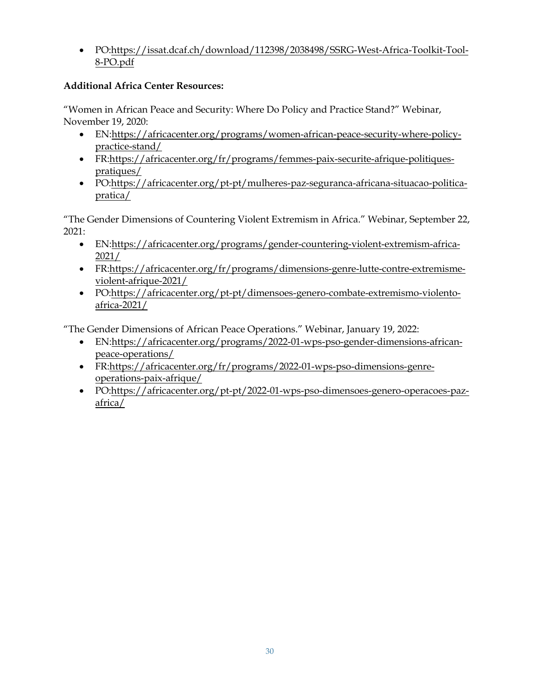• PO[:https://issat.dcaf.ch/download/112398/2038498/SSRG-West-Africa-Toolkit-Tool-](https://issat.dcaf.ch/download/112398/2038498/SSRG-West-Africa-Toolkit-Tool-8-PO.pdf)[8-PO.pdf](https://issat.dcaf.ch/download/112398/2038498/SSRG-West-Africa-Toolkit-Tool-8-PO.pdf) 

# **Additional Africa Center Resources:**

"Women in African Peace and Security: Where Do Policy and Practice Stand?" Webinar, November 19, 2020:

- EN[:https://africacenter.org/programs/women-african-peace-security-where-policy](https://africacenter.org/programs/women-african-peace-security-where-policy-practice-stand/)[practice-stand/](https://africacenter.org/programs/women-african-peace-security-where-policy-practice-stand/)
- FR[:https://africacenter.org/fr/programs/femmes-paix-securite-afrique-politiques](https://africacenter.org/fr/programs/femmes-paix-securite-afrique-politiques-pratiques/)[pratiques/](https://africacenter.org/fr/programs/femmes-paix-securite-afrique-politiques-pratiques/)
- PO[:https://africacenter.org/pt-pt/mulheres-paz-seguranca-africana-situacao-politica](https://africacenter.org/pt-pt/mulheres-paz-seguranca-africana-situacao-politica-pratica/)[pratica/](https://africacenter.org/pt-pt/mulheres-paz-seguranca-africana-situacao-politica-pratica/)

"The Gender Dimensions of Countering Violent Extremism in Africa." Webinar, September 22, 2021:

- EN[:https://africacenter.org/programs/gender-countering-violent-extremism-africa-](https://africacenter.org/programs/gender-countering-violent-extremism-africa-2021/)[2021/](https://africacenter.org/programs/gender-countering-violent-extremism-africa-2021/)
- FR[:https://africacenter.org/fr/programs/dimensions-genre-lutte-contre-extremisme](https://africacenter.org/fr/programs/dimensions-genre-lutte-contre-extremisme-violent-afrique-2021/)[violent-afrique-2021/](https://africacenter.org/fr/programs/dimensions-genre-lutte-contre-extremisme-violent-afrique-2021/)
- PO[:https://africacenter.org/pt-pt/dimensoes-genero-combate-extremismo-violento](https://africacenter.org/pt-pt/dimensoes-genero-combate-extremismo-violento-africa-2021/)[africa-2021/](https://africacenter.org/pt-pt/dimensoes-genero-combate-extremismo-violento-africa-2021/)

"The Gender Dimensions of African Peace Operations." Webinar, January 19, 2022:

- EN[:https://africacenter.org/programs/2022-01-wps-pso-gender-dimensions-african](https://africacenter.org/programs/2022-01-wps-pso-gender-dimensions-african-peace-operations/)[peace-operations/](https://africacenter.org/programs/2022-01-wps-pso-gender-dimensions-african-peace-operations/)
- FR[:https://africacenter.org/fr/programs/2022-01-wps-pso-dimensions-genre](https://africacenter.org/fr/programs/2022-01-wps-pso-dimensions-genre-operations-paix-afrique/)[operations-paix-afrique/](https://africacenter.org/fr/programs/2022-01-wps-pso-dimensions-genre-operations-paix-afrique/)
- PO[:https://africacenter.org/pt-pt/2022-01-wps-pso-dimensoes-genero-operacoes-paz](https://africacenter.org/pt-pt/2022-01-wps-pso-dimensoes-genero-operacoes-paz-africa/)[africa/](https://africacenter.org/pt-pt/2022-01-wps-pso-dimensoes-genero-operacoes-paz-africa/)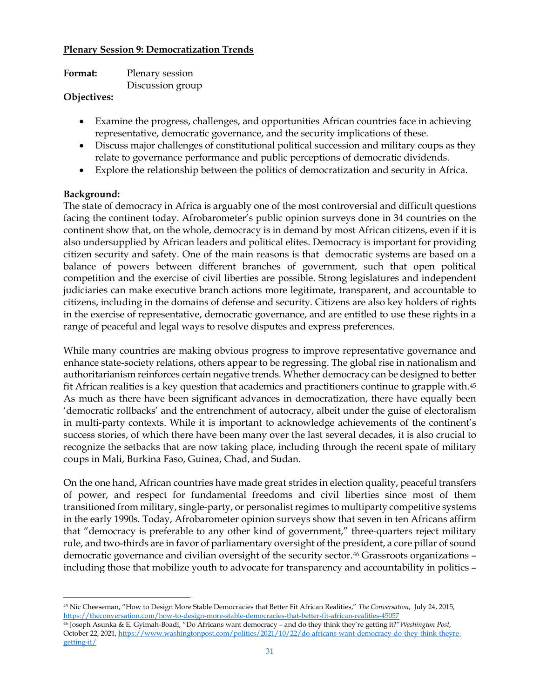#### **Plenary Session 9: Democratization Trends**

| Plenary session  |
|------------------|
| Discussion group |
|                  |

#### **Objectives:**

- Examine the progress, challenges, and opportunities African countries face in achieving representative, democratic governance, and the security implications of these.
- Discuss major challenges of constitutional political succession and military coups as they relate to governance performance and public perceptions of democratic dividends.
- Explore the relationship between the politics of democratization and security in Africa.

### **Background:**

The state of democracy in Africa is arguably one of the most controversial and difficult questions facing the continent today. Afrobarometer's public opinion surveys done in 34 countries on the continent show that, on the whole, democracy is in demand by most African citizens, even if it is also undersupplied by African leaders and political elites. Democracy is important for providing citizen security and safety. One of the main reasons is that democratic systems are based on a balance of powers between different branches of government, such that open political competition and the exercise of civil liberties are possible. Strong legislatures and independent judiciaries can make executive branch actions more legitimate, transparent, and accountable to citizens, including in the domains of defense and security. Citizens are also key holders of rights in the exercise of representative, democratic governance, and are entitled to use these rights in a range of peaceful and legal ways to resolve disputes and express preferences.

While many countries are making obvious progress to improve representative governance and enhance state-society relations, others appear to be regressing. The global rise in nationalism and authoritarianism reinforces certain negative trends. Whether democracy can be designed to better fit African realities is a key question that academics and practitioners continue to grapple with.[45](#page-30-0) As much as there have been significant advances in democratization, there have equally been 'democratic rollbacks' and the entrenchment of autocracy, albeit under the guise of electoralism in multi-party contexts. While it is important to acknowledge achievements of the continent's success stories, of which there have been many over the last several decades, it is also crucial to recognize the setbacks that are now taking place, including through the recent spate of military coups in Mali, Burkina Faso, Guinea, Chad, and Sudan.

On the one hand, African countries have made great strides in election quality, peaceful transfers of power, and respect for fundamental freedoms and civil liberties since most of them transitioned from military, single-party, or personalist regimes to multiparty competitive systems in the early 1990s. Today, Afrobarometer opinion surveys show that seven in ten Africans affirm that "democracy is preferable to any other kind of government," three-quarters reject military rule, and two-thirds are in favor of parliamentary oversight of the president, a core pillar of sound democratic governance and civilian oversight of the security sector.[46](#page-30-1) Grassroots organizations – including those that mobilize youth to advocate for transparency and accountability in politics –

<span id="page-30-0"></span><sup>45</sup> Nic Cheeseman, "How to Design More Stable Democracies that Better Fit African Realities," *The Conversation*, July 24, 2015, <https://theconversation.com/how-to-design-more-stable-democracies-that-better-fit-african-realities-45057>

<span id="page-30-1"></span><sup>46</sup> Joseph Asunka & E. Gyimah-Boadi, "Do Africans want democracy – and do they think they're getting it?"*Washington Post*, October 22, 2021[, https://www.washingtonpost.com/politics/2021/10/22/do-africans-want-democracy-do-they-think-theyre](https://www.washingtonpost.com/politics/2021/10/22/do-africans-want-democracy-do-they-think-theyre-getting-it/)[getting-it/](https://www.washingtonpost.com/politics/2021/10/22/do-africans-want-democracy-do-they-think-theyre-getting-it/)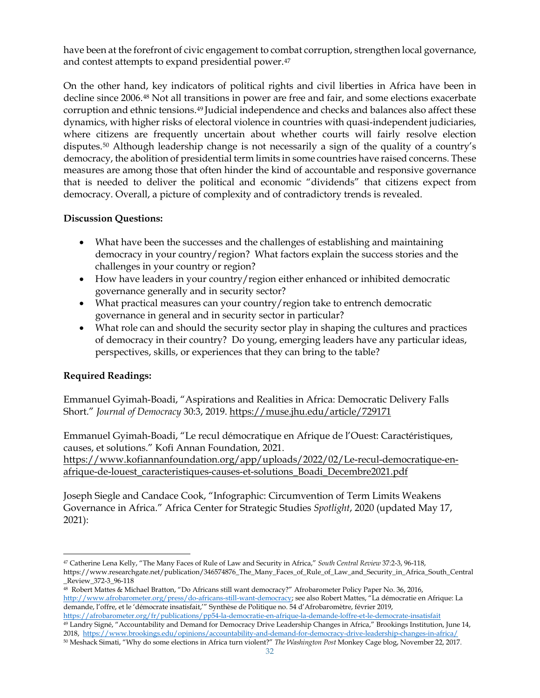have been at the forefront of civic engagement to combat corruption, strengthen local governance, and contest attempts to expand presidential power.[47](#page-31-0)

On the other hand, key indicators of political rights and civil liberties in Africa have been in decline since 2006.[48](#page-31-1) Not all transitions in power are free and fair, and some elections exacerbate corruption and ethnic tensions[.49](#page-31-2) Judicial independence and checks and balances also affect these dynamics, with higher risks of electoral violence in countries with quasi-independent judiciaries, where citizens are frequently uncertain about whether courts will fairly resolve election disputes.[50](#page-31-3) Although leadership change is not necessarily a sign of the quality of a country's democracy, the abolition of presidential term limits in some countries have raised concerns. These measures are among those that often hinder the kind of accountable and responsive governance that is needed to deliver the political and economic "dividends" that citizens expect from democracy. Overall, a picture of complexity and of contradictory trends is revealed.

### **Discussion Questions:**

- What have been the successes and the challenges of establishing and maintaining democracy in your country/region? What factors explain the success stories and the challenges in your country or region?
- How have leaders in your country/region either enhanced or inhibited democratic governance generally and in security sector?
- What practical measures can your country/region take to entrench democratic governance in general and in security sector in particular?
- What role can and should the security sector play in shaping the cultures and practices of democracy in their country? Do young, emerging leaders have any particular ideas, perspectives, skills, or experiences that they can bring to the table?

## **Required Readings:**

Emmanuel Gyimah-Boadi, "Aspirations and Realities in Africa: Democratic Delivery Falls Short." *Journal of Democracy* 30:3, 2019. <https://muse.jhu.edu/article/729171>

Emmanuel Gyimah-Boadi, "Le recul démocratique en Afrique de l'Ouest: Caractéristiques, causes, et solutions." Kofi Annan Foundation, 2021. [https://www.kofiannanfoundation.org/app/uploads/2022/02/Le-recul-democratique-en](https://www.kofiannanfoundation.org/app/uploads/2022/02/Le-recul-democratique-en-afrique-de-louest_caracteristiques-causes-et-solutions_Boadi_Decembre2021.pdf)[afrique-de-louest\\_caracteristiques-causes-et-solutions\\_Boadi\\_Decembre2021.pdf](https://www.kofiannanfoundation.org/app/uploads/2022/02/Le-recul-democratique-en-afrique-de-louest_caracteristiques-causes-et-solutions_Boadi_Decembre2021.pdf)

Joseph Siegle and Candace Cook, "Infographic: Circumvention of Term Limits Weakens Governance in Africa." Africa Center for Strategic Studies *Spotlight*, 2020 (updated May 17, 2021):

<span id="page-31-0"></span><sup>47</sup> Catherine Lena Kelly, "The Many Faces of Rule of Law and Security in Africa," *South Central Review* 37:2-3, 96-118, https://www.researchgate.net/publication/346574876\_The\_Many\_Faces\_of\_Rule\_of\_Law\_and\_Security\_in\_Africa\_South\_Central \_Review\_372-3\_96-118

<span id="page-31-1"></span><sup>48</sup> Robert Mattes & Michael Bratton, "Do Africans still want democracy?" Afrobarometer Policy Paper No. 36, 2016, [http://www.afrobarometer.org/press/do-africans-still-want-democracy;](http://www.afrobarometer.org/press/do-africans-still-want-democracy) see also Robert Mattes, "La démocratie en Afrique: La demande, l'offre, et le 'démocrate insatisfait,'" Synthèse de Politique no. 54 d'Afrobaromètre, février 2019, <https://afrobarometer.org/fr/publications/pp54-la-democratie-en-afrique-la-demande-loffre-et-le-democrate-insatisfait>

<span id="page-31-2"></span><sup>49</sup> Landry Signé, "Accountability and Demand for Democracy Drive Leadership Changes in Africa," Brookings Institution, June 14, 2018,<https://www.brookings.edu/opinions/accountability-and-demand-for-democracy-drive-leadership-changes-in-africa/>

<span id="page-31-3"></span><sup>50</sup> Meshack Simati, "Why do some elections in Africa turn violent?" *The Washington Post* Monkey Cage blog, November 22, 2017.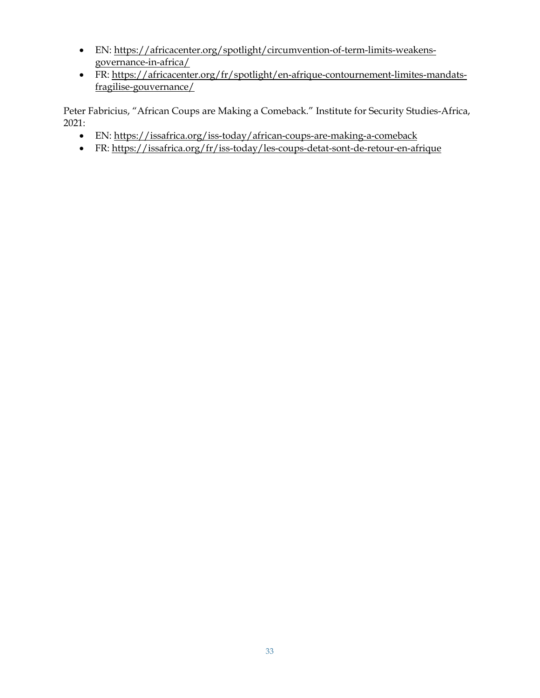- EN: [https://africacenter.org/spotlight/circumvention-of-term-limits-weakens](https://africacenter.org/spotlight/circumvention-of-term-limits-weakens-governance-in-africa/)[governance-in-africa/](https://africacenter.org/spotlight/circumvention-of-term-limits-weakens-governance-in-africa/)
- FR: [https://africacenter.org/fr/spotlight/en-afrique-contournement-limites-mandats](https://africacenter.org/fr/spotlight/en-afrique-contournement-limites-mandats-fragilise-gouvernance/)[fragilise-gouvernance/](https://africacenter.org/fr/spotlight/en-afrique-contournement-limites-mandats-fragilise-gouvernance/)

Peter Fabricius, "African Coups are Making a Comeback." Institute for Security Studies-Africa, 2021:

- EN:<https://issafrica.org/iss-today/african-coups-are-making-a-comeback>
- FR:<https://issafrica.org/fr/iss-today/les-coups-detat-sont-de-retour-en-afrique>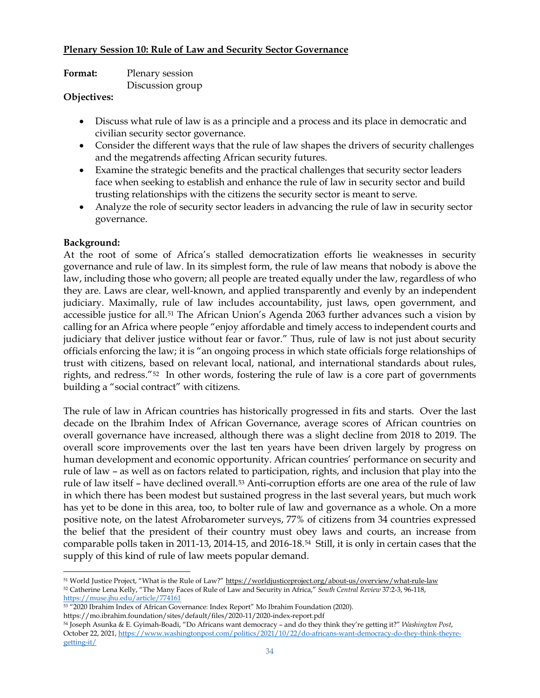#### **Plenary Session 10: Rule of Law and Security Sector Governance**

| <b>Format:</b> | Plenary session  |
|----------------|------------------|
| ---            | Discussion group |

### **Objectives:**

- Discuss what rule of law is as a principle and a process and its place in democratic and civilian security sector governance.
- Consider the different ways that the rule of law shapes the drivers of security challenges and the megatrends affecting African security futures.
- Examine the strategic benefits and the practical challenges that security sector leaders face when seeking to establish and enhance the rule of law in security sector and build trusting relationships with the citizens the security sector is meant to serve.
- Analyze the role of security sector leaders in advancing the rule of law in security sector governance.

## **Background:**

At the root of some of Africa's stalled democratization efforts lie weaknesses in security governance and rule of law. In its simplest form, the rule of law means that nobody is above the law, including those who govern; all people are treated equally under the law, regardless of who they are. Laws are clear, well-known, and applied transparently and evenly by an independent judiciary. Maximally, rule of law includes accountability, just laws, open government, and accessible justice for all.[51](#page-33-0) The African Union's Agenda 2063 further advances such a vision by calling for an Africa where people "enjoy affordable and timely access to independent courts and judiciary that deliver justice without fear or favor." Thus, rule of law is not just about security officials enforcing the law; it is "an ongoing process in which state officials forge relationships of trust with citizens, based on relevant local, national, and international standards about rules, rights, and redress."[52](#page-33-1) In other words, fostering the rule of law is a core part of governments building a "social contract" with citizens.

The rule of law in African countries has historically progressed in fits and starts. Over the last decade on the Ibrahim Index of African Governance, average scores of African countries on overall governance have increased, although there was a slight decline from 2018 to 2019. The overall score improvements over the last ten years have been driven largely by progress on human development and economic opportunity. African countries' performance on security and rule of law – as well as on factors related to participation, rights, and inclusion that play into the rule of law itself – have declined overall.[53](#page-33-2) Anti-corruption efforts are one area of the rule of law in which there has been modest but sustained progress in the last several years, but much work has yet to be done in this area, too, to bolter rule of law and governance as a whole. On a more positive note, on the latest Afrobarometer surveys, 77% of citizens from 34 countries expressed the belief that the president of their country must obey laws and courts, an increase from comparable polls taken in 2011-13, 2014-15, and 2016-18.[54](#page-33-3) Still, it is only in certain cases that the supply of this kind of rule of law meets popular demand.

<span id="page-33-1"></span><span id="page-33-0"></span><sup>51</sup> World Justice Project, "What is the Rule of Law?[" https://worldjusticeproject.org/about-us/overview/what-rule-law](https://worldjusticeproject.org/about-us/overview/what-rule-law) <sup>52</sup> Catherine Lena Kelly, "The Many Faces of Rule of Law and Security in Africa," *South Central Review* 37:2-3, 96-118, <https://muse.jhu.edu/article/774161>

<span id="page-33-2"></span><sup>53</sup> "2020 Ibrahim Index of African Governance: Index Report" Mo Ibrahim Foundation (2020). https://mo.ibrahim.foundation/sites/default/files/2020-11/2020-index-report.pdf

<span id="page-33-3"></span><sup>54</sup> Joseph Asunka & E. Gyimah-Boadi, "Do Africans want democracy – and do they think they're getting it?" *Washington Post*, October 22, 2021[, https://www.washingtonpost.com/politics/2021/10/22/do-africans-want-democracy-do-they-think-theyre](https://www.washingtonpost.com/politics/2021/10/22/do-africans-want-democracy-do-they-think-theyre-getting-it/)[getting-it/](https://www.washingtonpost.com/politics/2021/10/22/do-africans-want-democracy-do-they-think-theyre-getting-it/)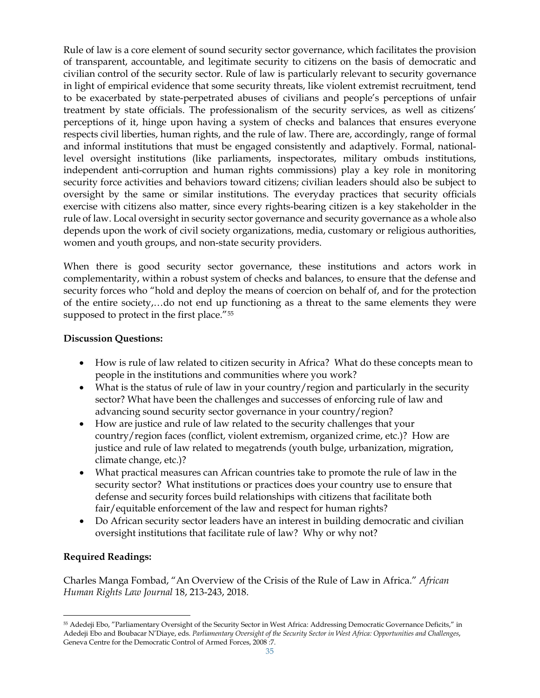Rule of law is a core element of sound security sector governance, which facilitates the provision of transparent, accountable, and legitimate security to citizens on the basis of democratic and civilian control of the security sector. Rule of law is particularly relevant to security governance in light of empirical evidence that some security threats, like violent extremist recruitment, tend to be exacerbated by state-perpetrated abuses of civilians and people's perceptions of unfair treatment by state officials. The professionalism of the security services, as well as citizens' perceptions of it, hinge upon having a system of checks and balances that ensures everyone respects civil liberties, human rights, and the rule of law. There are, accordingly, range of formal and informal institutions that must be engaged consistently and adaptively. Formal, nationallevel oversight institutions (like parliaments, inspectorates, military ombuds institutions, independent anti-corruption and human rights commissions) play a key role in monitoring security force activities and behaviors toward citizens; civilian leaders should also be subject to oversight by the same or similar institutions. The everyday practices that security officials exercise with citizens also matter, since every rights-bearing citizen is a key stakeholder in the rule of law. Local oversight in security sector governance and security governance as a whole also depends upon the work of civil society organizations, media, customary or religious authorities, women and youth groups, and non-state security providers.

When there is good security sector governance, these institutions and actors work in complementarity, within a robust system of checks and balances, to ensure that the defense and security forces who "hold and deploy the means of coercion on behalf of, and for the protection of the entire society,…do not end up functioning as a threat to the same elements they were supposed to protect in the first place."<sup>[55](#page-34-0)</sup>

### **Discussion Questions:**

- How is rule of law related to citizen security in Africa? What do these concepts mean to people in the institutions and communities where you work?
- What is the status of rule of law in your country/region and particularly in the security sector? What have been the challenges and successes of enforcing rule of law and advancing sound security sector governance in your country/region?
- How are justice and rule of law related to the security challenges that your country/region faces (conflict, violent extremism, organized crime, etc.)? How are justice and rule of law related to megatrends (youth bulge, urbanization, migration, climate change, etc.)?
- What practical measures can African countries take to promote the rule of law in the security sector? What institutions or practices does your country use to ensure that defense and security forces build relationships with citizens that facilitate both fair/equitable enforcement of the law and respect for human rights?
- Do African security sector leaders have an interest in building democratic and civilian oversight institutions that facilitate rule of law? Why or why not?

## **Required Readings:**

Charles Manga Fombad, "An Overview of the Crisis of the Rule of Law in Africa." *African Human Rights Law Journal* 18, 213-243, 2018.

<span id="page-34-0"></span><sup>55</sup> Adedeji Ebo, "Parliamentary Oversight of the Security Sector in West Africa: Addressing Democratic Governance Deficits," in Adedeji Ebo and Boubacar N'Diaye, eds. *Parliamentary Oversight of the Security Sector in West Africa: Opportunities and Challenges*, Geneva Centre for the Democratic Control of Armed Forces, 2008 :7.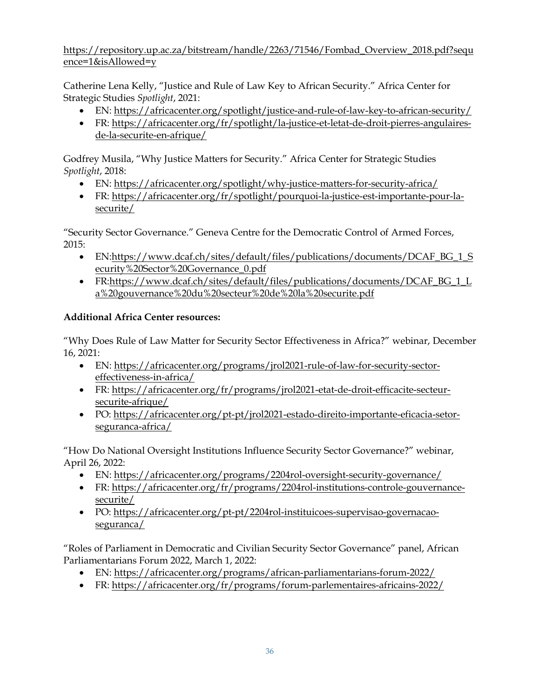[https://repository.up.ac.za/bitstream/handle/2263/71546/Fombad\\_Overview\\_2018.pdf?sequ](https://repository.up.ac.za/bitstream/handle/2263/71546/Fombad_Overview_2018.pdf?sequence=1&isAllowed=y) [ence=1&isAllowed=y](https://repository.up.ac.za/bitstream/handle/2263/71546/Fombad_Overview_2018.pdf?sequence=1&isAllowed=y)

Catherine Lena Kelly, "Justice and Rule of Law Key to African Security." Africa Center for Strategic Studies *Spotlight*, 2021:

- EN:<https://africacenter.org/spotlight/justice-and-rule-of-law-key-to-african-security/>
- FR: [https://africacenter.org/fr/spotlight/la-justice-et-letat-de-droit-pierres-angulaires](https://africacenter.org/fr/spotlight/la-justice-et-letat-de-droit-pierres-angulaires-de-la-securite-en-afrique/)[de-la-securite-en-afrique/](https://africacenter.org/fr/spotlight/la-justice-et-letat-de-droit-pierres-angulaires-de-la-securite-en-afrique/)

Godfrey Musila, "Why Justice Matters for Security." Africa Center for Strategic Studies *Spotlight*, 2018:

- EN:<https://africacenter.org/spotlight/why-justice-matters-for-security-africa/>
- FR: [https://africacenter.org/fr/spotlight/pourquoi-la-justice-est-importante-pour-la](https://africacenter.org/fr/spotlight/pourquoi-la-justice-est-importante-pour-la-securite/)[securite/](https://africacenter.org/fr/spotlight/pourquoi-la-justice-est-importante-pour-la-securite/)

"Security Sector Governance." Geneva Centre for the Democratic Control of Armed Forces, 2015:

- EN[:https://www.dcaf.ch/sites/default/files/publications/documents/DCAF\\_BG\\_1\\_S](https://www.dcaf.ch/sites/default/files/publications/documents/DCAF_BG_1_Security%20Sector%20Governance_0.pdf) [ecurity%20Sector%20Governance\\_0.pdf](https://www.dcaf.ch/sites/default/files/publications/documents/DCAF_BG_1_Security%20Sector%20Governance_0.pdf)
- FR[:https://www.dcaf.ch/sites/default/files/publications/documents/DCAF\\_BG\\_1\\_L](https://www.dcaf.ch/sites/default/files/publications/documents/DCAF_BG_1_La%20gouvernance%20du%20secteur%20de%20la%20securite.pdf) [a%20gouvernance%20du%20secteur%20de%20la%20securite.pdf](https://www.dcaf.ch/sites/default/files/publications/documents/DCAF_BG_1_La%20gouvernance%20du%20secteur%20de%20la%20securite.pdf)

# **Additional Africa Center resources:**

"Why Does Rule of Law Matter for Security Sector Effectiveness in Africa?" webinar, December 16, 2021:

- EN: [https://africacenter.org/programs/jrol2021-rule-of-law-for-security-sector](https://africacenter.org/programs/jrol2021-rule-of-law-for-security-sector-effectiveness-in-africa/)[effectiveness-in-africa/](https://africacenter.org/programs/jrol2021-rule-of-law-for-security-sector-effectiveness-in-africa/)
- FR: [https://africacenter.org/fr/programs/jrol2021-etat-de-droit-efficacite-secteur](https://africacenter.org/fr/programs/jrol2021-etat-de-droit-efficacite-secteur-securite-afrique/)[securite-afrique/](https://africacenter.org/fr/programs/jrol2021-etat-de-droit-efficacite-secteur-securite-afrique/)
- PO: [https://africacenter.org/pt-pt/jrol2021-estado-direito-importante-eficacia-setor](https://africacenter.org/pt-pt/jrol2021-estado-direito-importante-eficacia-setor-seguranca-africa/)[seguranca-africa/](https://africacenter.org/pt-pt/jrol2021-estado-direito-importante-eficacia-setor-seguranca-africa/)

"How Do National Oversight Institutions Influence Security Sector Governance?" webinar, April 26, 2022:

- EN:<https://africacenter.org/programs/2204rol-oversight-security-governance/>
- FR: [https://africacenter.org/fr/programs/2204rol-institutions-controle-gouvernance](https://africacenter.org/fr/programs/2204rol-institutions-controle-gouvernance-securite/)[securite/](https://africacenter.org/fr/programs/2204rol-institutions-controle-gouvernance-securite/)
- PO: [https://africacenter.org/pt-pt/2204rol-instituicoes-supervisao-governacao](https://africacenter.org/pt-pt/2204rol-instituicoes-supervisao-governacao-seguranca/)[seguranca/](https://africacenter.org/pt-pt/2204rol-instituicoes-supervisao-governacao-seguranca/)

"Roles of Parliament in Democratic and Civilian Security Sector Governance" panel, African Parliamentarians Forum 2022, March 1, 2022:

- EN:<https://africacenter.org/programs/african-parliamentarians-forum-2022/>
- FR:<https://africacenter.org/fr/programs/forum-parlementaires-africains-2022/>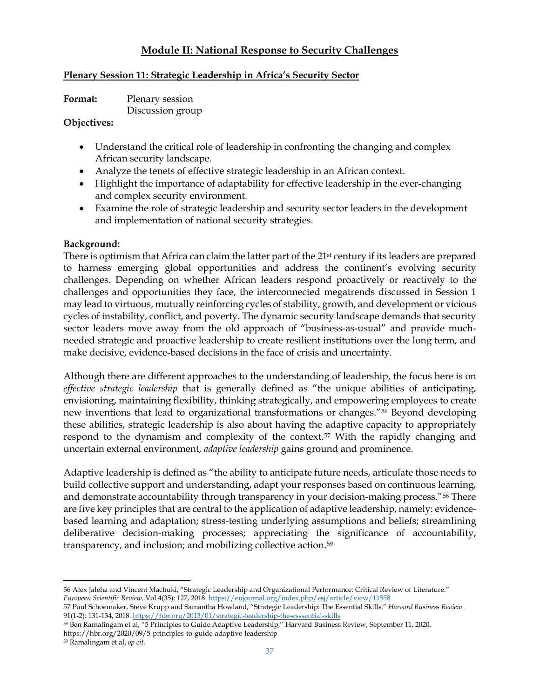# **Module II: National Response to Security Challenges**

#### **Plenary Session 11: Strategic Leadership in Africa's Security Sector**

**Format:** Plenary session Discussion group

#### **Objectives:**

- Understand the critical role of leadership in confronting the changing and complex African security landscape.
- Analyze the tenets of effective strategic leadership in an African context.
- Highlight the importance of adaptability for effective leadership in the ever-changing and complex security environment.
- Examine the role of strategic leadership and security sector leaders in the development and implementation of national security strategies.

#### **Background:**

There is optimism that Africa can claim the latter part of the 21st century if its leaders are prepared to harness emerging global opportunities and address the continent's evolving security challenges. Depending on whether African leaders respond proactively or reactively to the challenges and opportunities they face, the interconnected megatrends discussed in Session 1 may lead to virtuous, mutually reinforcing cycles of stability, growth, and development or vicious cycles of instability, conflict, and poverty. The dynamic security landscape demands that security sector leaders move away from the old approach of "business-as-usual" and provide muchneeded strategic and proactive leadership to create resilient institutions over the long term, and make decisive, evidence-based decisions in the face of crisis and uncertainty.

Although there are different approaches to the understanding of leadership, the focus here is on *effective strategic leadership* that is generally defined as "the unique abilities of anticipating, envisioning, maintaining flexibility, thinking strategically, and empowering employees to create new inventions that lead to organizational transformations or changes."[56](#page-36-0) Beyond developing these abilities, strategic leadership is also about having the adaptive capacity to appropriately respond to the dynamism and complexity of the context.<sup>[57](#page-36-1)</sup> With the rapidly changing and uncertain external environment, *adaptive leadership* gains ground and prominence.

Adaptive leadership is defined as "the ability to anticipate future needs, articulate those needs to build collective support and understanding, adapt your responses based on continuous learning, and demonstrate accountability through transparency in your decision-making process."<sup>[58](#page-36-2)</sup> There are five key principles that are central to the application of adaptive leadership, namely: evidencebased learning and adaptation; stress-testing underlying assumptions and beliefs; streamlining deliberative decision-making processes; appreciating the significance of accountability, transparency, and inclusion; and mobilizing collective action.[59](#page-36-3)

https://hbr.org/2020/09/5-principles-to-guide-adaptive-leadership

<span id="page-36-0"></span><sup>56</sup> Alex Jaleha and Vincent Machuki, "Strategic Leadership and Organizational Performance: Critical Review of Literature." *European Scientific Review.* Vol 4(35): 127, 2018[. https://eujournal.org/index.php/esj/article/view/11558](https://eujournal.org/index.php/esj/article/view/11558) 57 Paul Schoemaker, Steve Krupp and Samantha Howland, "Strategic Leadership: The Essential Skills." *Harvard Business Review*.

<span id="page-36-2"></span><span id="page-36-1"></span><sup>91(1-2): 131-134, 2018</sup>[. https://hbr.org/2013/01/strategic-leadership-the-esssential-skills](https://hbr.org/2013/01/strategic-leadership-the-esssential-skills) <sup>58</sup> Ben Ramalingam et al, "5 Principles to Guide Adaptive Leadership," Harvard Business Review, September 11, 2020.

<span id="page-36-3"></span><sup>59</sup> Ramalingam et al, *op cit.*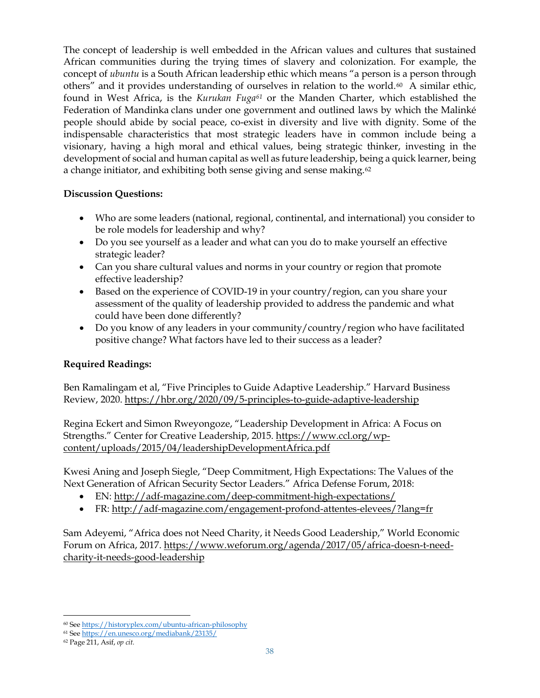The concept of leadership is well embedded in the African values and cultures that sustained African communities during the trying times of slavery and colonization. For example, the concept of *ubuntu* is a South African leadership ethic which means "a person is a person through others" and it provides understanding of ourselves in relation to the world.<sup>[60](#page-37-0)</sup> A similar ethic, found in West Africa, is the *Kurukan Fuga[61](#page-37-1)* or the Manden Charter, which established the Federation of Mandinka clans under one government and outlined laws by which the Malinké people should abide by social peace, co-exist in diversity and live with dignity. Some of the indispensable characteristics that most strategic leaders have in common include being a visionary, having a high moral and ethical values, being strategic thinker, investing in the development of social and human capital as well as future leadership, being a quick learner, being a change initiator, and exhibiting both sense giving and sense making.<sup>[62](#page-37-2)</sup>

## **Discussion Questions:**

- Who are some leaders (national, regional, continental, and international) you consider to be role models for leadership and why?
- Do you see yourself as a leader and what can you do to make yourself an effective strategic leader?
- Can you share cultural values and norms in your country or region that promote effective leadership?
- Based on the experience of COVID-19 in your country/region, can you share your assessment of the quality of leadership provided to address the pandemic and what could have been done differently?
- Do you know of any leaders in your community/country/region who have facilitated positive change? What factors have led to their success as a leader?

## **Required Readings:**

Ben Ramalingam et al, "Five Principles to Guide Adaptive Leadership." Harvard Business Review, 2020.<https://hbr.org/2020/09/5-principles-to-guide-adaptive-leadership>

Regina Eckert and Simon Rweyongoze, "Leadership Development in Africa: A Focus on Strengths." Center for Creative Leadership, 2015. [https://www.ccl.org/wp](https://www.ccl.org/wp-content/uploads/2015/04/leadershipDevelopmentAfrica.pdf)[content/uploads/2015/04/leadershipDevelopmentAfrica.pdf](https://www.ccl.org/wp-content/uploads/2015/04/leadershipDevelopmentAfrica.pdf)

Kwesi Aning and Joseph Siegle, "Deep Commitment, High Expectations: The Values of the Next Generation of African Security Sector Leaders." Africa Defense Forum, 2018:

- EN:<http://adf-magazine.com/deep-commitment-high-expectations/>
- FR:<http://adf-magazine.com/engagement-profond-attentes-elevees/?lang=fr>

Sam Adeyemi, "Africa does not Need Charity, it Needs Good Leadership," World Economic Forum on Africa, 2017. [https://www.weforum.org/agenda/2017/05/africa-doesn-t-need](https://www.weforum.org/agenda/2017/05/africa-doesn-t-need-charity-it-needs-good-leadership)[charity-it-needs-good-leadership](https://www.weforum.org/agenda/2017/05/africa-doesn-t-need-charity-it-needs-good-leadership)

<span id="page-37-0"></span><sup>60</sup> See<https://historyplex.com/ubuntu-african-philosophy>

<span id="page-37-1"></span><sup>61</sup> See<https://en.unesco.org/mediabank/23135/>

<span id="page-37-2"></span><sup>62</sup> Page 211, Asif, *op cit.*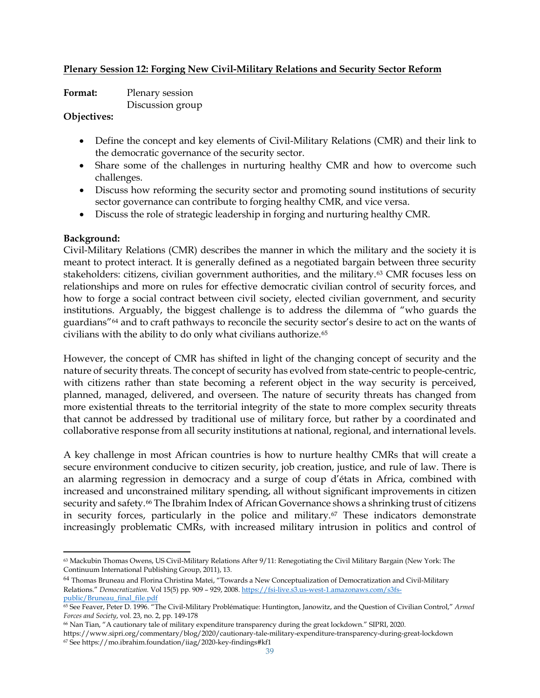#### **Plenary Session 12: Forging New Civil-Military Relations and Security Sector Reform**

| Format: | Plenary session  |
|---------|------------------|
|         | Discussion group |

#### **Objectives:**

- Define the concept and key elements of Civil-Military Relations (CMR) and their link to the democratic governance of the security sector.
- Share some of the challenges in nurturing healthy CMR and how to overcome such challenges.
- Discuss how reforming the security sector and promoting sound institutions of security sector governance can contribute to forging healthy CMR, and vice versa.
- Discuss the role of strategic leadership in forging and nurturing healthy CMR.

#### **Background:**

Civil-Military Relations (CMR) describes the manner in which the military and the society it is meant to protect interact. It is generally defined as a negotiated bargain between three security stakeholders: citizens, civilian government authorities, and the military.[63](#page-38-0) CMR focuses less on relationships and more on rules for effective democratic civilian control of security forces, and how to forge a social contract between civil society, elected civilian government, and security institutions. Arguably, the biggest challenge is to address the dilemma of "who guards the guardians"[64](#page-38-1) and to craft pathways to reconcile the security sector's desire to act on the wants of civilians with the ability to do only what civilians authorize.[65](#page-38-2)

However, the concept of CMR has shifted in light of the changing concept of security and the nature of security threats. The concept of security has evolved from state-centric to people-centric, with citizens rather than state becoming a referent object in the way security is perceived, planned, managed, delivered, and overseen. The nature of security threats has changed from more existential threats to the territorial integrity of the state to more complex security threats that cannot be addressed by traditional use of military force, but rather by a coordinated and collaborative response from all security institutions at national, regional, and international levels.

A key challenge in most African countries is how to nurture healthy CMRs that will create a secure environment conducive to citizen security, job creation, justice, and rule of law. There is an alarming regression in democracy and a surge of coup d'états in Africa, combined with increased and unconstrained military spending, all without significant improvements in citizen security and safety.<sup>[66](#page-38-3)</sup> The Ibrahim Index of African Governance shows a shrinking trust of citizens in security forces, particularly in the police and military.[67](#page-38-4) These indicators demonstrate increasingly problematic CMRs, with increased military intrusion in politics and control of

<span id="page-38-0"></span> $63$  Mackubin Thomas Owens, US Civil-Military Relations After  $9/11$ : Renegotiating the Civil Military Bargain (New York: The Continuum International Publishing Group, 2011), 13.

<span id="page-38-1"></span><sup>64</sup> Thomas Bruneau and Florina Christina Matei, "Towards a New Conceptualization of Democratization and Civil-Military Relations." *Democratization.* Vol 15(5) pp. 909 – 929, 2008[. https://fsi-live.s3.us-west-1.amazonaws.com/s3fs](https://fsi-live.s3.us-west-1.amazonaws.com/s3fs-public/Bruneau_final_file.pdf)[public/Bruneau\\_final\\_file.pdf](https://fsi-live.s3.us-west-1.amazonaws.com/s3fs-public/Bruneau_final_file.pdf)

<span id="page-38-2"></span><sup>65</sup> See Feaver, Peter D. 1996. "The Civil-Military Problématique: Huntington, Janowitz, and the Question of Civilian Control," *Armed Forces and Society*, vol. 23, no. 2, pp. 149-178

<span id="page-38-3"></span><sup>66</sup> Nan Tian, "A cautionary tale of military expenditure transparency during the great lockdown." SIPRI, 2020.

<span id="page-38-4"></span>https://www.sipri.org/commentary/blog/2020/cautionary-tale-military-expenditure-transparency-during-great-lockdown <sup>67</sup> See https://mo.ibrahim.foundation/iiag/2020-key-findings#kf1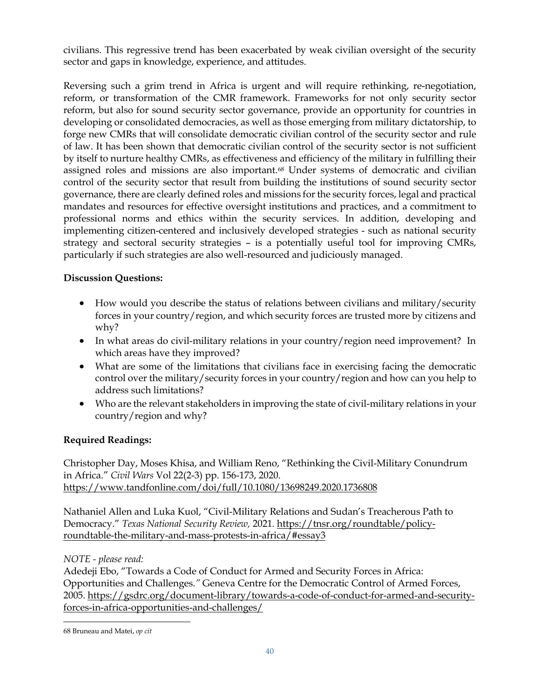civilians. This regressive trend has been exacerbated by weak civilian oversight of the security sector and gaps in knowledge, experience, and attitudes.

Reversing such a grim trend in Africa is urgent and will require rethinking, re-negotiation, reform, or transformation of the CMR framework. Frameworks for not only security sector reform, but also for sound security sector governance, provide an opportunity for countries in developing or consolidated democracies, as well as those emerging from military dictatorship, to forge new CMRs that will consolidate democratic civilian control of the security sector and rule of law. It has been shown that democratic civilian control of the security sector is not sufficient by itself to nurture healthy CMRs, as effectiveness and efficiency of the military in fulfilling their assigned roles and missions are also important.[68](#page-39-0) Under systems of democratic and civilian control of the security sector that result from building the institutions of sound security sector governance, there are clearly defined roles and missions for the security forces, legal and practical mandates and resources for effective oversight institutions and practices, and a commitment to professional norms and ethics within the security services. In addition, developing and implementing citizen-centered and inclusively developed strategies - such as national security strategy and sectoral security strategies – is a potentially useful tool for improving CMRs, particularly if such strategies are also well-resourced and judiciously managed.

# **Discussion Questions:**

- How would you describe the status of relations between civilians and military/security forces in your country/region, and which security forces are trusted more by citizens and why?
- In what areas do civil-military relations in your country/region need improvement? In which areas have they improved?
- What are some of the limitations that civilians face in exercising facing the democratic control over the military/security forces in your country/region and how can you help to address such limitations?
- Who are the relevant stakeholders in improving the state of civil-military relations in your country/region and why?

## **Required Readings:**

Christopher Day, Moses Khisa, and William Reno, "Rethinking the Civil-Military Conundrum in Africa." *Civil Wars* Vol 22(2-3) pp. 156-173, 2020. <https://www.tandfonline.com/doi/full/10.1080/13698249.2020.1736808>

Nathaniel Allen and Luka Kuol, "Civil-Military Relations and Sudan's Treacherous Path to Democracy." *Texas National Security Review,* 2021*.* [https://tnsr.org/roundtable/policy](https://tnsr.org/roundtable/policy-roundtable-the-military-and-mass-protests-in-africa/#essay3)[roundtable-the-military-and-mass-protests-in-africa/#essay3](https://tnsr.org/roundtable/policy-roundtable-the-military-and-mass-protests-in-africa/#essay3)

## *NOTE - please read:*

Adedeji Ebo, "Towards a Code of Conduct for Armed and Security Forces in Africa: Opportunities and Challenges*."* Geneva Centre for the Democratic Control of Armed Forces, 2005. [https://gsdrc.org/document-library/towards-a-code-of-conduct-for-armed-and-security](https://gsdrc.org/document-library/towards-a-code-of-conduct-for-armed-and-security-forces-in-africa-opportunities-and-challenges/)[forces-in-africa-opportunities-and-challenges/](https://gsdrc.org/document-library/towards-a-code-of-conduct-for-armed-and-security-forces-in-africa-opportunities-and-challenges/)

<span id="page-39-0"></span><sup>68</sup> Bruneau and Matei, *op cit*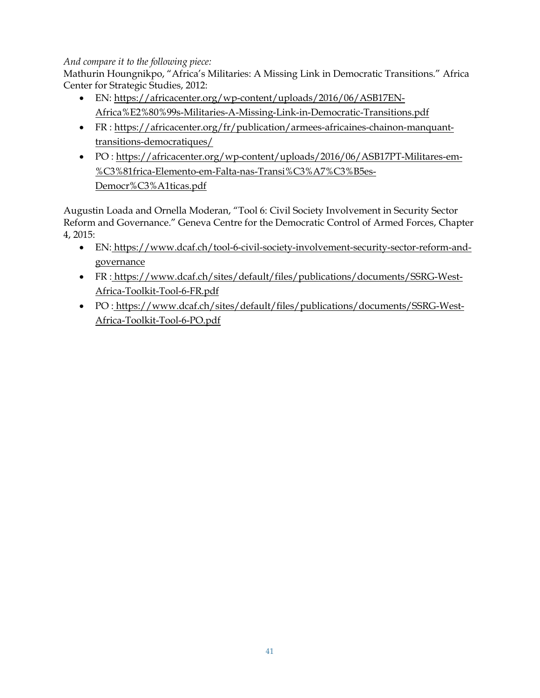## *And compare it to the following piece:*

Mathurin Houngnikpo, "Africa's Militaries: A Missing Link in Democratic Transitions." Africa Center for Strategic Studies, 2012:

- EN: [https://africacenter.org/wp-content/uploads/2016/06/ASB17EN-](https://africacenter.org/wp-content/uploads/2016/06/ASB17EN-Africa%E2%80%99s-Militaries-A-Missing-Link-in-Democratic-Transitions.pdf)[Africa%E2%80%99s-Militaries-A-Missing-Link-in-Democratic-Transitions.pdf](https://africacenter.org/wp-content/uploads/2016/06/ASB17EN-Africa%E2%80%99s-Militaries-A-Missing-Link-in-Democratic-Transitions.pdf)
- FR : [https://africacenter.org/fr/publication/armees-africaines-chainon-manquant](https://africacenter.org/fr/publication/armees-africaines-chainon-manquant-transitions-democratiques/)[transitions-democratiques/](https://africacenter.org/fr/publication/armees-africaines-chainon-manquant-transitions-democratiques/)
- PO : [https://africacenter.org/wp-content/uploads/2016/06/ASB17PT-Militares-em-](https://africacenter.org/wp-content/uploads/2016/06/ASB17PT-Militares-em-%C3%81frica-Elemento-em-Falta-nas-Transi%C3%A7%C3%B5es-Democr%C3%A1ticas.pdf) [%C3%81frica-Elemento-em-Falta-nas-Transi%C3%A7%C3%B5es-](https://africacenter.org/wp-content/uploads/2016/06/ASB17PT-Militares-em-%C3%81frica-Elemento-em-Falta-nas-Transi%C3%A7%C3%B5es-Democr%C3%A1ticas.pdf)[Democr%C3%A1ticas.pdf](https://africacenter.org/wp-content/uploads/2016/06/ASB17PT-Militares-em-%C3%81frica-Elemento-em-Falta-nas-Transi%C3%A7%C3%B5es-Democr%C3%A1ticas.pdf)

Augustin Loada and Ornella Moderan, "Tool 6: Civil Society Involvement in Security Sector Reform and Governance." Geneva Centre for the Democratic Control of Armed Forces, Chapter 4, 2015:

- EN: [https://www.dcaf.ch/tool-6-civil-society-involvement-security-sector-reform-and](https://www.dcaf.ch/tool-6-civil-society-involvement-security-sector-reform-and-governance)[governance](https://www.dcaf.ch/tool-6-civil-society-involvement-security-sector-reform-and-governance)
- FR : [https://www.dcaf.ch/sites/default/files/publications/documents/SSRG-West-](https://www.dcaf.ch/sites/default/files/publications/documents/SSRG-West-Africa-Toolkit-Tool-6-FR.pdf)[Africa-Toolkit-Tool-6-FR.pdf](https://www.dcaf.ch/sites/default/files/publications/documents/SSRG-West-Africa-Toolkit-Tool-6-FR.pdf)
- PO: https://www.dcaf.ch/sites/default/files/publications/documents/SSRG-West-Africa-Toolkit-Tool-6-PO.pdf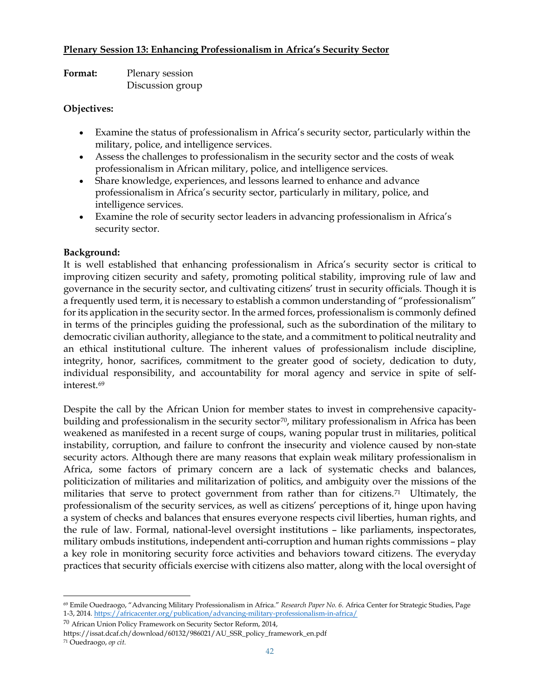#### **Plenary Session 13: Enhancing Professionalism in Africa's Security Sector**

**Format:** Plenary session Discussion group

### **Objectives:**

- Examine the status of professionalism in Africa's security sector, particularly within the military, police, and intelligence services.
- Assess the challenges to professionalism in the security sector and the costs of weak professionalism in African military, police, and intelligence services.
- Share knowledge, experiences, and lessons learned to enhance and advance professionalism in Africa's security sector, particularly in military, police, and intelligence services.
- Examine the role of security sector leaders in advancing professionalism in Africa's security sector.

### **Background:**

It is well established that enhancing professionalism in Africa's security sector is critical to improving citizen security and safety, promoting political stability, improving rule of law and governance in the security sector, and cultivating citizens' trust in security officials. Though it is a frequently used term, it is necessary to establish a common understanding of "professionalism" for its application in the security sector. In the armed forces, professionalism is commonly defined in terms of the principles guiding the professional, such as the subordination of the military to democratic civilian authority, allegiance to the state, and a commitment to political neutrality and an ethical institutional culture. The inherent values of professionalism include discipline, integrity, honor, sacrifices, commitment to the greater good of society, dedication to duty, individual responsibility, and accountability for moral agency and service in spite of selfinterest 69

Despite the call by the African Union for member states to invest in comprehensive capacitybuilding and professionalism in the security sector<sup>70</sup>, military professionalism in Africa has been weakened as manifested in a recent surge of coups, waning popular trust in militaries, political instability, corruption, and failure to confront the insecurity and violence caused by non-state security actors. Although there are many reasons that explain weak military professionalism in Africa, some factors of primary concern are a lack of systematic checks and balances, politicization of militaries and militarization of politics, and ambiguity over the missions of the militaries that serve to protect government from rather than for citizens.<sup>[71](#page-41-2)</sup> Ultimately, the professionalism of the security services, as well as citizens' perceptions of it, hinge upon having a system of checks and balances that ensures everyone respects civil liberties, human rights, and the rule of law. Formal, national-level oversight institutions – like parliaments, inspectorates, military ombuds institutions, independent anti-corruption and human rights commissions – play a key role in monitoring security force activities and behaviors toward citizens. The everyday practices that security officials exercise with citizens also matter, along with the local oversight of

<span id="page-41-1"></span><sup>70</sup> African Union Policy Framework on Security Sector Reform, 2014,

<span id="page-41-0"></span><sup>69</sup> Emile Ouedraogo, "Advancing Military Professionalism in Africa." *Research Paper No. 6.* Africa Center for Strategic Studies, Page 1-3, 2014[. https://africacenter.org/publication/advancing-military-professionalism-in-africa/](https://africacenter.org/publication/advancing-military-professionalism-in-africa/)

https://issat.dcaf.ch/download/60132/986021/AU\_SSR\_policy\_framework\_en.pdf

<span id="page-41-2"></span><sup>71</sup> Ouedraogo, *op cit.*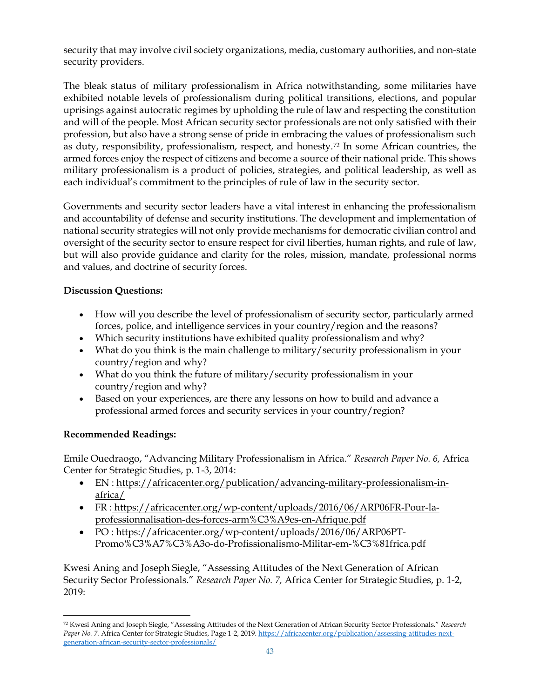security that may involve civil society organizations, media, customary authorities, and non-state security providers.

The bleak status of military professionalism in Africa notwithstanding, some militaries have exhibited notable levels of professionalism during political transitions, elections, and popular uprisings against autocratic regimes by upholding the rule of law and respecting the constitution and will of the people. Most African security sector professionals are not only satisfied with their profession, but also have a strong sense of pride in embracing the values of professionalism such as duty, responsibility, professionalism, respect, and honesty.[72](#page-42-0) In some African countries, the armed forces enjoy the respect of citizens and become a source of their national pride. This shows military professionalism is a product of policies, strategies, and political leadership, as well as each individual's commitment to the principles of rule of law in the security sector.

Governments and security sector leaders have a vital interest in enhancing the professionalism and accountability of defense and security institutions. The development and implementation of national security strategies will not only provide mechanisms for democratic civilian control and oversight of the security sector to ensure respect for civil liberties, human rights, and rule of law, but will also provide guidance and clarity for the roles, mission, mandate, professional norms and values, and doctrine of security forces.

## **Discussion Questions:**

- How will you describe the level of professionalism of security sector, particularly armed forces, police, and intelligence services in your country/region and the reasons?
- Which security institutions have exhibited quality professionalism and why?
- What do you think is the main challenge to military/security professionalism in your country/region and why?
- What do you think the future of military/security professionalism in your country/region and why?
- Based on your experiences, are there any lessons on how to build and advance a professional armed forces and security services in your country/region?

#### **Recommended Readings:**

Emile Ouedraogo, "Advancing Military Professionalism in Africa." *Research Paper No. 6,* Africa Center for Strategic Studies, p. 1-3, 2014:

- EN : [https://africacenter.org/publication/advancing-military-professionalism-in](https://africacenter.org/publication/advancing-military-professionalism-in-africa/)[africa/](https://africacenter.org/publication/advancing-military-professionalism-in-africa/)
- FR : [https://africacenter.org/wp-content/uploads/2016/06/ARP06FR-Pour-la](https://africacenter.org/wp-content/uploads/2016/06/ARP06FR-Pour-la-professionnalisation-des-forces-arm%C3%A9es-en-Afrique.pdf)[professionnalisation-des-forces-arm%C3%A9es-en-Afrique.pdf](https://africacenter.org/wp-content/uploads/2016/06/ARP06FR-Pour-la-professionnalisation-des-forces-arm%C3%A9es-en-Afrique.pdf)
- PO : https://africacenter.org/wp-content/uploads/2016/06/ARP06PT-Promo%C3%A7%C3%A3o-do-Profissionalismo-Militar-em-%C3%81frica.pdf

Kwesi Aning and Joseph Siegle, "Assessing Attitudes of the Next Generation of African Security Sector Professionals." *Research Paper No. 7,* Africa Center for Strategic Studies, p. 1-2, 2019:

<span id="page-42-0"></span><sup>72</sup> Kwesi Aning and Joseph Siegle, "Assessing Attitudes of the Next Generation of African Security Sector Professionals." *Research Paper No. 7. Africa Center for Strategic Studies, Page 1-2, 2019[. https://africacenter.org/publication/assessing-attitudes-next](https://africacenter.org/publication/assessing-attitudes-next-generation-african-security-sector-professionals/)*[generation-african-security-sector-professionals/](https://africacenter.org/publication/assessing-attitudes-next-generation-african-security-sector-professionals/)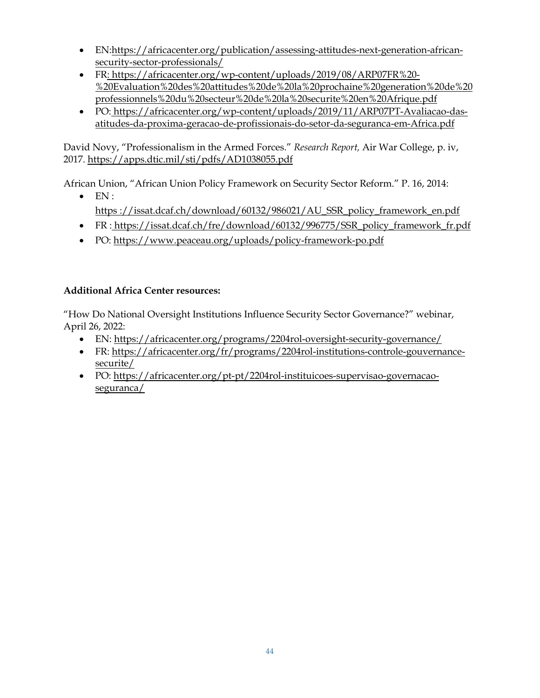- EN[:https://africacenter.org/publication/assessing-attitudes-next-generation-african](https://africacenter.org/publication/assessing-attitudes-next-generation-african-security-sector-professionals/)[security-sector-professionals/](https://africacenter.org/publication/assessing-attitudes-next-generation-african-security-sector-professionals/)
- FR: [https://africacenter.org/wp-content/uploads/2019/08/ARP07FR%20-](https://africacenter.org/wp-content/uploads/2019/08/ARP07FR%20-%20Evaluation%20des%20attitudes%20de%20la%20prochaine%20generation%20de%20professionnels%20du%20secteur%20de%20la%20securite%20en%20Afrique.pdf) [%20Evaluation%20des%20attitudes%20de%20la%20prochaine%20generation%20de%20](https://africacenter.org/wp-content/uploads/2019/08/ARP07FR%20-%20Evaluation%20des%20attitudes%20de%20la%20prochaine%20generation%20de%20professionnels%20du%20secteur%20de%20la%20securite%20en%20Afrique.pdf) [professionnels%20du%20secteur%20de%20la%20securite%20en%20Afrique.pdf](https://africacenter.org/wp-content/uploads/2019/08/ARP07FR%20-%20Evaluation%20des%20attitudes%20de%20la%20prochaine%20generation%20de%20professionnels%20du%20secteur%20de%20la%20securite%20en%20Afrique.pdf)
- PO: https://africacenter.org/wp-content/uploads/2019/11/ARP07PT-Avaliacao-dasatitudes-da-proxima-geracao-de-profissionais-do-setor-da-seguranca-em-Africa.pdf

David Novy, "Professionalism in the Armed Forces." *Research Report,* Air War College, p. iv, 2017.<https://apps.dtic.mil/sti/pdfs/AD1038055.pdf>

African Union, "African Union Policy Framework on Security Sector Reform." P. 16, 2014:

- $\bullet$  EN: [https](https://issat.dcaf.ch/download/60132/986021/AU_SSR_policy_framework_en.pdf) [://issat.dcaf.ch/download/60132/986021/AU\\_SSR\\_policy\\_framework\\_en.pdf](https://issat.dcaf.ch/download/60132/986021/AU_SSR_policy_framework_en.pdf)
- FR : [https://issat.dcaf.ch/fre/download/60132/996775/SSR\\_policy\\_framework\\_fr.pdf](https://issat.dcaf.ch/fre/download/60132/996775/SSR_policy_framework_fr.pdf)
- PO:<https://www.peaceau.org/uploads/policy-framework-po.pdf>

# **Additional Africa Center resources:**

"How Do National Oversight Institutions Influence Security Sector Governance?" webinar, April 26, 2022:

- EN:<https://africacenter.org/programs/2204rol-oversight-security-governance/>
- FR: [https://africacenter.org/fr/programs/2204rol-institutions-controle-gouvernance](https://africacenter.org/fr/programs/2204rol-institutions-controle-gouvernance-securite/)[securite/](https://africacenter.org/fr/programs/2204rol-institutions-controle-gouvernance-securite/)
- PO: [https://africacenter.org/pt-pt/2204rol-instituicoes-supervisao-governacao](https://africacenter.org/pt-pt/2204rol-instituicoes-supervisao-governacao-seguranca/)[seguranca/](https://africacenter.org/pt-pt/2204rol-instituicoes-supervisao-governacao-seguranca/)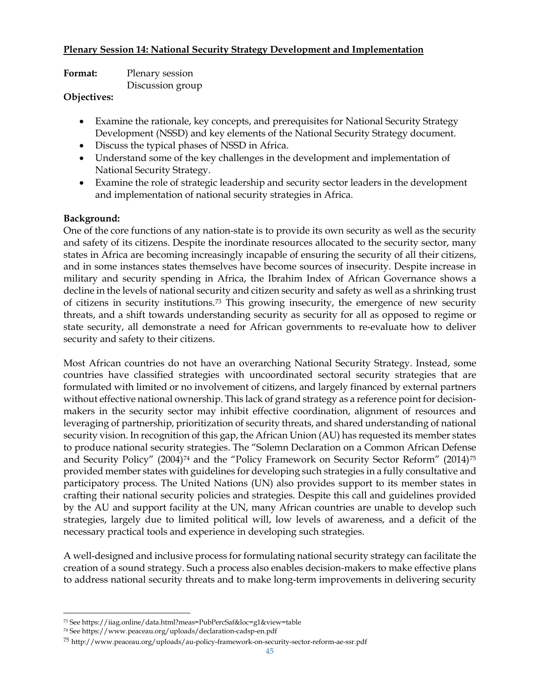### **Plenary Session 14: National Security Strategy Development and Implementation**

| Format: | Plenary session  |
|---------|------------------|
|         | Discussion group |

#### **Objectives:**

- Examine the rationale, key concepts, and prerequisites for National Security Strategy Development (NSSD) and key elements of the National Security Strategy document.
- Discuss the typical phases of NSSD in Africa.
- Understand some of the key challenges in the development and implementation of National Security Strategy.
- Examine the role of strategic leadership and security sector leaders in the development and implementation of national security strategies in Africa.

### **Background:**

One of the core functions of any nation-state is to provide its own security as well as the security and safety of its citizens. Despite the inordinate resources allocated to the security sector, many states in Africa are becoming increasingly incapable of ensuring the security of all their citizens, and in some instances states themselves have become sources of insecurity. Despite increase in military and security spending in Africa, the Ibrahim Index of African Governance shows a decline in the levels of national security and citizen security and safety as well as a shrinking trust of citizens in security institutions.[73](#page-44-0) This growing insecurity, the emergence of new security threats, and a shift towards understanding security as security for all as opposed to regime or state security, all demonstrate a need for African governments to re-evaluate how to deliver security and safety to their citizens.

Most African countries do not have an overarching National Security Strategy. Instead, some countries have classified strategies with uncoordinated sectoral security strategies that are formulated with limited or no involvement of citizens, and largely financed by external partners without effective national ownership. This lack of grand strategy as a reference point for decisionmakers in the security sector may inhibit effective coordination, alignment of resources and leveraging of partnership, prioritization of security threats, and shared understanding of national security vision. In recognition of this gap, the African Union (AU) has requested its member states to produce national security strategies. The "Solemn Declaration on a Common African Defense and Security Policy" (2004)<sup>[74](#page-44-1)</sup> and the "Policy Framework on Security Sector Reform" (2014)<sup>[75](#page-44-2)</sup> provided member states with guidelines for developing such strategies in a fully consultative and participatory process. The United Nations (UN) also provides support to its member states in crafting their national security policies and strategies. Despite this call and guidelines provided by the AU and support facility at the UN, many African countries are unable to develop such strategies, largely due to limited political will, low levels of awareness, and a deficit of the necessary practical tools and experience in developing such strategies.

A well-designed and inclusive process for formulating national security strategy can facilitate the creation of a sound strategy. Such a process also enables decision-makers to make effective plans to address national security threats and to make long-term improvements in delivering security

<span id="page-44-0"></span><sup>73</sup> See https://iiag.online/data.html?meas=PubPercSaf&loc=g1&view=table

<span id="page-44-1"></span><sup>74</sup> See https://www.peaceau.org/uploads/declaration-cadsp-en.pdf

<span id="page-44-2"></span><sup>75</sup> http://www.peaceau.org/uploads/au-policy-framework-on-security-sector-reform-ae-ssr.pdf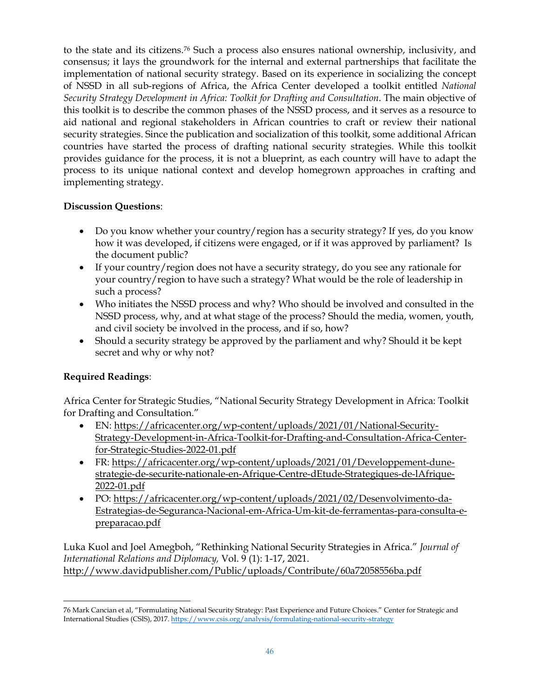to the state and its citizens.[76](#page-45-0) Such a process also ensures national ownership, inclusivity, and consensus; it lays the groundwork for the internal and external partnerships that facilitate the implementation of national security strategy. Based on its experience in socializing the concept of NSSD in all sub-regions of Africa, the Africa Center developed a toolkit entitled *National Security Strategy Development in Africa: Toolkit for Drafting and Consultation*. The main objective of this toolkit is to describe the common phases of the NSSD process, and it serves as a resource to aid national and regional stakeholders in African countries to craft or review their national security strategies. Since the publication and socialization of this toolkit, some additional African countries have started the process of drafting national security strategies. While this toolkit provides guidance for the process, it is not a blueprint, as each country will have to adapt the process to its unique national context and develop homegrown approaches in crafting and implementing strategy.

## **Discussion Questions**:

- Do you know whether your country/region has a security strategy? If yes, do you know how it was developed, if citizens were engaged, or if it was approved by parliament? Is the document public?
- If your country/region does not have a security strategy, do you see any rationale for your country/region to have such a strategy? What would be the role of leadership in such a process?
- Who initiates the NSSD process and why? Who should be involved and consulted in the NSSD process, why, and at what stage of the process? Should the media, women, youth, and civil society be involved in the process, and if so, how?
- Should a security strategy be approved by the parliament and why? Should it be kept secret and why or why not?

## **Required Readings**:

Africa Center for Strategic Studies, ["National Security Strategy Development in Africa: Toolkit](https://africacenter.org/wp-content/uploads/2021/01/National-Security-Strategy-Development-in-Africa-Toolkit-for-Drafting-and-Consultation-Africa-Center-for-Strategic-Studies.pdf)  [for Drafting and Consultation."](https://africacenter.org/wp-content/uploads/2021/01/National-Security-Strategy-Development-in-Africa-Toolkit-for-Drafting-and-Consultation-Africa-Center-for-Strategic-Studies.pdf)

- EN: [https://africacenter.org/wp-content/uploads/2021/01/National-Security-](https://africacenter.org/wp-content/uploads/2021/01/National-Security-Strategy-Development-in-Africa-Toolkit-for-Drafting-and-Consultation-Africa-Center-for-Strategic-Studies-2022-01.pdf)[Strategy-Development-in-Africa-Toolkit-for-Drafting-and-Consultation-Africa-Center](https://africacenter.org/wp-content/uploads/2021/01/National-Security-Strategy-Development-in-Africa-Toolkit-for-Drafting-and-Consultation-Africa-Center-for-Strategic-Studies-2022-01.pdf)[for-Strategic-Studies-2022-01.pdf](https://africacenter.org/wp-content/uploads/2021/01/National-Security-Strategy-Development-in-Africa-Toolkit-for-Drafting-and-Consultation-Africa-Center-for-Strategic-Studies-2022-01.pdf)
- FR: [https://africacenter.org/wp-content/uploads/2021/01/Developpement-dune](https://africacenter.org/wp-content/uploads/2021/01/Developpement-dune-strategie-de-securite-nationale-en-Afrique-Centre-dEtude-Strategiques-de-lAfrique-2022-01.pdf)[strategie-de-securite-nationale-en-Afrique-Centre-dEtude-Strategiques-de-lAfrique-](https://africacenter.org/wp-content/uploads/2021/01/Developpement-dune-strategie-de-securite-nationale-en-Afrique-Centre-dEtude-Strategiques-de-lAfrique-2022-01.pdf)[2022-01.pdf](https://africacenter.org/wp-content/uploads/2021/01/Developpement-dune-strategie-de-securite-nationale-en-Afrique-Centre-dEtude-Strategiques-de-lAfrique-2022-01.pdf)
- PO: [https://africacenter.org/wp-content/uploads/2021/02/Desenvolvimento-da-](https://africacenter.org/wp-content/uploads/2021/02/Desenvolvimento-da-Estrategias-de-Seguranca-Nacional-em-Africa-Um-kit-de-ferramentas-para-consulta-e-preparacao.pdf)[Estrategias-de-Seguranca-Nacional-em-Africa-Um-kit-de-ferramentas-para-consulta-e](https://africacenter.org/wp-content/uploads/2021/02/Desenvolvimento-da-Estrategias-de-Seguranca-Nacional-em-Africa-Um-kit-de-ferramentas-para-consulta-e-preparacao.pdf)[preparacao.pdf](https://africacenter.org/wp-content/uploads/2021/02/Desenvolvimento-da-Estrategias-de-Seguranca-Nacional-em-Africa-Um-kit-de-ferramentas-para-consulta-e-preparacao.pdf)

Luka Kuol and Joel Amegboh, "Rethinking National Security Strategies in Africa." *Journal of International Relations and Diplomacy,* Vol. 9 (1): 1-17, 2021. <http://www.davidpublisher.com/Public/uploads/Contribute/60a72058556ba.pdf>

<span id="page-45-0"></span><sup>76</sup> Mark Cancian et al, "Formulating National Security Strategy: Past Experience and Future Choices." Center for Strategic and International Studies (CSIS), 2017[. https://www.csis.org/analysis/formulating-national-security-strategy](https://www.csis.org/analysis/formulating-national-security-strategy)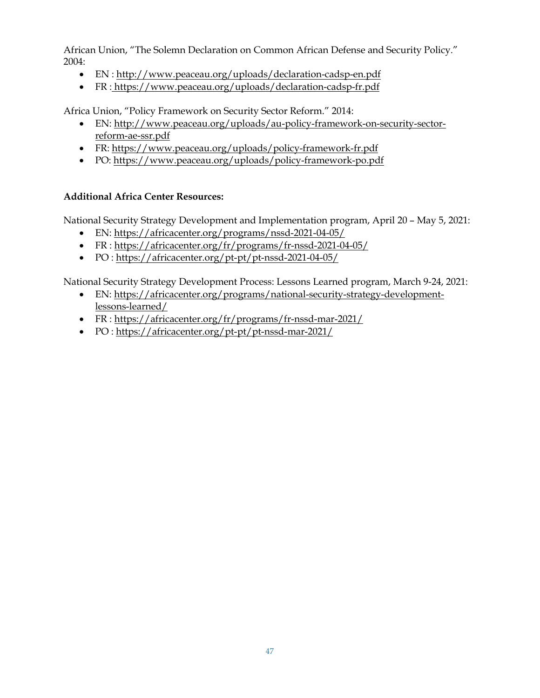African Union, "The Solemn Declaration on Common African Defense and Security Policy." 2004:

- EN :<http://www.peaceau.org/uploads/declaration-cadsp-en.pdf>
- FR : https://www.peaceau.org/uploads/declaration-cadsp-fr.pdf

Africa Union, "Policy Framework on Security Sector Reform." 2014:

- EN: [http://www.peaceau.org/uploads/au-policy-framework-on-security-sector](http://www.peaceau.org/uploads/au-policy-framework-on-security-sector-reform-ae-ssr.pdf)[reform-ae-ssr.pdf](http://www.peaceau.org/uploads/au-policy-framework-on-security-sector-reform-ae-ssr.pdf)
- FR:<https://www.peaceau.org/uploads/policy-framework-fr.pdf>
- PO:<https://www.peaceau.org/uploads/policy-framework-po.pdf>

## **Additional Africa Center Resources:**

National Security Strategy Development and Implementation program, April 20 – May 5, 2021:

- EN:<https://africacenter.org/programs/nssd-2021-04-05/>
- FR :<https://africacenter.org/fr/programs/fr-nssd-2021-04-05/>
- PO :<https://africacenter.org/pt-pt/pt-nssd-2021-04-05/>

National Security Strategy Development Process: Lessons Learned program, March 9-24, 2021:

- EN: [https://africacenter.org/programs/national-security-strategy-development](https://africacenter.org/programs/national-security-strategy-development-lessons-learned/)[lessons-learned/](https://africacenter.org/programs/national-security-strategy-development-lessons-learned/)
- FR : <https://africacenter.org/fr/programs/fr-nssd-mar-2021/>
- PO :<https://africacenter.org/pt-pt/pt-nssd-mar-2021/>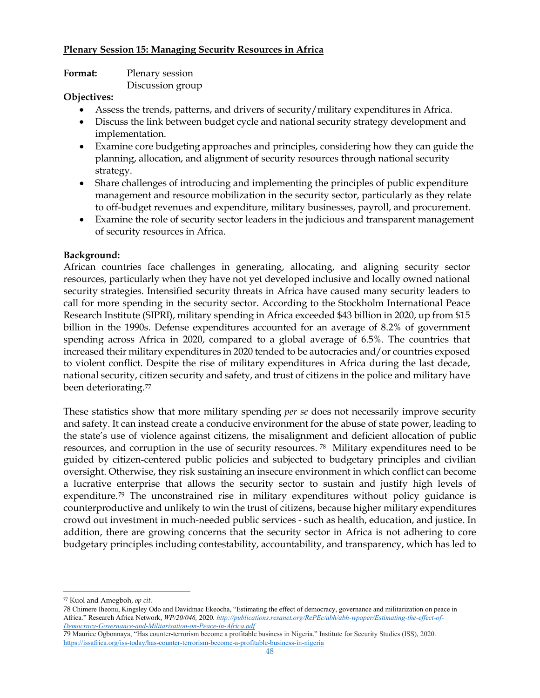### **Plenary Session 15: Managing Security Resources in Africa**

| <b>Format:</b> | Plenary session  |
|----------------|------------------|
|                | Discussion group |

### **Objectives:**

- Assess the trends, patterns, and drivers of security/military expenditures in Africa.
- Discuss the link between budget cycle and national security strategy development and implementation.
- Examine core budgeting approaches and principles, considering how they can guide the planning, allocation, and alignment of security resources through national security strategy.
- Share challenges of introducing and implementing the principles of public expenditure management and resource mobilization in the security sector, particularly as they relate to off-budget revenues and expenditure, military businesses, payroll, and procurement.
- Examine the role of security sector leaders in the judicious and transparent management of security resources in Africa.

## **Background:**

African countries face challenges in generating, allocating, and aligning security sector resources, particularly when they have not yet developed inclusive and locally owned national security strategies. Intensified security threats in Africa have caused many security leaders to call for more spending in the security sector. According to the Stockholm International Peace Research Institute (SIPRI), military spending in Africa exceeded \$43 billion in 2020, up from \$15 billion in the 1990s. Defense expenditures accounted for an average of 8.2% of government spending across Africa in 2020, compared to a global average of 6.5%. The countries that increased their military expenditures in 2020 tended to be autocracies and/or countries exposed to violent conflict. Despite the rise of military expenditures in Africa during the last decade, national security, citizen security and safety, and trust of citizens in the police and military have been deteriorating.<sup>[77](#page-47-0)</sup>

These statistics show that more military spending *per se* does not necessarily improve security and safety. It can instead create a conducive environment for the abuse of state power, leading to the state's use of violence against citizens, the misalignment and deficient allocation of public resources, and corruption in the use of security resources. [78](#page-47-1) Military expenditures need to be guided by citizen-centered public policies and subjected to budgetary principles and civilian oversight. Otherwise, they risk sustaining an insecure environment in which conflict can become a lucrative enterprise that allows the security sector to sustain and justify high levels of expenditure.[79](#page-47-2) The unconstrained rise in military expenditures without policy guidance is counterproductive and unlikely to win the trust of citizens, because higher military expenditures crowd out investment in much-needed public services - such as health, education, and justice. In addition, there are growing concerns that the security sector in Africa is not adhering to core budgetary principles including contestability, accountability, and transparency, which has led to

<span id="page-47-0"></span><sup>77</sup> Kuol and Amegboh, *op cit.*

<span id="page-47-1"></span><sup>78</sup> Chimere Iheonu, Kingsley Odo and Davidmac Ekeocha, "Estimating the effect of democracy, governance and militarization on peace in Africa." Research Africa Network, *WP/20/046,* 2020*[. http://publications.resanet.org/RePEc/abh/abh-wpaper/Estimating-the-effect-of-](http://publications.resanet.org/RePEc/abh/abh-wpaper/Estimating-the-effect-of-Democracy-Governance-and-Militarisation-on-Peace-in-Africa.pdf)[Democracy-Governance-and-Militarisation-on-Peace-in-Africa.pdf](http://publications.resanet.org/RePEc/abh/abh-wpaper/Estimating-the-effect-of-Democracy-Governance-and-Militarisation-on-Peace-in-Africa.pdf)*

<span id="page-47-2"></span><sup>79</sup> Maurice Ogbonnaya, "Has counter-terrorism become a profitable business in Nigeria." Institute for Security Studies (ISS), 2020. <https://issafrica.org/iss-today/has-counter-terrorism-become-a-profitable-business-in-nigeria>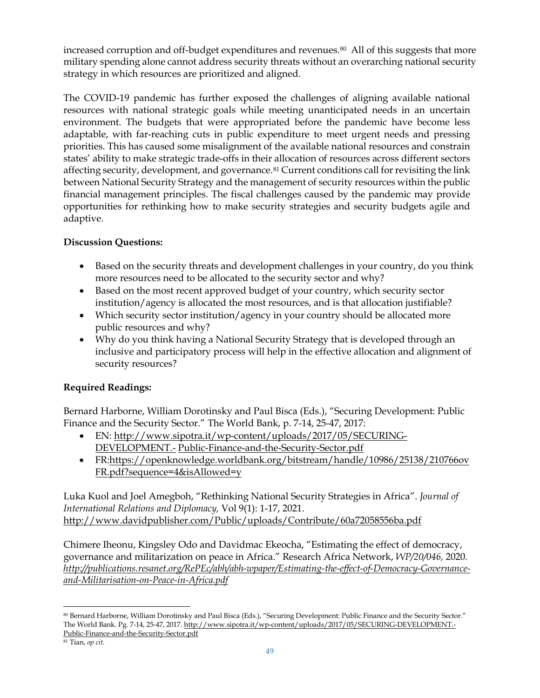increased corruption and off-budget expenditures and revenues.<sup>80</sup> All of this suggests that more military spending alone cannot address security threats without an overarching national security strategy in which resources are prioritized and aligned.

The COVID-19 pandemic has further exposed the challenges of aligning available national resources with national strategic goals while meeting unanticipated needs in an uncertain environment. The budgets that were appropriated before the pandemic have become less adaptable, with far-reaching cuts in public expenditure to meet urgent needs and pressing priorities. This has caused some misalignment of the available national resources and constrain states' ability to make strategic trade-offs in their allocation of resources across different sectors affecting security, development, and governance.<sup>[81](#page-48-1)</sup> Current conditions call for revisiting the link between National Security Strategy and the management of security resources within the public financial management principles. The fiscal challenges caused by the pandemic may provide opportunities for rethinking how to make security strategies and security budgets agile and adaptive.

# **Discussion Questions:**

- Based on the security threats and development challenges in your country, do you think more resources need to be allocated to the security sector and why?
- Based on the most recent approved budget of your country, which security sector institution/agency is allocated the most resources, and is that allocation justifiable?
- Which security sector institution/agency in your country should be allocated more public resources and why?
- Why do you think having a National Security Strategy that is developed through an inclusive and participatory process will help in the effective allocation and alignment of security resources?

# **Required Readings:**

Bernard Harborne, William Dorotinsky and Paul Bisca (Eds.), "Securing Development: Public Finance and the Security Sector." The World Bank, p. 7-14, 25-47, 2017:

- EN: [http://www.sipotra.it/wp-content/uploads/2017/05/SECURING-](http://www.sipotra.it/wp-content/uploads/2017/05/SECURING-DEVELOPMENT.-)[DEVELOPMENT.-](http://www.sipotra.it/wp-content/uploads/2017/05/SECURING-DEVELOPMENT.-) [Public-Finance-and-the-Security-Sector.pdf](http://www.sipotra.it/wp-content/uploads/2017/05/SECURING-DEVELOPMENT.-Public-Finance-and-the-Security-Sector.pdf)
- FR[:https://openknowledge.worldbank.org/bitstream/handle/10986/25138/210766ov](https://openknowledge.worldbank.org/bitstream/handle/10986/25138/210766ovFR.pdf?sequence=4&isAllowed=y) [FR.pdf?sequence=4&isAllowed=y](https://openknowledge.worldbank.org/bitstream/handle/10986/25138/210766ovFR.pdf?sequence=4&isAllowed=y)

Luka Kuol and Joel Amegboh, "Rethinking National Security Strategies in Africa". *Journal of International Relations and Diplomacy,* Vol 9(1): 1-17, 2021. <http://www.davidpublisher.com/Public/uploads/Contribute/60a72058556ba.pdf>

Chimere Iheonu, Kingsley Odo and Davidmac Ekeocha, "Estimating the effect of democracy, governance and militarization on peace in Africa." Research Africa Network, *WP/20/046,* 2020*. [http://publications.resanet.org/RePEc/abh/abh-wpaper/Estimating-the-effect-of-Democracy-Governance](http://publications.resanet.org/RePEc/abh/abh-wpaper/Estimating-the-effect-of-Democracy-Governance-and-Militarisation-on-Peace-in-Africa.pdf)[and-Militarisation-on-Peace-in-Africa.pdf](http://publications.resanet.org/RePEc/abh/abh-wpaper/Estimating-the-effect-of-Democracy-Governance-and-Militarisation-on-Peace-in-Africa.pdf)*

<span id="page-48-0"></span><sup>80</sup> Bernard Harborne, William Dorotinsky and Paul Bisca (Eds.), "Securing Development: Public Finance and the Security Sector." The World Bank. Pg. 7-14, 25-47, 2017[. http://www.sipotra.it/wp-content/uploads/2017/05/SECURING-DEVELOPMENT.-](http://www.sipotra.it/wp-content/uploads/2017/05/SECURING-DEVELOPMENT.-Public-Finance-and-the-Security-Sector.pdf) [Public-Finance-and-the-Security-Sector.pdf](http://www.sipotra.it/wp-content/uploads/2017/05/SECURING-DEVELOPMENT.-Public-Finance-and-the-Security-Sector.pdf)

<span id="page-48-1"></span><sup>81</sup> Tian, *op cit.*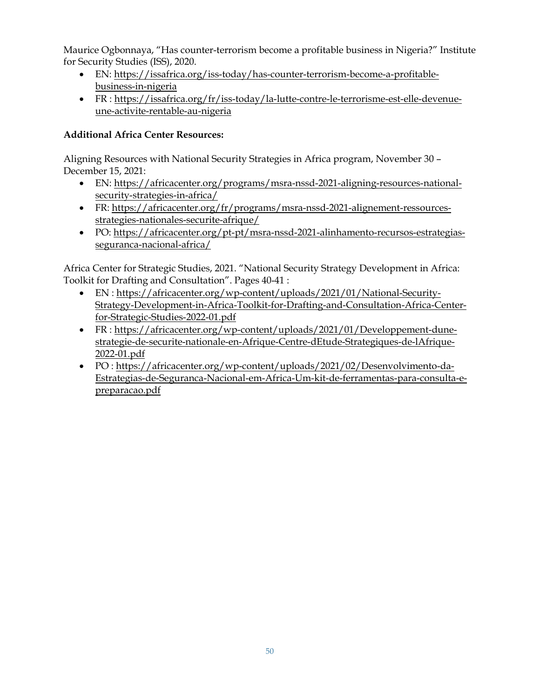Maurice Ogbonnaya, "Has counter-terrorism become a profitable business in Nigeria?" Institute for Security Studies (ISS), 2020.

- EN: [https://issafrica.org/iss-today/has-counter-terrorism-become-a-profitable](https://issafrica.org/iss-today/has-counter-terrorism-become-a-profitable-business-in-nigeria)[business-in-nigeria](https://issafrica.org/iss-today/has-counter-terrorism-become-a-profitable-business-in-nigeria)
- FR : [https://issafrica.org/fr/iss-today/la-lutte-contre-le-terrorisme-est-elle-devenue](https://issafrica.org/fr/iss-today/la-lutte-contre-le-terrorisme-est-elle-devenue-une-activite-rentable-au-nigeria)[une-activite-rentable-au-nigeria](https://issafrica.org/fr/iss-today/la-lutte-contre-le-terrorisme-est-elle-devenue-une-activite-rentable-au-nigeria)

# **Additional Africa Center Resources:**

Aligning Resources with National Security Strategies in Africa program, November 30 – December 15, 2021:

- EN: [https://africacenter.org/programs/msra-nssd-2021-aligning-resources-national](https://africacenter.org/programs/msra-nssd-2021-aligning-resources-national-security-strategies-in-africa/)[security-strategies-in-africa/](https://africacenter.org/programs/msra-nssd-2021-aligning-resources-national-security-strategies-in-africa/)
- FR: [https://africacenter.org/fr/programs/msra-nssd-2021-alignement-ressources](https://africacenter.org/fr/programs/msra-nssd-2021-alignement-ressources-strategies-nationales-securite-afrique/)[strategies-nationales-securite-afrique/](https://africacenter.org/fr/programs/msra-nssd-2021-alignement-ressources-strategies-nationales-securite-afrique/)
- PO: [https://africacenter.org/pt-pt/msra-nssd-2021-alinhamento-recursos-estrategias](https://africacenter.org/pt-pt/msra-nssd-2021-alinhamento-recursos-estrategias-seguranca-nacional-africa/)[seguranca-nacional-africa/](https://africacenter.org/pt-pt/msra-nssd-2021-alinhamento-recursos-estrategias-seguranca-nacional-africa/)

Africa Center for Strategic Studies, 2021. "National Security Strategy Development in Africa: Toolkit for Drafting and Consultation". Pages 40-41 :

- EN : [https://africacenter.org/wp-content/uploads/2021/01/National-Security-](https://africacenter.org/wp-content/uploads/2021/01/National-Security-Strategy-Development-in-Africa-Toolkit-for-Drafting-and-Consultation-Africa-Center-for-Strategic-Studies-2022-01.pdf)[Strategy-Development-in-Africa-Toolkit-for-Drafting-and-Consultation-Africa-Center](https://africacenter.org/wp-content/uploads/2021/01/National-Security-Strategy-Development-in-Africa-Toolkit-for-Drafting-and-Consultation-Africa-Center-for-Strategic-Studies-2022-01.pdf)[for-Strategic-Studies-2022-01.pdf](https://africacenter.org/wp-content/uploads/2021/01/National-Security-Strategy-Development-in-Africa-Toolkit-for-Drafting-and-Consultation-Africa-Center-for-Strategic-Studies-2022-01.pdf)
- FR : [https://africacenter.org/wp-content/uploads/2021/01/Developpement-dune](https://africacenter.org/wp-content/uploads/2021/01/Developpement-dune-strategie-de-securite-nationale-en-Afrique-Centre-dEtude-Strategiques-de-lAfrique-2022-01.pdf)[strategie-de-securite-nationale-en-Afrique-Centre-dEtude-Strategiques-de-lAfrique-](https://africacenter.org/wp-content/uploads/2021/01/Developpement-dune-strategie-de-securite-nationale-en-Afrique-Centre-dEtude-Strategiques-de-lAfrique-2022-01.pdf)[2022-01.pdf](https://africacenter.org/wp-content/uploads/2021/01/Developpement-dune-strategie-de-securite-nationale-en-Afrique-Centre-dEtude-Strategiques-de-lAfrique-2022-01.pdf)
- PO : [https://africacenter.org/wp-content/uploads/2021/02/Desenvolvimento-da-](https://africacenter.org/wp-content/uploads/2021/02/Desenvolvimento-da-Estrategias-de-Seguranca-Nacional-em-Africa-Um-kit-de-ferramentas-para-consulta-e-preparacao.pdf)[Estrategias-de-Seguranca-Nacional-em-Africa-Um-kit-de-ferramentas-para-consulta-e](https://africacenter.org/wp-content/uploads/2021/02/Desenvolvimento-da-Estrategias-de-Seguranca-Nacional-em-Africa-Um-kit-de-ferramentas-para-consulta-e-preparacao.pdf)[preparacao.pdf](https://africacenter.org/wp-content/uploads/2021/02/Desenvolvimento-da-Estrategias-de-Seguranca-Nacional-em-Africa-Um-kit-de-ferramentas-para-consulta-e-preparacao.pdf)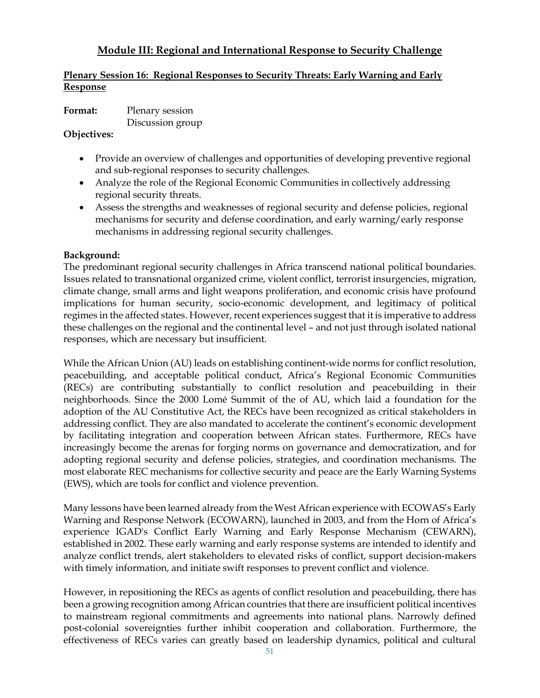# **Module III: Regional and International Response to Security Challenge**

### **Plenary Session 16: Regional Responses to Security Threats: Early Warning and Early Response**

**Format:** Plenary session

Discussion group

**Objectives:**

- Provide an overview of challenges and opportunities of developing preventive regional and sub-regional responses to security challenges.
- Analyze the role of the Regional Economic Communities in collectively addressing regional security threats.
- Assess the strengths and weaknesses of regional security and defense policies, regional mechanisms for security and defense coordination, and early warning/early response mechanisms in addressing regional security challenges.

### **Background:**

The predominant regional security challenges in Africa transcend national political boundaries. Issues related to transnational organized crime, violent conflict, terrorist insurgencies, migration, climate change, small arms and light weapons proliferation, and economic crisis have profound implications for human security, socio-economic development, and legitimacy of political regimes in the affected states. However, recent experiences suggest that it is imperative to address these challenges on the regional and the continental level – and not just through isolated national responses, which are necessary but insufficient.

While the African Union (AU) leads on establishing continent-wide norms for conflict resolution, peacebuilding, and acceptable political conduct, Africa's Regional Economic Communities (RECs) are contributing substantially to conflict resolution and peacebuilding in their neighborhoods. Since the 2000 Lomé Summit of the of AU, which laid a foundation for the adoption of the AU Constitutive Act, the RECs have been recognized as critical stakeholders in addressing conflict. They are also mandated to accelerate the continent's economic development by facilitating integration and cooperation between African states. Furthermore, RECs have increasingly become the arenas for forging norms on governance and democratization, and for adopting regional security and defense policies, strategies, and coordination mechanisms. The most elaborate REC mechanisms for collective security and peace are the Early Warning Systems (EWS), which are tools for conflict and violence prevention.

Many lessons have been learned already from the West African experience with ECOWAS's Early Warning and Response Network (ECOWARN), launched in 2003, and from the Horn of Africa's experience IGAD's Conflict Early Warning and Early Response Mechanism (CEWARN), established in 2002. These early warning and early response systems are intended to identify and analyze conflict trends, alert stakeholders to elevated risks of conflict, support decision-makers with timely information, and initiate swift responses to prevent conflict and violence.

However, in repositioning the RECs as agents of conflict resolution and peacebuilding, there has been a growing recognition among African countries that there are insufficient political incentives to mainstream regional commitments and agreements into national plans. Narrowly defined post-colonial sovereignties further inhibit cooperation and collaboration. Furthermore, the effectiveness of RECs varies can greatly based on leadership dynamics, political and cultural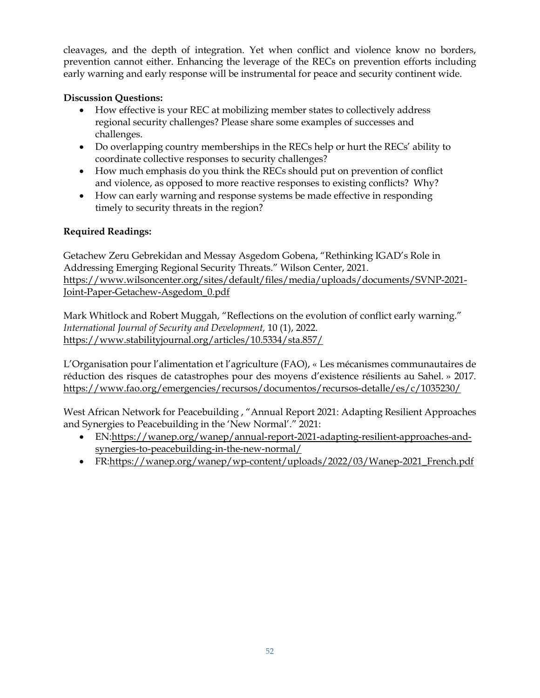cleavages, and the depth of integration. Yet when conflict and violence know no borders, prevention cannot either. Enhancing the leverage of the RECs on prevention efforts including early warning and early response will be instrumental for peace and security continent wide.

# **Discussion Questions:**

- How effective is your REC at mobilizing member states to collectively address regional security challenges? Please share some examples of successes and challenges.
- Do overlapping country memberships in the RECs help or hurt the RECs' ability to coordinate collective responses to security challenges?
- How much emphasis do you think the RECs should put on prevention of conflict and violence, as opposed to more reactive responses to existing conflicts? Why?
- How can early warning and response systems be made effective in responding timely to security threats in the region?

# **Required Readings:**

Getachew Zeru Gebrekidan and Messay Asgedom Gobena, "Rethinking IGAD's Role in Addressing Emerging Regional Security Threats." Wilson Center, 2021. [https://www.wilsoncenter.org/sites/default/files/media/uploads/documents/SVNP-2021-](https://www.wilsoncenter.org/sites/default/files/media/uploads/documents/SVNP-2021-Joint-Paper-Getachew-Asgedom_0.pdf) [Joint-Paper-Getachew-Asgedom\\_0.pdf](https://www.wilsoncenter.org/sites/default/files/media/uploads/documents/SVNP-2021-Joint-Paper-Getachew-Asgedom_0.pdf)

Mark Whitlock and Robert Muggah, "Reflections on the evolution of conflict early warning." *International Journal of Security and Development,* 10 (1), 2022. <https://www.stabilityjournal.org/articles/10.5334/sta.857/>

L'Organisation pour l'alimentation et l'agriculture (FAO), « Les mécanismes communautaires de réduction des risques de catastrophes pour des moyens d'existence résilients au Sahel. » 2017. <https://www.fao.org/emergencies/recursos/documentos/recursos-detalle/es/c/1035230/>

West African Network for Peacebuilding , "Annual Report 2021: Adapting Resilient Approaches and Synergies to Peacebuilding in the 'New Normal'." 2021:

- EN[:https://wanep.org/wanep/annual-report-2021-adapting-resilient-approaches-and](https://wanep.org/wanep/annual-report-2021-adapting-resilient-approaches-and-synergies-to-peacebuilding-in-the-new-normal/)[synergies-to-peacebuilding-in-the-new-normal/](https://wanep.org/wanep/annual-report-2021-adapting-resilient-approaches-and-synergies-to-peacebuilding-in-the-new-normal/)
- FR[:https://wanep.org/wanep/wp-content/uploads/2022/03/Wanep-2021\\_French.pdf](https://wanep.org/wanep/wp-content/uploads/2022/03/Wanep-2021_French.pdf)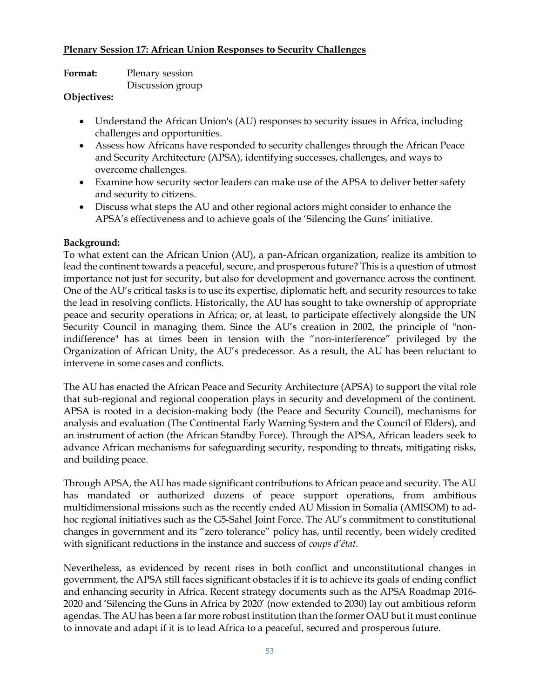### **Plenary Session 17: African Union Responses to Security Challenges**

| Format: | Plenary session  |
|---------|------------------|
|         | Discussion group |

### **Objectives:**

- Understand the African Union's (AU) responses to security issues in Africa, including challenges and opportunities.
- Assess how Africans have responded to security challenges through the African Peace and Security Architecture (APSA), identifying successes, challenges, and ways to overcome challenges.
- Examine how security sector leaders can make use of the APSA to deliver better safety and security to citizens.
- Discuss what steps the AU and other regional actors might consider to enhance the APSA's effectiveness and to achieve goals of the 'Silencing the Guns' initiative.

### **Background:**

To what extent can the African Union (AU), a pan-African organization, realize its ambition to lead the continent towards a peaceful, secure, and prosperous future? This is a question of utmost importance not just for security, but also for development and governance across the continent. One of the AU's critical tasks is to use its expertise, diplomatic heft, and security resources to take the lead in resolving conflicts. Historically, the AU has sought to take ownership of appropriate peace and security operations in Africa; or, at least, to participate effectively alongside the UN Security Council in managing them. Since the AU's creation in 2002, the principle of "nonindifference" has at times been in tension with the "non-interference" privileged by the Organization of African Unity, the AU's predecessor. As a result, the AU has been reluctant to intervene in some cases and conflicts.

The AU has enacted the African Peace and Security Architecture (APSA) to support the vital role that sub-regional and regional cooperation plays in security and development of the continent. APSA is rooted in a decision-making body (the Peace and Security Council), mechanisms for analysis and evaluation (The Continental Early Warning System and the Council of Elders), and an instrument of action (the African Standby Force). Through the APSA, African leaders seek to advance African mechanisms for safeguarding security, responding to threats, mitigating risks, and building peace.

Through APSA, the AU has made significant contributions to African peace and security. The AU has mandated or authorized dozens of peace support operations, from ambitious multidimensional missions such as the recently ended AU Mission in Somalia (AMISOM) to adhoc regional initiatives such as the G5-Sahel Joint Force. The AU's commitment to constitutional changes in government and its "zero tolerance" policy has, until recently, been widely credited with significant reductions in the instance and success of *coups d'état*.

Nevertheless, as evidenced by recent rises in both conflict and unconstitutional changes in government, the APSA still faces significant obstacles if it is to achieve its goals of ending conflict and enhancing security in Africa. Recent strategy documents such as the APSA Roadmap 2016- 2020 and 'Silencing the Guns in Africa by 2020' (now extended to 2030) lay out ambitious reform agendas. The AU has been a far more robust institution than the former OAU but it must continue to innovate and adapt if it is to lead Africa to a peaceful, secured and prosperous future.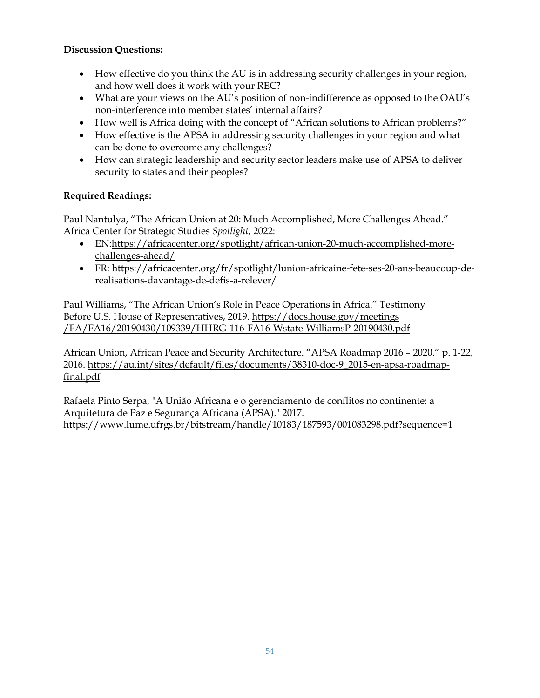## **Discussion Questions:**

- How effective do you think the AU is in addressing security challenges in your region, and how well does it work with your REC?
- What are your views on the AU's position of non-indifference as opposed to the OAU's non-interference into member states' internal affairs?
- How well is Africa doing with the concept of "African solutions to African problems?"
- How effective is the APSA in addressing security challenges in your region and what can be done to overcome any challenges?
- How can strategic leadership and security sector leaders make use of APSA to deliver security to states and their peoples?

## **Required Readings:**

Paul Nantulya, "The African Union at 20: Much Accomplished, More Challenges Ahead." Africa Center for Strategic Studies *Spotlight,* 2022:

- EN[:https://africacenter.org/spotlight/african-union-20-much-accomplished-more](https://africacenter.org/spotlight/african-union-20-much-accomplished-more-challenges-ahead/)[challenges-ahead/](https://africacenter.org/spotlight/african-union-20-much-accomplished-more-challenges-ahead/)
- FR: [https://africacenter.org/fr/spotlight/lunion-africaine-fete-ses-20-ans-beaucoup-de](https://africacenter.org/fr/spotlight/lunion-africaine-fete-ses-20-ans-beaucoup-de-realisations-davantage-de-defis-a-relever/)[realisations-davantage-de-defis-a-relever/](https://africacenter.org/fr/spotlight/lunion-africaine-fete-ses-20-ans-beaucoup-de-realisations-davantage-de-defis-a-relever/)

Paul Williams, "The African Union's Role in Peace Operations in Africa." Testimony Before U.S. House of Representatives, 2019[. https://docs.house.gov/meetings](https://docs.house.gov/meetings/FA/FA16/20190430/109339/HHRG-116-FA16-Wstate-WilliamsP-20190430.pdf) [/FA/FA16/20190430/109339/HHRG-116-FA16-Wstate-WilliamsP-20190430.pdf](https://docs.house.gov/meetings/FA/FA16/20190430/109339/HHRG-116-FA16-Wstate-WilliamsP-20190430.pdf) 

African Union, African Peace and Security Architecture. "APSA Roadmap 2016 – 2020." p. 1-22, 2016. [https://au.int/sites/default/files/documents/38310-doc-9\\_2015-en-apsa-roadmap](https://au.int/sites/default/files/documents/38310-doc-9_2015-en-apsa-roadmap-final.pdf)[final.pdf](https://au.int/sites/default/files/documents/38310-doc-9_2015-en-apsa-roadmap-final.pdf)

Rafaela Pinto Serpa, "A União Africana e o gerenciamento de conflitos no continente: a Arquitetura de Paz e Segurança Africana (APSA)." 2017. <https://www.lume.ufrgs.br/bitstream/handle/10183/187593/001083298.pdf?sequence=1>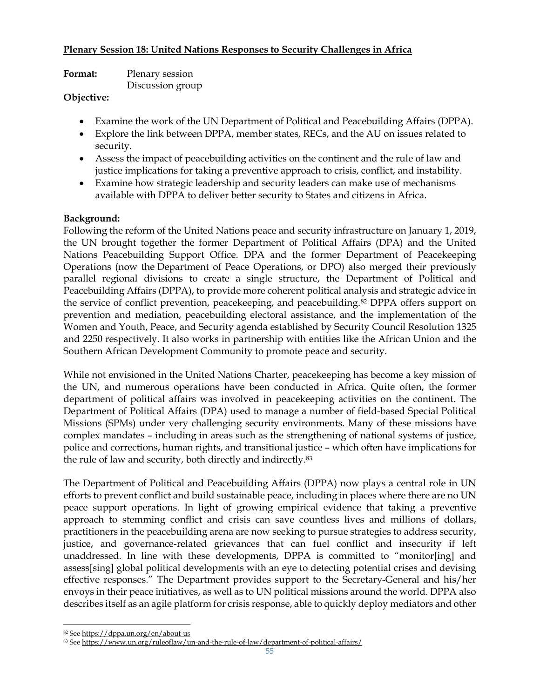### **Plenary Session 18: United Nations Responses to Security Challenges in Africa**

| <b>Format:</b> | Plenary session  |
|----------------|------------------|
|                | Discussion group |

### **Objective:**

- Examine the work of the UN Department of Political and Peacebuilding Affairs (DPPA).
- Explore the link between DPPA, member states, RECs, and the AU on issues related to security.
- Assess the impact of peacebuilding activities on the continent and the rule of law and justice implications for taking a preventive approach to crisis, conflict, and instability.
- Examine how strategic leadership and security leaders can make use of mechanisms available with DPPA to deliver better security to States and citizens in Africa.

### **Background:**

Following the reform of the United Nations peace and security infrastructure on January 1, 2019, the UN brought together the former Department of Political Affairs (DPA) and the United Nations Peacebuilding Support Office. DPA and the former Department of Peacekeeping Operations (now the [Department of Peace Operations,](https://peacekeeping.un.org/en) or DPO) also merged their previously parallel regional divisions to create a single structure, the Department of Political and Peacebuilding Affairs (DPPA), to provide more coherent political analysis and strategic advice in the service of conflict prevention, peacekeeping, and peacebuilding.<sup>[82](#page-54-0)</sup> DPPA offers support on prevention and mediation, peacebuilding electoral assistance, and the implementation of the Women and Youth, Peace, and Security agenda established by Security Council Resolution 1325 and 2250 respectively. It also works in partnership with entities like the African Union and the Southern African Development Community to promote peace and security.

While not envisioned in the United Nations Charter, peacekeeping has become a key mission of the UN, and numerous operations have been conducted in Africa. Quite often, the former department of political affairs was involved in peacekeeping activities on the continent. The Department of Political Affairs (DPA) used to manage a number of field-based Special Political Missions (SPMs) under very challenging security environments. Many of these missions have complex mandates – including in areas such as the strengthening of national systems of justice, police and corrections, human rights, and transitional justice – which often have implications for the rule of law and security, both directly and indirectly.[83](#page-54-1)

The Department of Political and Peacebuilding Affairs (DPPA) now plays a central role in UN efforts to prevent conflict and build sustainable peace, including in places where there are no UN peace support operations. In light of growing empirical evidence that taking a preventive approach to stemming conflict and crisis can save countless lives and millions of dollars, practitioners in the peacebuilding arena are now seeking to pursue strategies to address security, justice, and governance-related grievances that can fuel conflict and insecurity if left unaddressed. In line with these developments, DPPA is committed to "monitor[ing] and assess[sing] global political developments with an eye to detecting potential crises and devising effective responses." The Department provides support to the Secretary-General and his/her envoys in their peace initiatives, as well as to UN political missions around the world. DPPA also describes itself as an agile platform for crisis response, able to quickly deploy mediators and other

<sup>82</sup> See<https://dppa.un.org/en/about-us>

<span id="page-54-1"></span><span id="page-54-0"></span><sup>83</sup> See<https://www.un.org/ruleoflaw/un-and-the-rule-of-law/department-of-political-affairs/>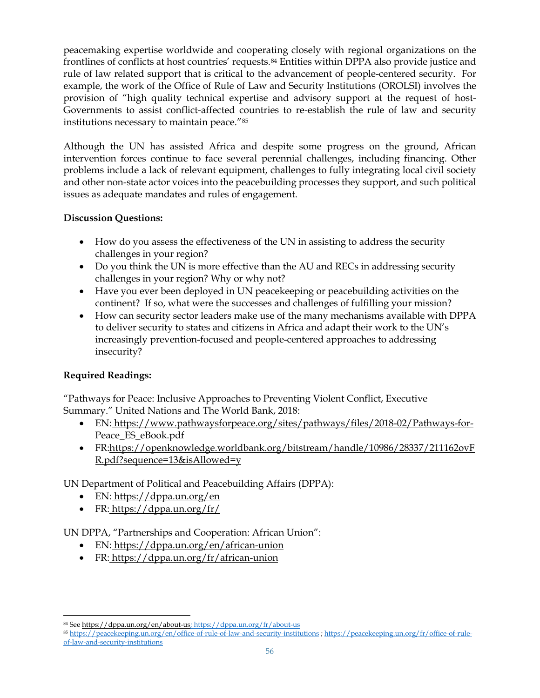peacemaking expertise worldwide and cooperating closely with regional organizations on the frontlines of conflicts at host countries' requests.[84](#page-55-0) Entities within DPPA also provide justice and rule of law related support that is critical to the advancement of people-centered security. For example, the work of the Office of Rule of Law and Security Institutions (OROLSI) involves the provision of "high quality technical expertise and advisory support at the request of host-Governments to assist conflict-affected countries to re-establish the rule of law and security institutions necessary to maintain peace."[85](#page-55-1)

Although the UN has assisted Africa and despite some progress on the ground, African intervention forces continue to face several perennial challenges, including financing. Other problems include a lack of relevant equipment, challenges to fully integrating local civil society and other non-state actor voices into the peacebuilding processes they support, and such political issues as adequate mandates and rules of engagement.

# **Discussion Questions:**

- How do you assess the effectiveness of the UN in assisting to address the security challenges in your region?
- Do you think the UN is more effective than the AU and RECs in addressing security challenges in your region? Why or why not?
- Have you ever been deployed in UN peacekeeping or peacebuilding activities on the continent? If so, what were the successes and challenges of fulfilling your mission?
- How can security sector leaders make use of the many mechanisms available with DPPA to deliver security to states and citizens in Africa and adapt their work to the UN's increasingly prevention-focused and people-centered approaches to addressing insecurity?

# **Required Readings:**

"Pathways for Peace: Inclusive Approaches to Preventing Violent Conflict, Executive Summary." United Nations and The World Bank, 2018:

- EN: [https://www.pathwaysforpeace.org/sites/pathways/files/2018-02/Pathways-for-](https://www.pathwaysforpeace.org/sites/pathways/files/2018-02/Pathways-for-Peace_ES_eBook.pdf)[Peace\\_ES\\_eBook.pdf](https://www.pathwaysforpeace.org/sites/pathways/files/2018-02/Pathways-for-Peace_ES_eBook.pdf)
- FR[:https://openknowledge.worldbank.org/bitstream/handle/10986/28337/211162ovF](https://openknowledge.worldbank.org/bitstream/handle/10986/28337/211162ovFR.pdf?sequence=13&isAllowed=y) [R.pdf?sequence=13&isAllowed=y](https://openknowledge.worldbank.org/bitstream/handle/10986/28337/211162ovFR.pdf?sequence=13&isAllowed=y)

UN Department of Political and Peacebuilding Affairs (DPPA):

- EN: <https://dppa.un.org/en>
- FR: <https://dppa.un.org/fr/>

UN DPPA, "Partnerships and Cooperation: African Union":

- EN: <https://dppa.un.org/en/african-union>
- FR: https://dppa.un.org/fr/african-union

<span id="page-55-0"></span><sup>84</sup> See [https://dppa.un.org/en/about-us;](https://dppa.un.org/en/about-us)<https://dppa.un.org/fr/about-us>

<span id="page-55-1"></span><sup>85</sup> <https://peacekeeping.un.org/en/office-of-rule-of-law-and-security-institutions> ; [https://peacekeeping.un.org/fr/office-of-rule](https://peacekeeping.un.org/fr/office-of-rule-of-law-and-security-institutions)[of-law-and-security-institutions](https://peacekeeping.un.org/fr/office-of-rule-of-law-and-security-institutions)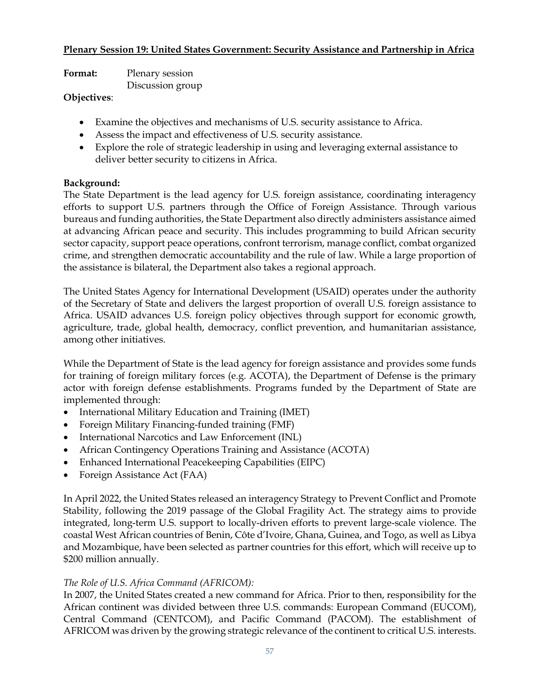### **Plenary Session 19: United States Government: Security Assistance and Partnership in Africa**

| <b>Format:</b> | Plenary session  |
|----------------|------------------|
|                | Discussion group |

#### **Objectives**:

- Examine the objectives and mechanisms of U.S. security assistance to Africa.
- Assess the impact and effectiveness of U.S. security assistance.
- Explore the role of strategic leadership in using and leveraging external assistance to deliver better security to citizens in Africa.

### **Background:**

The State Department is the lead agency for U.S. foreign assistance, coordinating interagency efforts to support U.S. partners through the Office of Foreign Assistance. Through various bureaus and funding authorities, the State Department also directly administers assistance aimed at advancing African peace and security. This includes programming to build African security sector capacity, support peace operations, confront terrorism, manage conflict, combat organized crime, and strengthen democratic accountability and the rule of law. While a large proportion of the assistance is bilateral, the Department also takes a regional approach.

The United States Agency for International Development (USAID) operates under the authority of the Secretary of State and delivers the largest proportion of overall U.S. foreign assistance to Africa. USAID advances U.S. foreign policy objectives through support for economic growth, agriculture, trade, global health, democracy, conflict prevention, and humanitarian assistance, among other initiatives.

While the Department of State is the lead agency for foreign assistance and provides some funds for training of foreign military forces (e.g. ACOTA), the Department of Defense is the primary actor with foreign defense establishments. Programs funded by the Department of State are implemented through:

- International Military Education and Training (IMET)
- Foreign Military Financing-funded training (FMF)
- International Narcotics and Law Enforcement (INL)
- African Contingency Operations Training and Assistance (ACOTA)
- Enhanced International Peacekeeping Capabilities (EIPC)
- Foreign Assistance Act (FAA)

In April 2022, the United States released an interagency Strategy to Prevent Conflict and Promote Stability, following the 2019 passage of the Global Fragility Act. The strategy aims to provide integrated, long-term U.S. support to locally-driven efforts to prevent large-scale violence. The coastal West African countries of Benin, Côte d'Ivoire, Ghana, Guinea, and Togo, as well as Libya and Mozambique, have been selected as partner countries for this effort, which will receive up to \$200 million annually.

## *The Role of U.S. Africa Command (AFRICOM):*

In 2007, the United States created a new command for Africa. Prior to then, responsibility for the African continent was divided between three U.S. commands: European Command (EUCOM), Central Command (CENTCOM), and Pacific Command (PACOM). The establishment of AFRICOM was driven by the growing strategic relevance of the continent to critical U.S. interests.